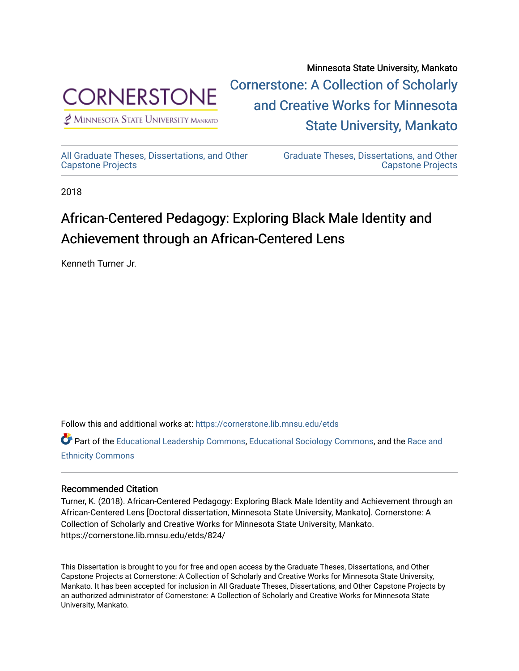

[Cornerstone: A Collection of Scholarly](https://cornerstone.lib.mnsu.edu/)  [and Creative Works for Minnesota](https://cornerstone.lib.mnsu.edu/)   $<sup>2</sup>$  Minnesota State University Mankato</sup> [State University, Mankato](https://cornerstone.lib.mnsu.edu/) 

[All Graduate Theses, Dissertations, and Other](https://cornerstone.lib.mnsu.edu/etds)  [Capstone Projects](https://cornerstone.lib.mnsu.edu/etds) 

[Graduate Theses, Dissertations, and Other](https://cornerstone.lib.mnsu.edu/theses_dissertations-capstone)  [Capstone Projects](https://cornerstone.lib.mnsu.edu/theses_dissertations-capstone) 

Minnesota State University, Mankato

2018

# African-Centered Pedagogy: Exploring Black Male Identity and Achievement through an African-Centered Lens

Kenneth Turner Jr.

Follow this and additional works at: [https://cornerstone.lib.mnsu.edu/etds](https://cornerstone.lib.mnsu.edu/etds?utm_source=cornerstone.lib.mnsu.edu%2Fetds%2F824&utm_medium=PDF&utm_campaign=PDFCoverPages) 

Part of the [Educational Leadership Commons,](http://network.bepress.com/hgg/discipline/1230?utm_source=cornerstone.lib.mnsu.edu%2Fetds%2F824&utm_medium=PDF&utm_campaign=PDFCoverPages) [Educational Sociology Commons,](http://network.bepress.com/hgg/discipline/1071?utm_source=cornerstone.lib.mnsu.edu%2Fetds%2F824&utm_medium=PDF&utm_campaign=PDFCoverPages) and the [Race and](http://network.bepress.com/hgg/discipline/426?utm_source=cornerstone.lib.mnsu.edu%2Fetds%2F824&utm_medium=PDF&utm_campaign=PDFCoverPages) [Ethnicity Commons](http://network.bepress.com/hgg/discipline/426?utm_source=cornerstone.lib.mnsu.edu%2Fetds%2F824&utm_medium=PDF&utm_campaign=PDFCoverPages) 

#### Recommended Citation

Turner, K. (2018). African-Centered Pedagogy: Exploring Black Male Identity and Achievement through an African-Centered Lens [Doctoral dissertation, Minnesota State University, Mankato]. Cornerstone: A Collection of Scholarly and Creative Works for Minnesota State University, Mankato. https://cornerstone.lib.mnsu.edu/etds/824/

This Dissertation is brought to you for free and open access by the Graduate Theses, Dissertations, and Other Capstone Projects at Cornerstone: A Collection of Scholarly and Creative Works for Minnesota State University, Mankato. It has been accepted for inclusion in All Graduate Theses, Dissertations, and Other Capstone Projects by an authorized administrator of Cornerstone: A Collection of Scholarly and Creative Works for Minnesota State University, Mankato.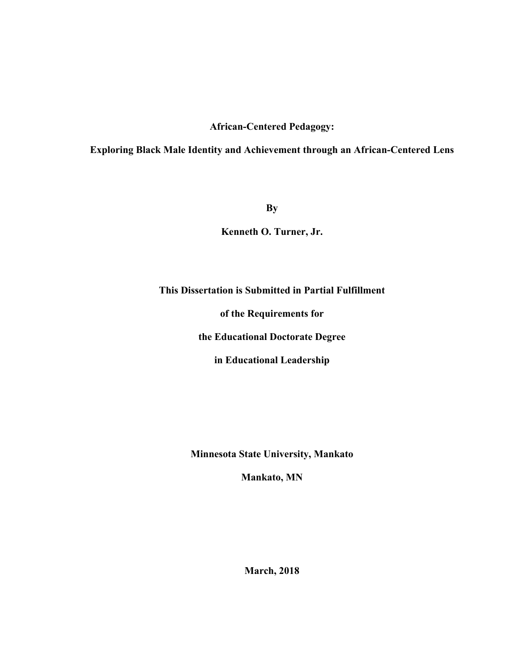### **African-Centered Pedagogy:**

## **Exploring Black Male Identity and Achievement through an African-Centered Lens**

**By**

**Kenneth O. Turner, Jr.**

## **This Dissertation is Submitted in Partial Fulfillment**

**of the Requirements for**

**the Educational Doctorate Degree**

**in Educational Leadership**

**Minnesota State University, Mankato** 

**Mankato, MN**

**March, 2018**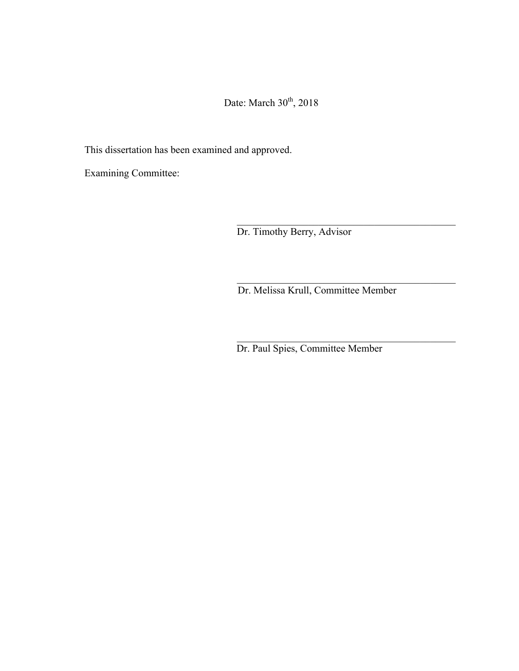Date: March  $30<sup>th</sup>$ , 2018

This dissertation has been examined and approved.

Examining Committee:

Dr. Timothy Berry, Advisor

Dr. Melissa Krull, Committee Member

\_\_\_\_\_\_\_\_\_\_\_\_\_\_\_\_\_\_\_\_\_\_\_\_\_\_\_\_\_\_\_\_\_\_\_\_\_\_\_\_\_\_\_

 $\mathcal{L}_\text{max}$  and the contract of the contract of the contract of the contract of the contract of the contract of the contract of the contract of the contract of the contract of the contract of the contract of the contrac

\_\_\_\_\_\_\_\_\_\_\_\_\_\_\_\_\_\_\_\_\_\_\_\_\_\_\_\_\_\_\_\_\_\_\_\_\_\_\_\_\_\_\_

Dr. Paul Spies, Committee Member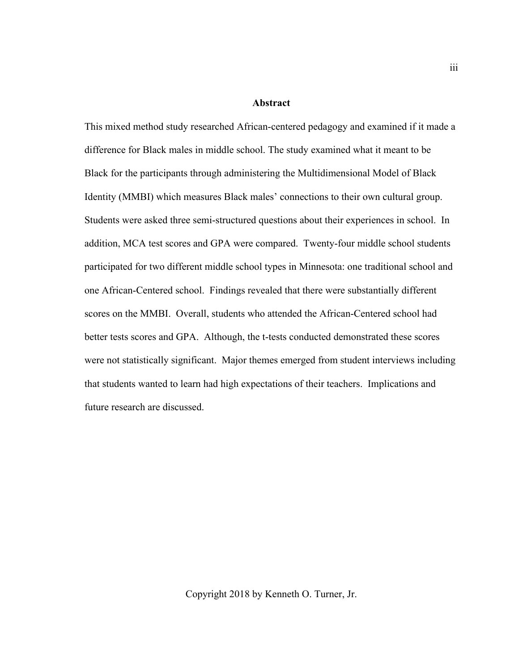#### **Abstract**

This mixed method study researched African-centered pedagogy and examined if it made a difference for Black males in middle school. The study examined what it meant to be Black for the participants through administering the Multidimensional Model of Black Identity (MMBI) which measures Black males' connections to their own cultural group. Students were asked three semi-structured questions about their experiences in school. In addition, MCA test scores and GPA were compared. Twenty-four middle school students participated for two different middle school types in Minnesota: one traditional school and one African-Centered school. Findings revealed that there were substantially different scores on the MMBI. Overall, students who attended the African-Centered school had better tests scores and GPA. Although, the t-tests conducted demonstrated these scores were not statistically significant. Major themes emerged from student interviews including that students wanted to learn had high expectations of their teachers. Implications and future research are discussed.

Copyright 2018 by Kenneth O. Turner, Jr.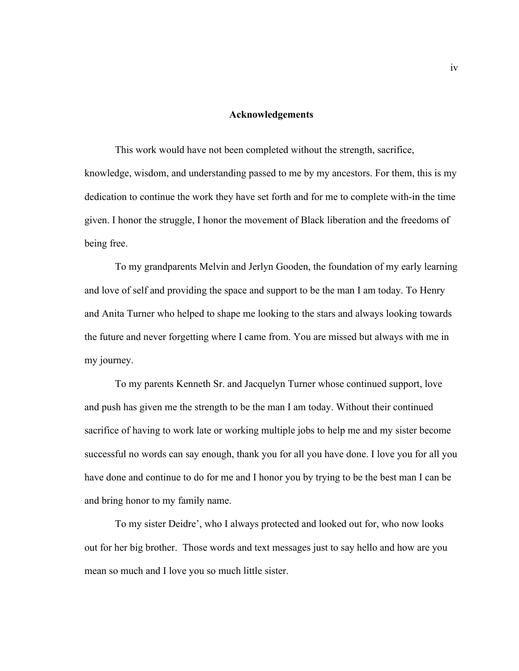#### **Acknowledgements**

This work would have not been completed without the strength, sacrifice, knowledge, wisdom, and understanding passed to me by my ancestors. For them, this is my dedication to continue the work they have set forth and for me to complete with-in the time given. I honor the struggle, I honor the movement of Black liberation and the freedoms of being free.

To my grandparents Melvin and Jerlyn Gooden, the foundation of my early learning and love of self and providing the space and support to be the man I am today. To Henry and Anita Turner who helped to shape me looking to the stars and always looking towards the future and never forgetting where I came from. You are missed but always with me in my journey.

To my parents Kenneth Sr. and Jacquelyn Turner whose continued support, love and push has given me the strength to be the man I am today. Without their continued sacrifice of having to work late or working multiple jobs to help me and my sister become successful no words can say enough, thank you for all you have done. I love you for all you have done and continue to do for me and I honor you by trying to be the best man I can be and bring honor to my family name.

To my sister Deidre', who I always protected and looked out for, who now looks out for her big brother. Those words and text messages just to say hello and how are you mean so much and I love you so much little sister.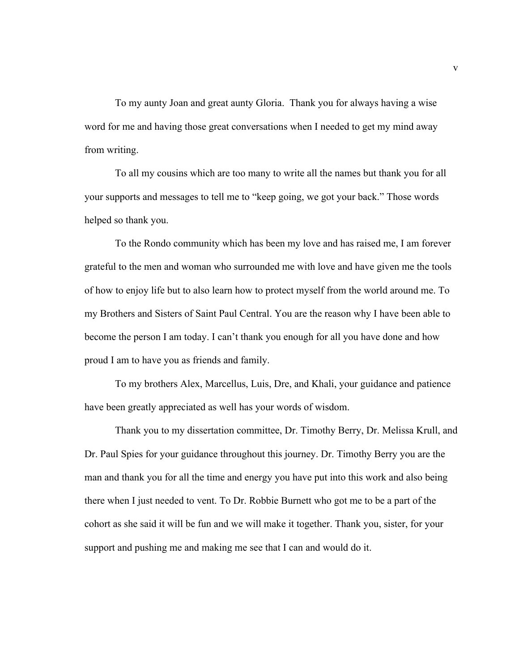To my aunty Joan and great aunty Gloria. Thank you for always having a wise word for me and having those great conversations when I needed to get my mind away from writing.

To all my cousins which are too many to write all the names but thank you for all your supports and messages to tell me to "keep going, we got your back." Those words helped so thank you.

To the Rondo community which has been my love and has raised me, I am forever grateful to the men and woman who surrounded me with love and have given me the tools of how to enjoy life but to also learn how to protect myself from the world around me. To my Brothers and Sisters of Saint Paul Central. You are the reason why I have been able to become the person I am today. I can't thank you enough for all you have done and how proud I am to have you as friends and family.

To my brothers Alex, Marcellus, Luis, Dre, and Khali, your guidance and patience have been greatly appreciated as well has your words of wisdom.

Thank you to my dissertation committee, Dr. Timothy Berry, Dr. Melissa Krull, and Dr. Paul Spies for your guidance throughout this journey. Dr. Timothy Berry you are the man and thank you for all the time and energy you have put into this work and also being there when I just needed to vent. To Dr. Robbie Burnett who got me to be a part of the cohort as she said it will be fun and we will make it together. Thank you, sister, for your support and pushing me and making me see that I can and would do it.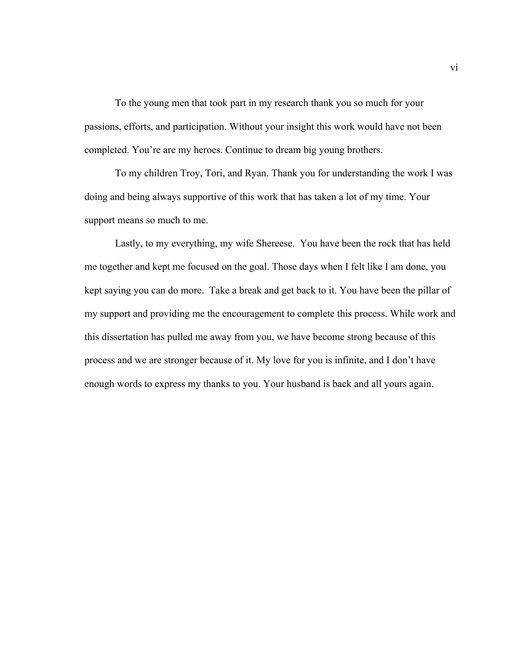To the young men that took part in my research thank you so much for your passions, efforts, and participation. Without your insight this work would have not been completed. You're are my heroes. Continue to dream big young brothers.

To my children Troy, Tori, and Ryan. Thank you for understanding the work I was doing and being always supportive of this work that has taken a lot of my time. Your support means so much to me.

Lastly, to my everything, my wife Shereese. You have been the rock that has held me together and kept me focused on the goal. Those days when I felt like I am done, you kept saying you can do more. Take a break and get back to it. You have been the pillar of my support and providing me the encouragement to complete this process. While work and this dissertation has pulled me away from you, we have become strong because of this process and we are stronger because of it. My love for you is infinite, and I don't have enough words to express my thanks to you. Your husband is back and all yours again.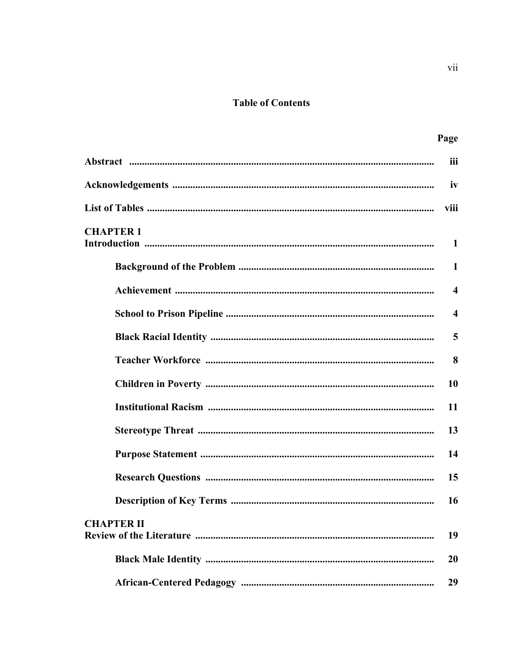# **Table of Contents**

|                   | Page                    |
|-------------------|-------------------------|
|                   | iii                     |
|                   | iv                      |
|                   | viii                    |
| <b>CHAPTER 1</b>  | $\mathbf{1}$            |
|                   | 1                       |
|                   | $\overline{\mathbf{4}}$ |
|                   | $\boldsymbol{\Lambda}$  |
|                   | 5                       |
|                   | 8                       |
|                   | 10                      |
|                   | 11                      |
|                   | 13                      |
|                   | 14                      |
|                   | 15                      |
|                   | 16                      |
| <b>CHAPTER II</b> | 19                      |
|                   | 20                      |
|                   | 29                      |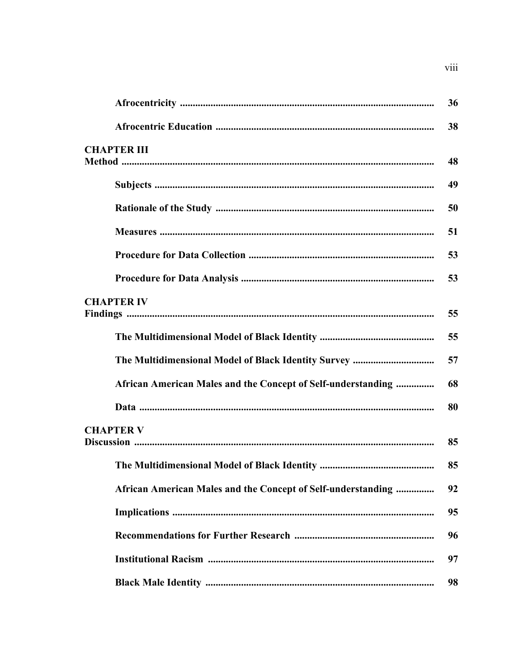|                                                              | 36 |
|--------------------------------------------------------------|----|
|                                                              | 38 |
| <b>CHAPTER III</b>                                           |    |
|                                                              | 48 |
|                                                              | 49 |
|                                                              | 50 |
|                                                              | 51 |
|                                                              | 53 |
|                                                              | 53 |
| <b>CHAPTER IV</b>                                            |    |
|                                                              | 55 |
|                                                              | 55 |
|                                                              | 57 |
| African American Males and the Concept of Self-understanding | 68 |
|                                                              | 80 |
| <b>CHAPTER V</b>                                             |    |
|                                                              | 85 |
|                                                              | 85 |
| African American Males and the Concept of Self-understanding | 92 |
|                                                              | 95 |
|                                                              | 96 |
|                                                              | 97 |
|                                                              | 98 |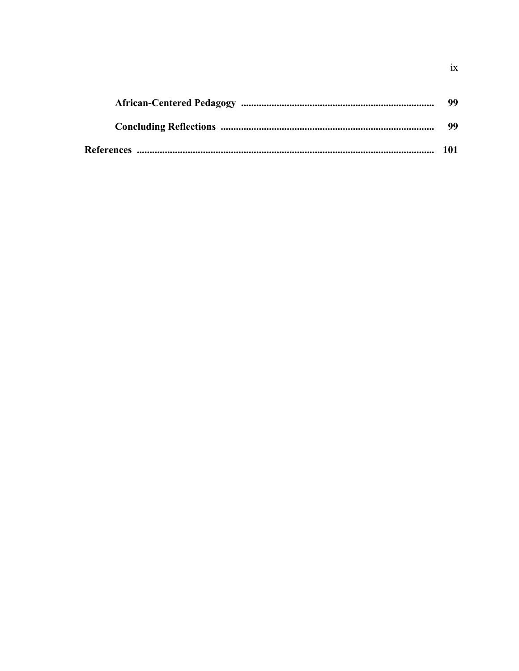| 99  |
|-----|
| 99  |
| 101 |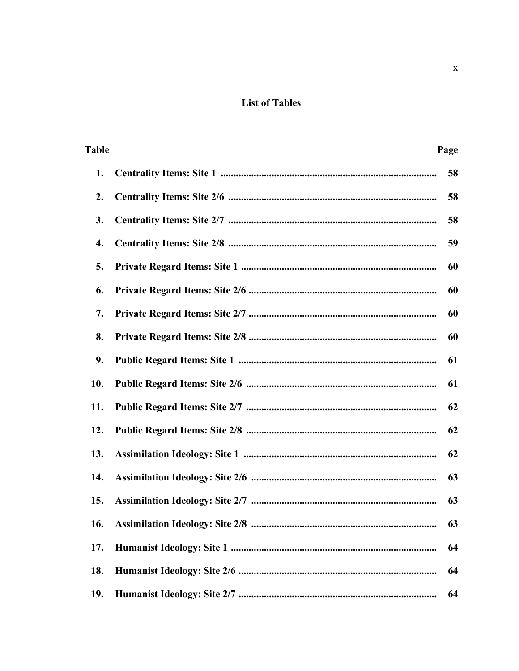# **List of Tables**

| <b>Table</b> | Page |
|--------------|------|
| 1.           | 58   |
| 2.           | 58   |
| 3.           | 58   |
| 4.           | 59   |
| 5.           | 60   |
| 6.           | 60   |
| 7.           | 60   |
| 8.           | 60   |
| 9.           | 61   |
| 10.          | 61   |
| 11.          | 62   |
| 12.          | 62   |
| 13.          | 62   |
| 14.          | 63   |
| 15.          | 63   |
| 16.          | 63   |
| 17.          | 64   |
| 18.          | 64   |
| 19.          | 64   |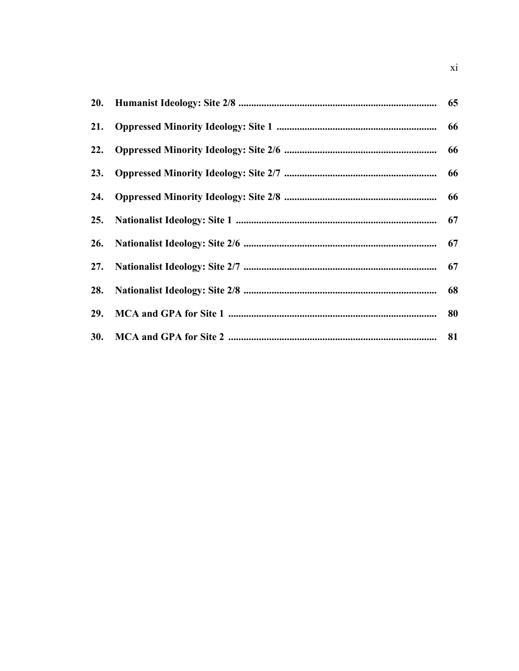| 29. |    |
|-----|----|
|     | 81 |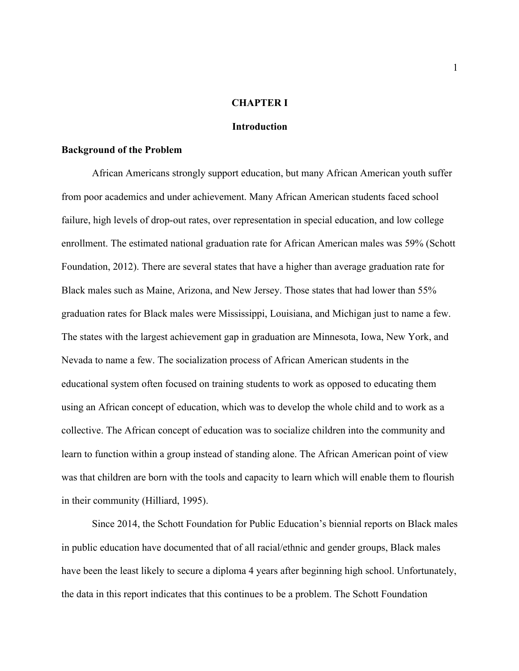#### **CHAPTER I**

#### **Introduction**

#### **Background of the Problem**

African Americans strongly support education, but many African American youth suffer from poor academics and under achievement. Many African American students faced school failure, high levels of drop-out rates, over representation in special education, and low college enrollment. The estimated national graduation rate for African American males was 59% (Schott Foundation, 2012). There are several states that have a higher than average graduation rate for Black males such as Maine, Arizona, and New Jersey. Those states that had lower than 55% graduation rates for Black males were Mississippi, Louisiana, and Michigan just to name a few. The states with the largest achievement gap in graduation are Minnesota, Iowa, New York, and Nevada to name a few. The socialization process of African American students in the educational system often focused on training students to work as opposed to educating them using an African concept of education, which was to develop the whole child and to work as a collective. The African concept of education was to socialize children into the community and learn to function within a group instead of standing alone. The African American point of view was that children are born with the tools and capacity to learn which will enable them to flourish in their community (Hilliard, 1995).

Since 2014, the Schott Foundation for Public Education's biennial reports on Black males in public education have documented that of all racial/ethnic and gender groups, Black males have been the least likely to secure a diploma 4 years after beginning high school. Unfortunately, the data in this report indicates that this continues to be a problem. The Schott Foundation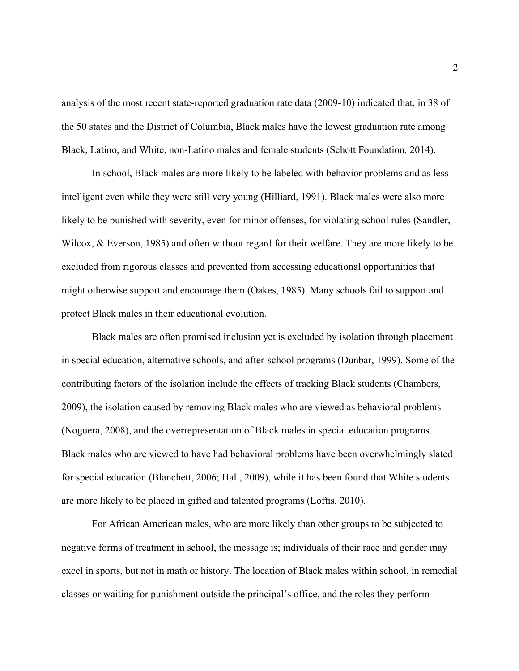analysis of the most recent state-reported graduation rate data (2009-10) indicated that, in 38 of the 50 states and the District of Columbia, Black males have the lowest graduation rate among Black, Latino, and White, non-Latino males and female students (Schott Foundation*,* 2014).

In school, Black males are more likely to be labeled with behavior problems and as less intelligent even while they were still very young (Hilliard, 1991). Black males were also more likely to be punished with severity, even for minor offenses, for violating school rules (Sandler, Wilcox, & Everson, 1985) and often without regard for their welfare. They are more likely to be excluded from rigorous classes and prevented from accessing educational opportunities that might otherwise support and encourage them (Oakes, 1985). Many schools fail to support and protect Black males in their educational evolution.

Black males are often promised inclusion yet is excluded by isolation through placement in special education, alternative schools, and after-school programs (Dunbar, 1999). Some of the contributing factors of the isolation include the effects of tracking Black students (Chambers, 2009), the isolation caused by removing Black males who are viewed as behavioral problems (Noguera, 2008), and the overrepresentation of Black males in special education programs. Black males who are viewed to have had behavioral problems have been overwhelmingly slated for special education (Blanchett, 2006; Hall, 2009), while it has been found that White students are more likely to be placed in gifted and talented programs (Loftis, 2010).

For African American males, who are more likely than other groups to be subjected to negative forms of treatment in school, the message is; individuals of their race and gender may excel in sports, but not in math or history. The location of Black males within school, in remedial classes or waiting for punishment outside the principal's office, and the roles they perform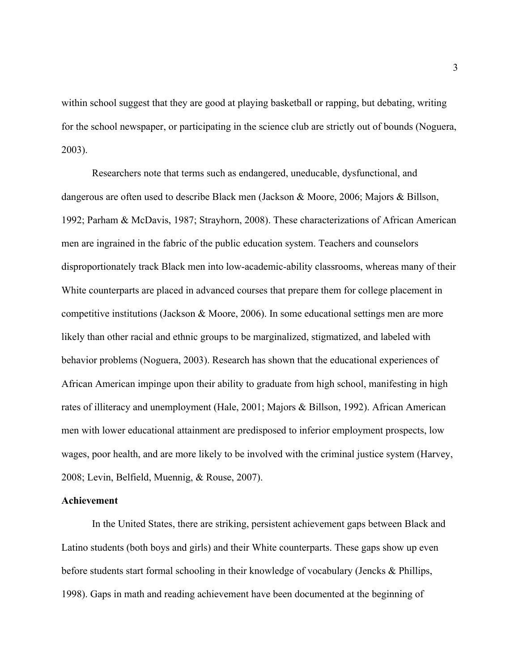within school suggest that they are good at playing basketball or rapping, but debating, writing for the school newspaper, or participating in the science club are strictly out of bounds (Noguera, 2003).

Researchers note that terms such as endangered, uneducable, dysfunctional, and dangerous are often used to describe Black men (Jackson & Moore, 2006; Majors & Billson, 1992; Parham & McDavis, 1987; Strayhorn, 2008). These characterizations of African American men are ingrained in the fabric of the public education system. Teachers and counselors disproportionately track Black men into low-academic-ability classrooms, whereas many of their White counterparts are placed in advanced courses that prepare them for college placement in competitive institutions (Jackson & Moore, 2006). In some educational settings men are more likely than other racial and ethnic groups to be marginalized, stigmatized, and labeled with behavior problems (Noguera, 2003). Research has shown that the educational experiences of African American impinge upon their ability to graduate from high school, manifesting in high rates of illiteracy and unemployment (Hale, 2001; Majors & Billson, 1992). African American men with lower educational attainment are predisposed to inferior employment prospects, low wages, poor health, and are more likely to be involved with the criminal justice system (Harvey, 2008; Levin, Belfield, Muennig, & Rouse, 2007).

#### **Achievement**

In the United States, there are striking, persistent achievement gaps between Black and Latino students (both boys and girls) and their White counterparts. These gaps show up even before students start formal schooling in their knowledge of vocabulary (Jencks & Phillips, 1998). Gaps in math and reading achievement have been documented at the beginning of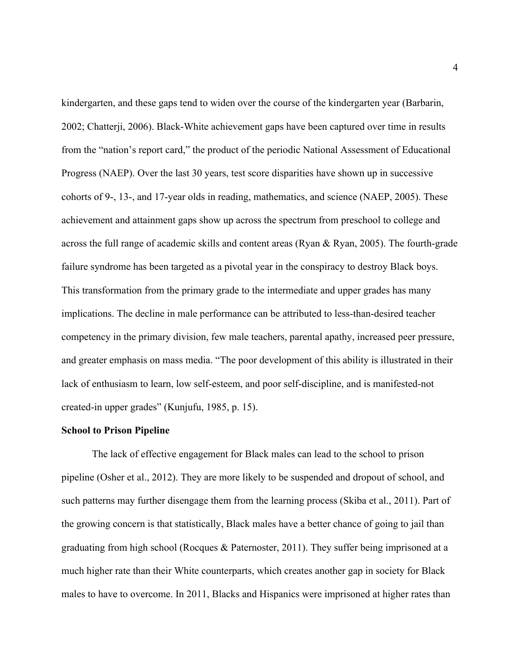kindergarten, and these gaps tend to widen over the course of the kindergarten year (Barbarin, 2002; Chatterji, 2006). Black-White achievement gaps have been captured over time in results from the "nation's report card," the product of the periodic National Assessment of Educational Progress (NAEP). Over the last 30 years, test score disparities have shown up in successive cohorts of 9-, 13-, and 17-year olds in reading, mathematics, and science (NAEP, 2005). These achievement and attainment gaps show up across the spectrum from preschool to college and across the full range of academic skills and content areas (Ryan & Ryan, 2005). The fourth-grade failure syndrome has been targeted as a pivotal year in the conspiracy to destroy Black boys. This transformation from the primary grade to the intermediate and upper grades has many implications. The decline in male performance can be attributed to less-than-desired teacher competency in the primary division, few male teachers, parental apathy, increased peer pressure, and greater emphasis on mass media. "The poor development of this ability is illustrated in their lack of enthusiasm to learn, low self-esteem, and poor self-discipline, and is manifested-not created-in upper grades" (Kunjufu, 1985, p. 15).

#### **School to Prison Pipeline**

The lack of effective engagement for Black males can lead to the school to prison pipeline (Osher et al., 2012). They are more likely to be suspended and dropout of school, and such patterns may further disengage them from the learning process (Skiba et al., 2011). Part of the growing concern is that statistically, Black males have a better chance of going to jail than graduating from high school (Rocques & Paternoster, 2011). They suffer being imprisoned at a much higher rate than their White counterparts, which creates another gap in society for Black males to have to overcome. In 2011, Blacks and Hispanics were imprisoned at higher rates than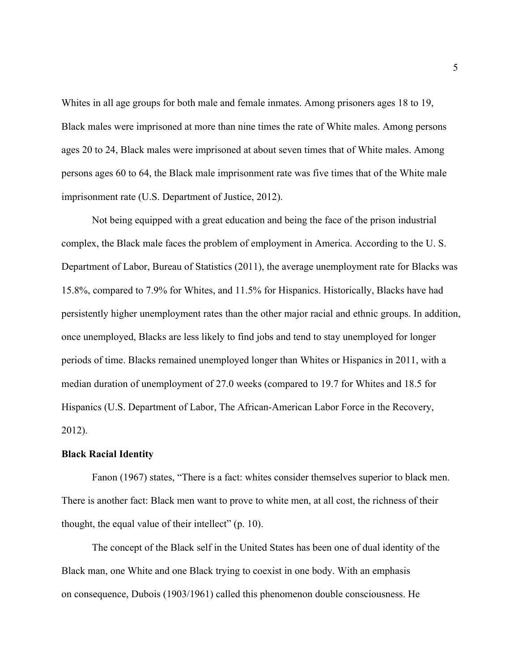Whites in all age groups for both male and female inmates. Among prisoners ages 18 to 19, Black males were imprisoned at more than nine times the rate of White males. Among persons ages 20 to 24, Black males were imprisoned at about seven times that of White males. Among persons ages 60 to 64, the Black male imprisonment rate was five times that of the White male imprisonment rate (U.S. Department of Justice, 2012).

Not being equipped with a great education and being the face of the prison industrial complex, the Black male faces the problem of employment in America. According to the U. S. Department of Labor, Bureau of Statistics (2011), the average unemployment rate for Blacks was 15.8%, compared to 7.9% for Whites, and 11.5% for Hispanics. Historically, Blacks have had persistently higher unemployment rates than the other major racial and ethnic groups. In addition, once unemployed, Blacks are less likely to find jobs and tend to stay unemployed for longer periods of time. Blacks remained unemployed longer than Whites or Hispanics in 2011, with a median duration of unemployment of 27.0 weeks (compared to 19.7 for Whites and 18.5 for Hispanics (U.S. Department of Labor, The African-American Labor Force in the Recovery, 2012).

#### **Black Racial Identity**

Fanon (1967) states, "There is a fact: whites consider themselves superior to black men. There is another fact: Black men want to prove to white men, at all cost, the richness of their thought, the equal value of their intellect" (p. 10).

The concept of the Black self in the United States has been one of dual identity of the Black man, one White and one Black trying to coexist in one body. With an emphasis on consequence, Dubois (1903/1961) called this phenomenon double consciousness. He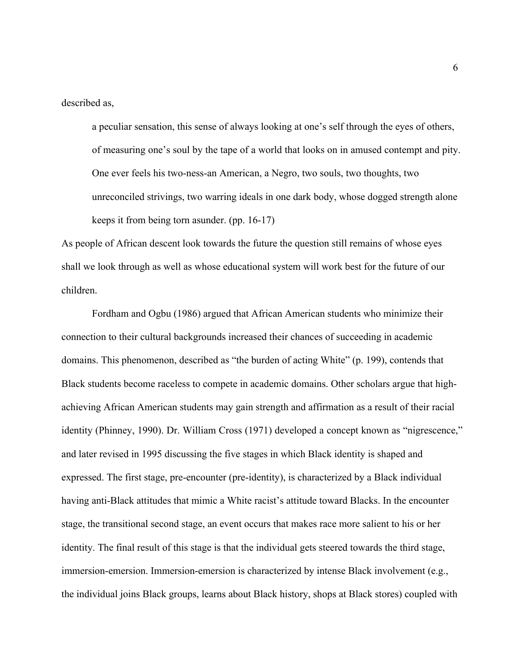described as,

a peculiar sensation, this sense of always looking at one's self through the eyes of others, of measuring one's soul by the tape of a world that looks on in amused contempt and pity. One ever feels his two-ness-an American, a Negro, two souls, two thoughts, two unreconciled strivings, two warring ideals in one dark body, whose dogged strength alone keeps it from being torn asunder. (pp. 16-17)

As people of African descent look towards the future the question still remains of whose eyes shall we look through as well as whose educational system will work best for the future of our children.

Fordham and Ogbu (1986) argued that African American students who minimize their connection to their cultural backgrounds increased their chances of succeeding in academic domains. This phenomenon, described as "the burden of acting White" (p. 199), contends that Black students become raceless to compete in academic domains. Other scholars argue that highachieving African American students may gain strength and affirmation as a result of their racial identity (Phinney, 1990). Dr. William Cross (1971) developed a concept known as "nigrescence," and later revised in 1995 discussing the five stages in which Black identity is shaped and expressed. The first stage, pre-encounter (pre-identity), is characterized by a Black individual having anti-Black attitudes that mimic a White racist's attitude toward Blacks. In the encounter stage, the transitional second stage, an event occurs that makes race more salient to his or her identity. The final result of this stage is that the individual gets steered towards the third stage, immersion-emersion. Immersion-emersion is characterized by intense Black involvement (e.g., the individual joins Black groups, learns about Black history, shops at Black stores) coupled with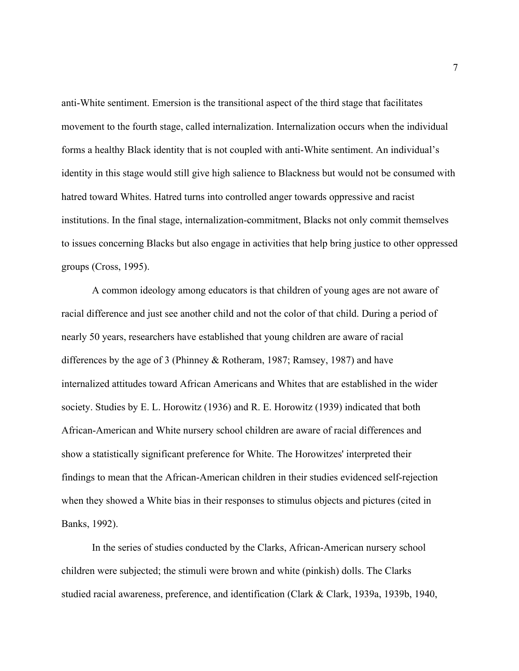anti-White sentiment. Emersion is the transitional aspect of the third stage that facilitates movement to the fourth stage, called internalization. Internalization occurs when the individual forms a healthy Black identity that is not coupled with anti-White sentiment. An individual's identity in this stage would still give high salience to Blackness but would not be consumed with hatred toward Whites. Hatred turns into controlled anger towards oppressive and racist institutions. In the final stage, internalization-commitment, Blacks not only commit themselves to issues concerning Blacks but also engage in activities that help bring justice to other oppressed groups (Cross, 1995).

A common ideology among educators is that children of young ages are not aware of racial difference and just see another child and not the color of that child. During a period of nearly 50 years, researchers have established that young children are aware of racial differences by the age of 3 (Phinney & Rotheram, 1987; Ramsey, 1987) and have internalized attitudes toward African Americans and Whites that are established in the wider society. Studies by E. L. Horowitz (1936) and R. E. Horowitz (1939) indicated that both African-American and White nursery school children are aware of racial differences and show a statistically significant preference for White. The Horowitzes' interpreted their findings to mean that the African-American children in their studies evidenced self-rejection when they showed a White bias in their responses to stimulus objects and pictures (cited in Banks, 1992).

In the series of studies conducted by the Clarks, African-American nursery school children were subjected; the stimuli were brown and white (pinkish) dolls. The Clarks studied racial awareness, preference, and identification (Clark & Clark, 1939a, 1939b, 1940,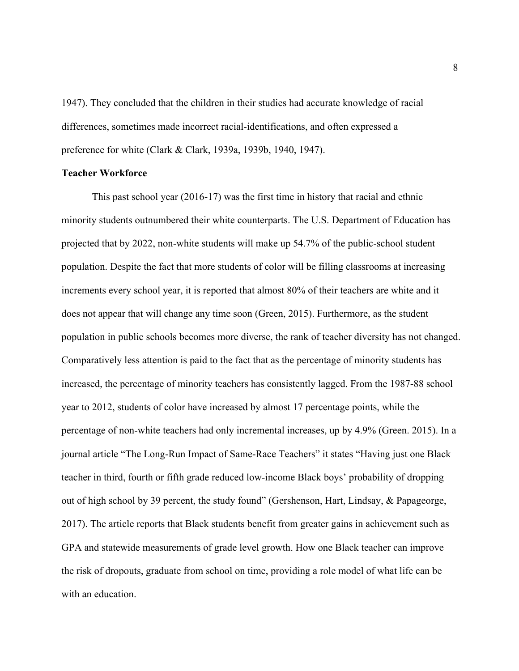1947). They concluded that the children in their studies had accurate knowledge of racial differences, sometimes made incorrect racial-identifications, and often expressed a preference for white (Clark & Clark, 1939a, 1939b, 1940, 1947).

#### **Teacher Workforce**

This past school year (2016-17) was the first time in history that racial and ethnic minority students outnumbered their white counterparts. The U.S. Department of Education has projected that by 2022, non-white students will make up 54.7% of the public-school student population. Despite the fact that more students of color will be filling classrooms at increasing increments every school year, it is reported that almost 80% of their teachers are white and it does not appear that will change any time soon (Green, 2015). Furthermore, as the student population in public schools becomes more diverse, the rank of teacher diversity has not changed. Comparatively less attention is paid to the fact that as the percentage of minority students has increased, the percentage of minority teachers has consistently lagged. From the 1987-88 school year to 2012, students of color have increased by almost 17 percentage points, while the percentage of non-white teachers had only incremental increases, up by 4.9% (Green. 2015). In a journal article "The Long-Run Impact of Same-Race Teachers" it states "Having just one Black teacher in third, fourth or fifth grade reduced low-income Black boys' probability of dropping out of high school by 39 percent, the study found" (Gershenson, Hart, Lindsay, & Papageorge, 2017). The article reports that Black students benefit from greater gains in achievement such as GPA and statewide measurements of grade level growth. How one Black teacher can improve the risk of dropouts, graduate from school on time, providing a role model of what life can be with an education.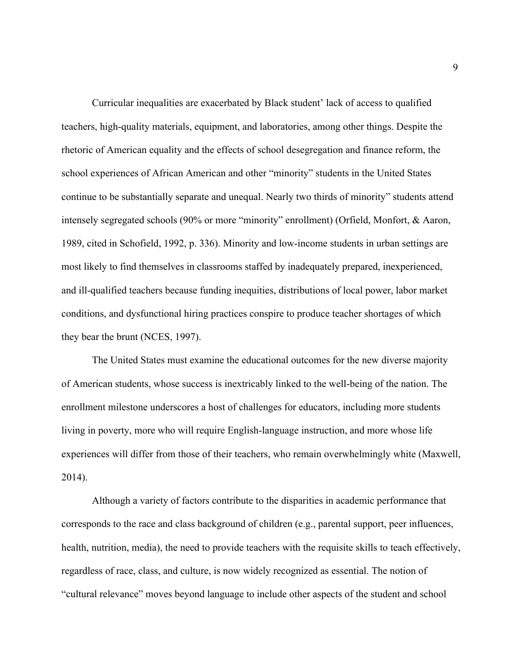Curricular inequalities are exacerbated by Black student' lack of access to qualified teachers, high-quality materials, equipment, and laboratories, among other things. Despite the rhetoric of American equality and the effects of school desegregation and finance reform, the school experiences of African American and other "minority" students in the United States continue to be substantially separate and unequal. Nearly two thirds of minority" students attend intensely segregated schools (90% or more "minority" enrollment) (Orfield, Monfort, & Aaron, 1989, cited in Schofield, 1992, p. 336). Minority and low-income students in urban settings are most likely to find themselves in classrooms staffed by inadequately prepared, inexperienced, and ill-qualified teachers because funding inequities, distributions of local power, labor market conditions, and dysfunctional hiring practices conspire to produce teacher shortages of which they bear the brunt (NCES, 1997).

The United States must examine the educational outcomes for the new diverse majority of American students, whose success is inextricably linked to the well-being of the nation. The enrollment milestone underscores a host of challenges for educators, including more students living in poverty, more who will require English-language instruction, and more whose life experiences will differ from those of their teachers, who remain overwhelmingly white (Maxwell, 2014).

Although a variety of factors contribute to the disparities in academic performance that corresponds to the race and class background of children (e.g., parental support, peer influences, health, nutrition, media), the need to provide teachers with the requisite skills to teach effectively, regardless of race, class, and culture, is now widely recognized as essential. The notion of "cultural relevance" moves beyond language to include other aspects of the student and school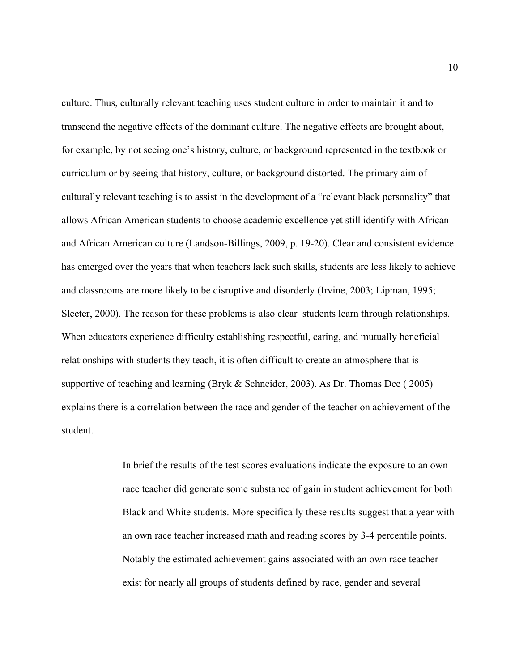culture. Thus, culturally relevant teaching uses student culture in order to maintain it and to transcend the negative effects of the dominant culture. The negative effects are brought about, for example, by not seeing one's history, culture, or background represented in the textbook or curriculum or by seeing that history, culture, or background distorted. The primary aim of culturally relevant teaching is to assist in the development of a "relevant black personality" that allows African American students to choose academic excellence yet still identify with African and African American culture (Landson-Billings, 2009, p. 19-20). Clear and consistent evidence has emerged over the years that when teachers lack such skills, students are less likely to achieve and classrooms are more likely to be disruptive and disorderly (Irvine, 2003; Lipman, 1995; Sleeter, 2000). The reason for these problems is also clear–students learn through relationships. When educators experience difficulty establishing respectful, caring, and mutually beneficial relationships with students they teach, it is often difficult to create an atmosphere that is supportive of teaching and learning (Bryk & Schneider, 2003). As Dr. Thomas Dee ( 2005) explains there is a correlation between the race and gender of the teacher on achievement of the student.

> In brief the results of the test scores evaluations indicate the exposure to an own race teacher did generate some substance of gain in student achievement for both Black and White students. More specifically these results suggest that a year with an own race teacher increased math and reading scores by 3-4 percentile points. Notably the estimated achievement gains associated with an own race teacher exist for nearly all groups of students defined by race, gender and several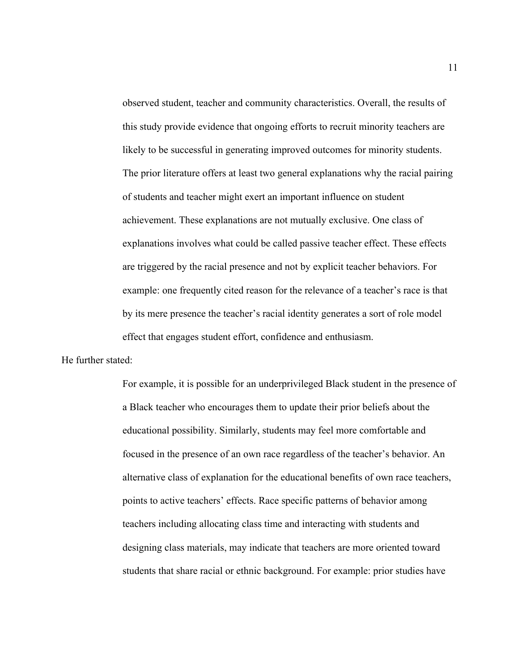observed student, teacher and community characteristics. Overall, the results of this study provide evidence that ongoing efforts to recruit minority teachers are likely to be successful in generating improved outcomes for minority students. The prior literature offers at least two general explanations why the racial pairing of students and teacher might exert an important influence on student achievement. These explanations are not mutually exclusive. One class of explanations involves what could be called passive teacher effect. These effects are triggered by the racial presence and not by explicit teacher behaviors. For example: one frequently cited reason for the relevance of a teacher's race is that by its mere presence the teacher's racial identity generates a sort of role model effect that engages student effort, confidence and enthusiasm.

He further stated:

For example, it is possible for an underprivileged Black student in the presence of a Black teacher who encourages them to update their prior beliefs about the educational possibility. Similarly, students may feel more comfortable and focused in the presence of an own race regardless of the teacher's behavior. An alternative class of explanation for the educational benefits of own race teachers, points to active teachers' effects. Race specific patterns of behavior among teachers including allocating class time and interacting with students and designing class materials, may indicate that teachers are more oriented toward students that share racial or ethnic background. For example: prior studies have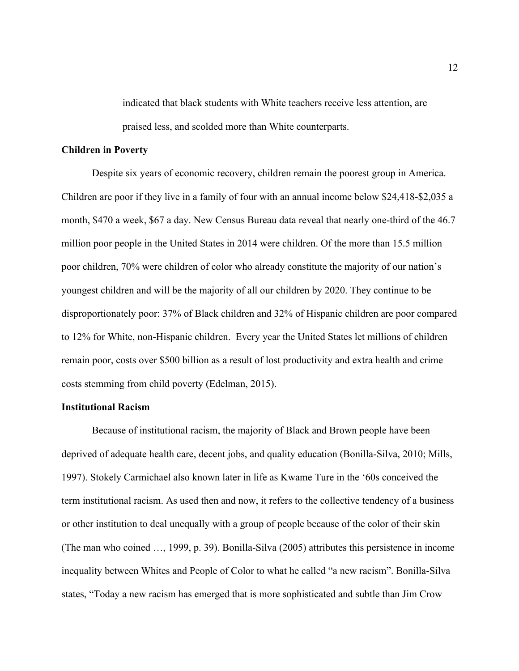indicated that black students with White teachers receive less attention, are praised less, and scolded more than White counterparts.

#### **Children in Poverty**

Despite six years of economic recovery, children remain the poorest group in America. Children are poor if they live in a family of four with an annual income below \$24,418-\$2,035 a month, \$470 a week, \$67 a day. New Census Bureau data reveal that nearly one-third of the 46.7 million poor people in the United States in 2014 were children. Of the more than 15.5 million poor children, 70% were children of color who already constitute the majority of our nation's youngest children and will be the majority of all our children by 2020. They continue to be disproportionately poor: 37% of Black children and 32% of Hispanic children are poor compared to 12% for White, non-Hispanic children. Every year the United States let millions of children remain poor, costs over \$500 billion as a result of lost productivity and extra health and crime costs stemming from child poverty (Edelman, 2015).

#### **Institutional Racism**

Because of institutional racism, the majority of Black and Brown people have been deprived of adequate health care, decent jobs, and quality education (Bonilla-Silva, 2010; Mills, 1997). Stokely Carmichael also known later in life as Kwame Ture in the '60s conceived the term institutional racism. As used then and now, it refers to the collective tendency of a business or other institution to deal unequally with a group of people because of the color of their skin (The man who coined …, 1999, p. 39). Bonilla-Silva (2005) attributes this persistence in income inequality between Whites and People of Color to what he called "a new racism". Bonilla-Silva states, "Today a new racism has emerged that is more sophisticated and subtle than Jim Crow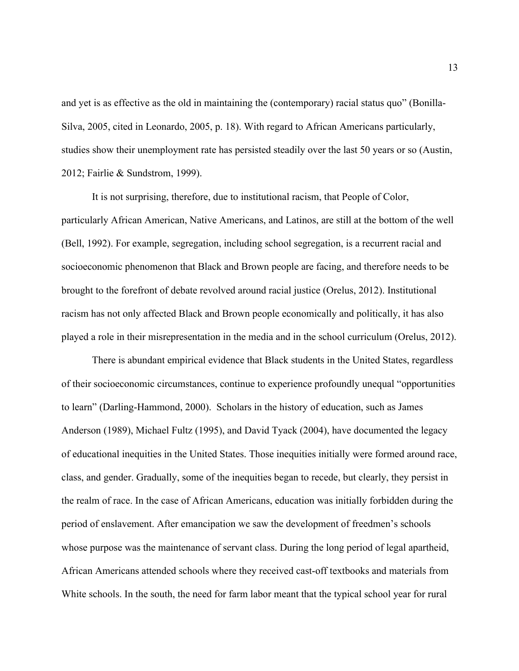and yet is as effective as the old in maintaining the (contemporary) racial status quo" (Bonilla-Silva, 2005, cited in Leonardo, 2005, p. 18). With regard to African Americans particularly, studies show their unemployment rate has persisted steadily over the last 50 years or so (Austin, 2012; Fairlie & Sundstrom, 1999).

It is not surprising, therefore, due to institutional racism, that People of Color, particularly African American, Native Americans, and Latinos, are still at the bottom of the well (Bell, 1992). For example, segregation, including school segregation, is a recurrent racial and socioeconomic phenomenon that Black and Brown people are facing, and therefore needs to be brought to the forefront of debate revolved around racial justice (Orelus, 2012). Institutional racism has not only affected Black and Brown people economically and politically, it has also played a role in their misrepresentation in the media and in the school curriculum (Orelus, 2012).

There is abundant empirical evidence that Black students in the United States, regardless of their socioeconomic circumstances, continue to experience profoundly unequal "opportunities to learn" (Darling-Hammond, 2000). Scholars in the history of education, such as James Anderson (1989), Michael Fultz (1995), and David Tyack (2004), have documented the legacy of educational inequities in the United States. Those inequities initially were formed around race, class, and gender. Gradually, some of the inequities began to recede, but clearly, they persist in the realm of race. In the case of African Americans, education was initially forbidden during the period of enslavement. After emancipation we saw the development of freedmen's schools whose purpose was the maintenance of servant class. During the long period of legal apartheid, African Americans attended schools where they received cast-off textbooks and materials from White schools. In the south, the need for farm labor meant that the typical school year for rural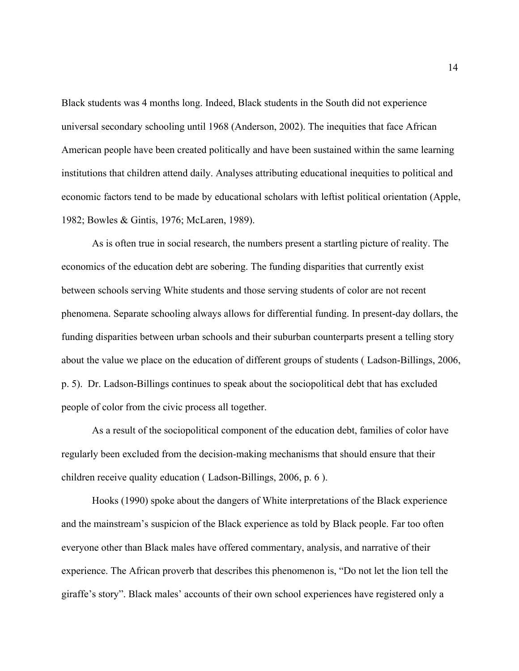Black students was 4 months long. Indeed, Black students in the South did not experience universal secondary schooling until 1968 (Anderson, 2002). The inequities that face African American people have been created politically and have been sustained within the same learning institutions that children attend daily. Analyses attributing educational inequities to political and economic factors tend to be made by educational scholars with leftist political orientation (Apple, 1982; Bowles & Gintis, 1976; McLaren, 1989).

As is often true in social research, the numbers present a startling picture of reality. The economics of the education debt are sobering. The funding disparities that currently exist between schools serving White students and those serving students of color are not recent phenomena. Separate schooling always allows for differential funding. In present-day dollars, the funding disparities between urban schools and their suburban counterparts present a telling story about the value we place on the education of different groups of students ( Ladson-Billings, 2006, p. 5). Dr. Ladson-Billings continues to speak about the sociopolitical debt that has excluded people of color from the civic process all together.

As a result of the sociopolitical component of the education debt, families of color have regularly been excluded from the decision-making mechanisms that should ensure that their children receive quality education ( Ladson-Billings, 2006, p. 6 ).

Hooks (1990) spoke about the dangers of White interpretations of the Black experience and the mainstream's suspicion of the Black experience as told by Black people. Far too often everyone other than Black males have offered commentary, analysis, and narrative of their experience. The African proverb that describes this phenomenon is, "Do not let the lion tell the giraffe's story". Black males' accounts of their own school experiences have registered only a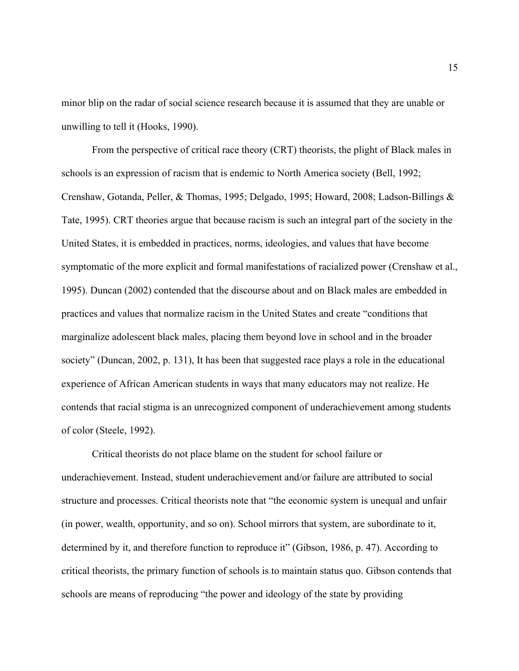minor blip on the radar of social science research because it is assumed that they are unable or unwilling to tell it (Hooks, 1990).

From the perspective of critical race theory (CRT) theorists, the plight of Black males in schools is an expression of racism that is endemic to North America society (Bell, 1992; Crenshaw, Gotanda, Peller, & Thomas, 1995; Delgado, 1995; Howard, 2008; Ladson-Billings & Tate, 1995). CRT theories argue that because racism is such an integral part of the society in the United States, it is embedded in practices, norms, ideologies, and values that have become symptomatic of the more explicit and formal manifestations of racialized power (Crenshaw et al., 1995). Duncan (2002) contended that the discourse about and on Black males are embedded in practices and values that normalize racism in the United States and create "conditions that marginalize adolescent black males, placing them beyond love in school and in the broader society" (Duncan, 2002, p. 131), It has been that suggested race plays a role in the educational experience of African American students in ways that many educators may not realize. He contends that racial stigma is an unrecognized component of underachievement among students of color (Steele, 1992).

Critical theorists do not place blame on the student for school failure or underachievement. Instead, student underachievement and/or failure are attributed to social structure and processes. Critical theorists note that "the economic system is unequal and unfair (in power, wealth, opportunity, and so on). School mirrors that system, are subordinate to it, determined by it, and therefore function to reproduce it" (Gibson, 1986, p. 47). According to critical theorists, the primary function of schools is to maintain status quo. Gibson contends that schools are means of reproducing "the power and ideology of the state by providing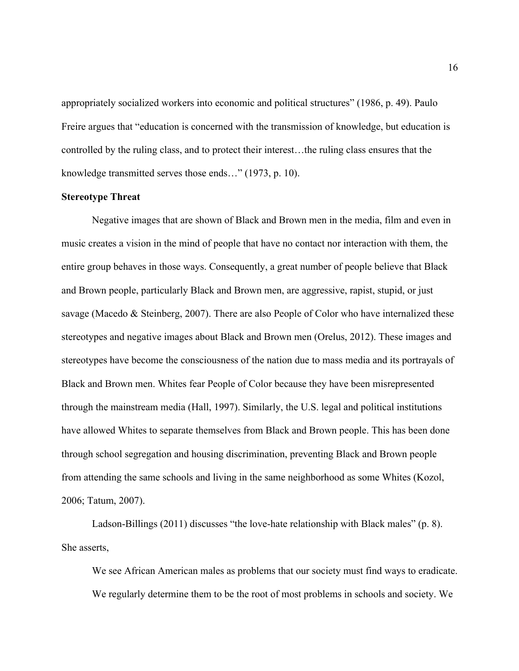appropriately socialized workers into economic and political structures" (1986, p. 49). Paulo Freire argues that "education is concerned with the transmission of knowledge, but education is controlled by the ruling class, and to protect their interest…the ruling class ensures that the knowledge transmitted serves those ends…" (1973, p. 10).

#### **Stereotype Threat**

Negative images that are shown of Black and Brown men in the media, film and even in music creates a vision in the mind of people that have no contact nor interaction with them, the entire group behaves in those ways. Consequently, a great number of people believe that Black and Brown people, particularly Black and Brown men, are aggressive, rapist, stupid, or just savage (Macedo & Steinberg, 2007). There are also People of Color who have internalized these stereotypes and negative images about Black and Brown men (Orelus, 2012). These images and stereotypes have become the consciousness of the nation due to mass media and its portrayals of Black and Brown men. Whites fear People of Color because they have been misrepresented through the mainstream media (Hall, 1997). Similarly, the U.S. legal and political institutions have allowed Whites to separate themselves from Black and Brown people. This has been done through school segregation and housing discrimination, preventing Black and Brown people from attending the same schools and living in the same neighborhood as some Whites (Kozol, 2006; Tatum, 2007).

Ladson-Billings (2011) discusses "the love-hate relationship with Black males" (p. 8). She asserts,

We see African American males as problems that our society must find ways to eradicate. We regularly determine them to be the root of most problems in schools and society. We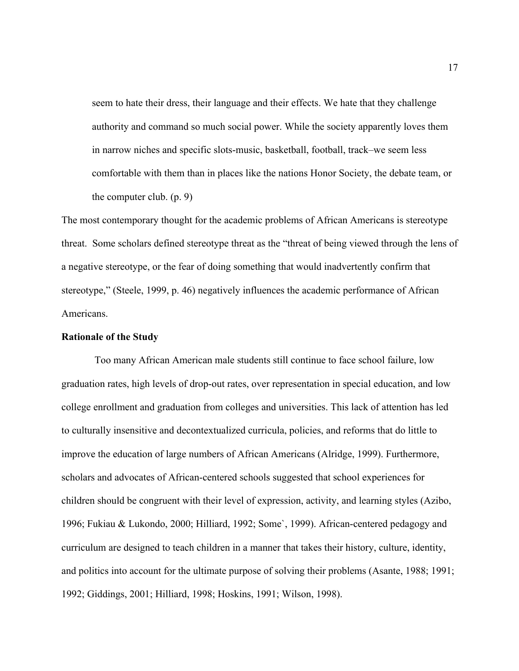seem to hate their dress, their language and their effects. We hate that they challenge authority and command so much social power. While the society apparently loves them in narrow niches and specific slots-music, basketball, football, track–we seem less comfortable with them than in places like the nations Honor Society, the debate team, or the computer club. (p. 9)

The most contemporary thought for the academic problems of African Americans is stereotype threat. Some scholars defined stereotype threat as the "threat of being viewed through the lens of a negative stereotype, or the fear of doing something that would inadvertently confirm that stereotype," (Steele, 1999, p. 46) negatively influences the academic performance of African Americans.

#### **Rationale of the Study**

Too many African American male students still continue to face school failure, low graduation rates, high levels of drop-out rates, over representation in special education, and low college enrollment and graduation from colleges and universities. This lack of attention has led to culturally insensitive and decontextualized curricula, policies, and reforms that do little to improve the education of large numbers of African Americans (Alridge, 1999). Furthermore, scholars and advocates of African-centered schools suggested that school experiences for children should be congruent with their level of expression, activity, and learning styles (Azibo, 1996; Fukiau & Lukondo, 2000; Hilliard, 1992; Some`, 1999). African-centered pedagogy and curriculum are designed to teach children in a manner that takes their history, culture, identity, and politics into account for the ultimate purpose of solving their problems (Asante, 1988; 1991; 1992; Giddings, 2001; Hilliard, 1998; Hoskins, 1991; Wilson, 1998).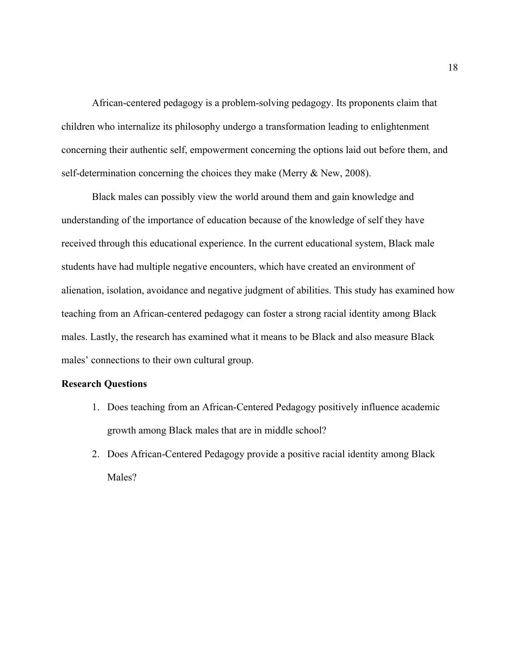African-centered pedagogy is a problem-solving pedagogy. Its proponents claim that children who internalize its philosophy undergo a transformation leading to enlightenment concerning their authentic self, empowerment concerning the options laid out before them, and self-determination concerning the choices they make (Merry & New, 2008).

Black males can possibly view the world around them and gain knowledge and understanding of the importance of education because of the knowledge of self they have received through this educational experience. In the current educational system, Black male students have had multiple negative encounters, which have created an environment of alienation, isolation, avoidance and negative judgment of abilities. This study has examined how teaching from an African-centered pedagogy can foster a strong racial identity among Black males. Lastly, the research has examined what it means to be Black and also measure Black males' connections to their own cultural group.

#### **Research Questions**

- 1. Does teaching from an African-Centered Pedagogy positively influence academic growth among Black males that are in middle school?
- 2. Does African-Centered Pedagogy provide a positive racial identity among Black Males?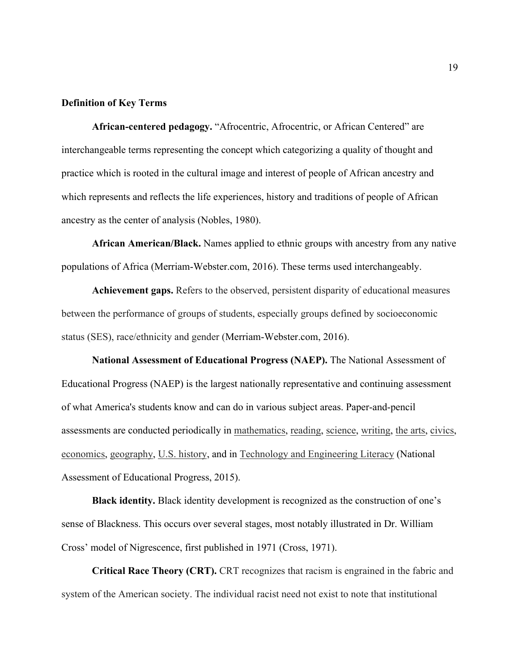#### **Definition of Key Terms**

**African-centered pedagogy.** "Afrocentric, Afrocentric, or African Centered" are interchangeable terms representing the concept which categorizing a quality of thought and practice which is rooted in the cultural image and interest of people of African ancestry and which represents and reflects the life experiences, history and traditions of people of African ancestry as the center of analysis (Nobles, 1980).

**African American/Black.** Names applied to ethnic groups with ancestry from any native populations of Africa (Merriam-Webster.com, 2016). These terms used interchangeably.

**Achievement gaps.** Refers to the observed, persistent disparity of educational measures between the performance of groups of students, especially groups defined by socioeconomic status (SES), race/ethnicity and gender (Merriam-Webster.com, 2016).

**National Assessment of Educational Progress (NAEP).** The National Assessment of Educational Progress (NAEP) is the largest nationally representative and continuing assessment of what America's students know and can do in various subject areas. Paper-and-pencil assessments are conducted periodically in mathematics, reading, science, writing, the arts, civics, economics, geography, U.S. history, and in Technology and Engineering Literacy (National Assessment of Educational Progress, 2015).

**Black identity.** Black identity development is recognized as the construction of one's sense of Blackness. This occurs over several stages, most notably illustrated in Dr. William Cross' model of Nigrescence, first published in 1971 (Cross, 1971).

**Critical Race Theory (CRT).** CRT recognizes that racism is engrained in the fabric and system of the American society. The individual racist need not exist to note that institutional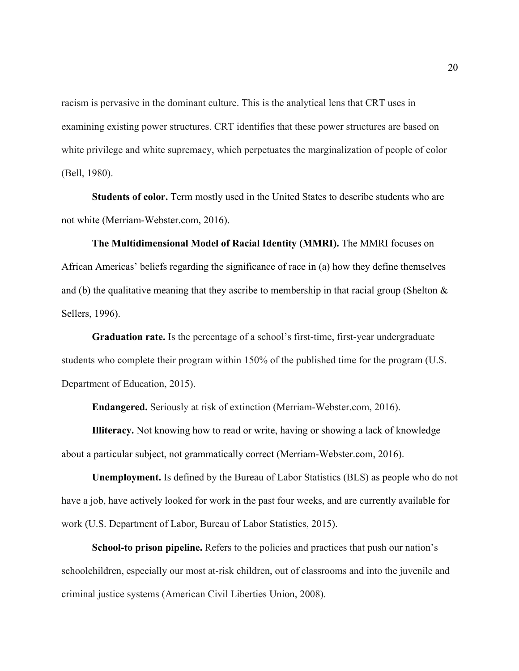racism is pervasive in the dominant culture. This is the analytical lens that CRT uses in examining existing power structures. CRT identifies that these power structures are based on white privilege and white supremacy, which perpetuates the marginalization of people of color (Bell, 1980).

**Students of color.** Term mostly used in the United States to describe students who are not white (Merriam-Webster.com, 2016).

**The Multidimensional Model of Racial Identity (MMRI).** The MMRI focuses on African Americas' beliefs regarding the significance of race in (a) how they define themselves and (b) the qualitative meaning that they ascribe to membership in that racial group (Shelton  $\&$ Sellers, 1996).

**Graduation rate.** Is the percentage of a school's first-time, first-year undergraduate students who complete their program within 150% of the published time for the program (U.S. Department of Education, 2015).

**Endangered.** Seriously at risk of extinction (Merriam-Webster.com, 2016).

**Illiteracy.** Not knowing how to read or write, having or showing a lack of knowledge about a particular subject, not grammatically correct (Merriam-Webster.com, 2016).

**Unemployment.** Is defined by the Bureau of Labor Statistics (BLS) as people who do not have a job, have actively looked for work in the past four weeks, and are currently available for work (U.S. Department of Labor, Bureau of Labor Statistics, 2015).

**School-to prison pipeline.** Refers to the policies and practices that push our nation's schoolchildren, especially our most at-risk children, out of classrooms and into the juvenile and criminal justice systems (American Civil Liberties Union, 2008).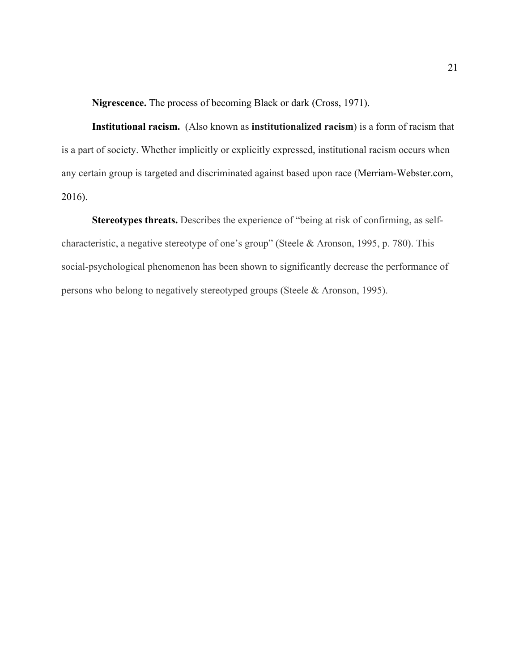**Nigrescence.** The process of becoming Black or dark (Cross, 1971).

**Institutional racism.** (Also known as **institutionalized racism**) is a form of racism that is a part of society. Whether implicitly or explicitly expressed, institutional racism occurs when any certain group is targeted and discriminated against based upon race (Merriam-Webster.com, 2016).

**Stereotypes threats.** Describes the experience of "being at risk of confirming, as selfcharacteristic, a negative stereotype of one's group" (Steele & Aronson, 1995, p. 780). This social-psychological phenomenon has been shown to significantly decrease the performance of persons who belong to negatively stereotyped groups (Steele & Aronson, 1995).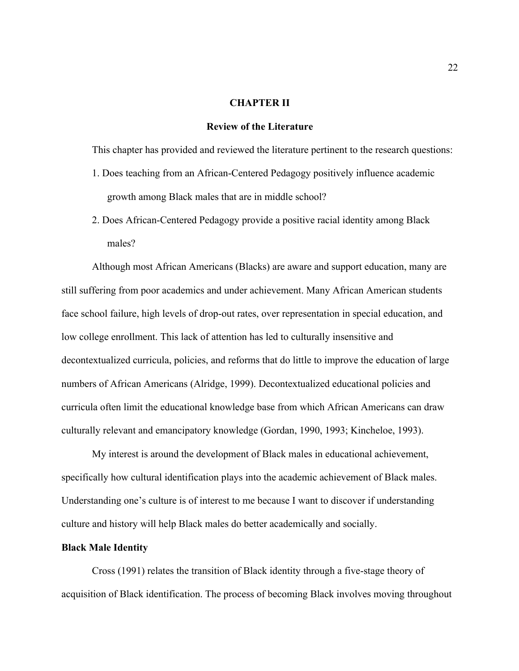#### **CHAPTER II**

#### **Review of the Literature**

This chapter has provided and reviewed the literature pertinent to the research questions:

- 1. Does teaching from an African-Centered Pedagogy positively influence academic growth among Black males that are in middle school?
- 2. Does African-Centered Pedagogy provide a positive racial identity among Black males?

Although most African Americans (Blacks) are aware and support education, many are still suffering from poor academics and under achievement. Many African American students face school failure, high levels of drop-out rates, over representation in special education, and low college enrollment. This lack of attention has led to culturally insensitive and decontextualized curricula, policies, and reforms that do little to improve the education of large numbers of African Americans (Alridge, 1999). Decontextualized educational policies and curricula often limit the educational knowledge base from which African Americans can draw culturally relevant and emancipatory knowledge (Gordan, 1990, 1993; Kincheloe, 1993).

My interest is around the development of Black males in educational achievement, specifically how cultural identification plays into the academic achievement of Black males. Understanding one's culture is of interest to me because I want to discover if understanding culture and history will help Black males do better academically and socially.

#### **Black Male Identity**

Cross (1991) relates the transition of Black identity through a five-stage theory of acquisition of Black identification. The process of becoming Black involves moving throughout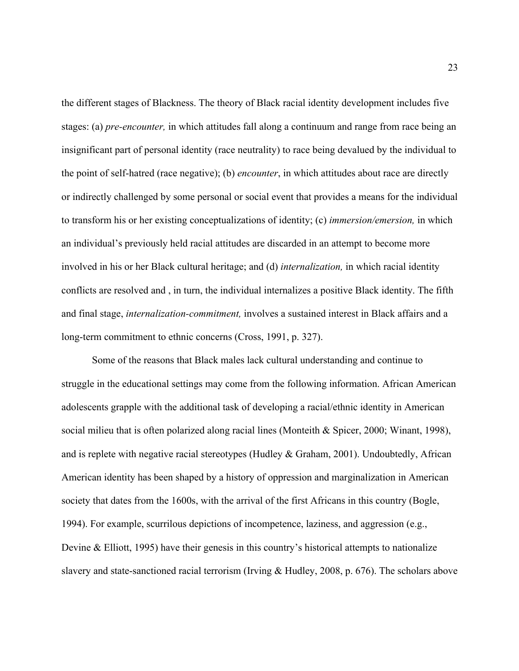the different stages of Blackness. The theory of Black racial identity development includes five stages: (a) *pre-encounter,* in which attitudes fall along a continuum and range from race being an insignificant part of personal identity (race neutrality) to race being devalued by the individual to the point of self-hatred (race negative); (b) *encounter*, in which attitudes about race are directly or indirectly challenged by some personal or social event that provides a means for the individual to transform his or her existing conceptualizations of identity; (c) *immersion/emersion,* in which an individual's previously held racial attitudes are discarded in an attempt to become more involved in his or her Black cultural heritage; and (d) *internalization,* in which racial identity conflicts are resolved and , in turn, the individual internalizes a positive Black identity. The fifth and final stage, *internalization-commitment,* involves a sustained interest in Black affairs and a long-term commitment to ethnic concerns (Cross, 1991, p. 327).

Some of the reasons that Black males lack cultural understanding and continue to struggle in the educational settings may come from the following information. African American adolescents grapple with the additional task of developing a racial/ethnic identity in American social milieu that is often polarized along racial lines (Monteith & Spicer, 2000; Winant, 1998), and is replete with negative racial stereotypes (Hudley & Graham, 2001). Undoubtedly, African American identity has been shaped by a history of oppression and marginalization in American society that dates from the 1600s, with the arrival of the first Africans in this country (Bogle, 1994). For example, scurrilous depictions of incompetence, laziness, and aggression (e.g., Devine & Elliott, 1995) have their genesis in this country's historical attempts to nationalize slavery and state-sanctioned racial terrorism (Irving & Hudley, 2008, p. 676). The scholars above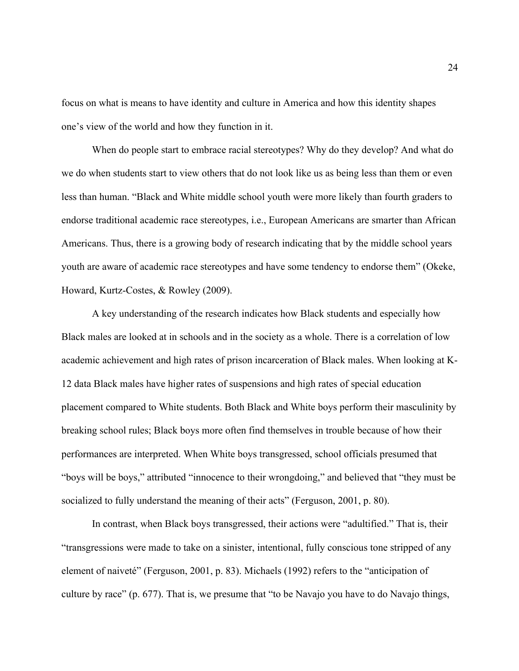focus on what is means to have identity and culture in America and how this identity shapes one's view of the world and how they function in it.

When do people start to embrace racial stereotypes? Why do they develop? And what do we do when students start to view others that do not look like us as being less than them or even less than human. "Black and White middle school youth were more likely than fourth graders to endorse traditional academic race stereotypes, i.e., European Americans are smarter than African Americans. Thus, there is a growing body of research indicating that by the middle school years youth are aware of academic race stereotypes and have some tendency to endorse them" (Okeke, Howard, Kurtz-Costes, & Rowley (2009).

A key understanding of the research indicates how Black students and especially how Black males are looked at in schools and in the society as a whole. There is a correlation of low academic achievement and high rates of prison incarceration of Black males. When looking at K-12 data Black males have higher rates of suspensions and high rates of special education placement compared to White students. Both Black and White boys perform their masculinity by breaking school rules; Black boys more often find themselves in trouble because of how their performances are interpreted. When White boys transgressed, school officials presumed that "boys will be boys," attributed "innocence to their wrongdoing," and believed that "they must be socialized to fully understand the meaning of their acts" (Ferguson, 2001, p. 80).

In contrast, when Black boys transgressed, their actions were "adultified." That is, their "transgressions were made to take on a sinister, intentional, fully conscious tone stripped of any element of naiveté" (Ferguson, 2001, p. 83). Michaels (1992) refers to the "anticipation of culture by race" (p. 677). That is, we presume that "to be Navajo you have to do Navajo things,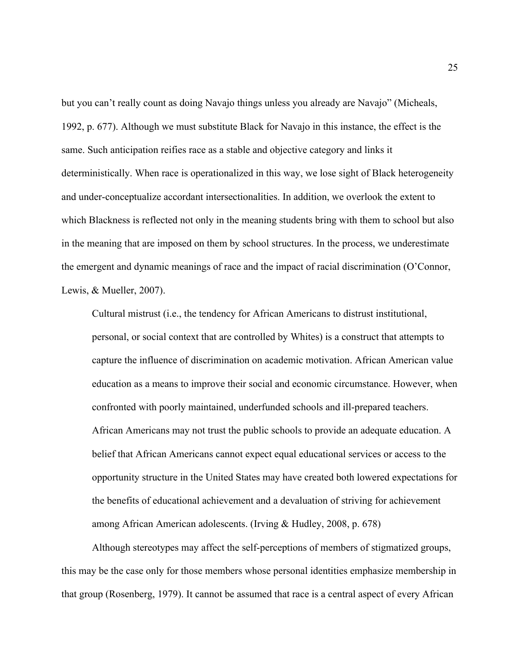but you can't really count as doing Navajo things unless you already are Navajo" (Micheals, 1992, p. 677). Although we must substitute Black for Navajo in this instance, the effect is the same. Such anticipation reifies race as a stable and objective category and links it deterministically. When race is operationalized in this way, we lose sight of Black heterogeneity and under-conceptualize accordant intersectionalities. In addition, we overlook the extent to which Blackness is reflected not only in the meaning students bring with them to school but also in the meaning that are imposed on them by school structures. In the process, we underestimate the emergent and dynamic meanings of race and the impact of racial discrimination (O'Connor, Lewis, & Mueller, 2007).

Cultural mistrust (i.e., the tendency for African Americans to distrust institutional, personal, or social context that are controlled by Whites) is a construct that attempts to capture the influence of discrimination on academic motivation. African American value education as a means to improve their social and economic circumstance. However, when confronted with poorly maintained, underfunded schools and ill-prepared teachers. African Americans may not trust the public schools to provide an adequate education. A belief that African Americans cannot expect equal educational services or access to the opportunity structure in the United States may have created both lowered expectations for the benefits of educational achievement and a devaluation of striving for achievement among African American adolescents. (Irving & Hudley, 2008, p. 678)

Although stereotypes may affect the self-perceptions of members of stigmatized groups, this may be the case only for those members whose personal identities emphasize membership in that group (Rosenberg, 1979). It cannot be assumed that race is a central aspect of every African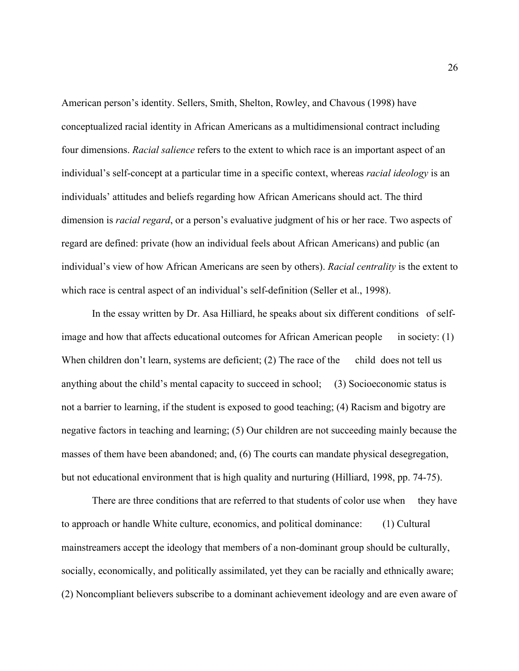American person's identity. Sellers, Smith, Shelton, Rowley, and Chavous (1998) have conceptualized racial identity in African Americans as a multidimensional contract including four dimensions. *Racial salience* refers to the extent to which race is an important aspect of an individual's self-concept at a particular time in a specific context, whereas *racial ideology* is an individuals' attitudes and beliefs regarding how African Americans should act. The third dimension is *racial regard*, or a person's evaluative judgment of his or her race. Two aspects of regard are defined: private (how an individual feels about African Americans) and public (an individual's view of how African Americans are seen by others). *Racial centrality* is the extent to which race is central aspect of an individual's self-definition (Seller et al., 1998).

In the essay written by Dr. Asa Hilliard, he speaks about six different conditions of selfimage and how that affects educational outcomes for African American people in society:  $(1)$ When children don't learn, systems are deficient; (2) The race of the child does not tell us anything about the child's mental capacity to succeed in school; (3) Socioeconomic status is not a barrier to learning, if the student is exposed to good teaching; (4) Racism and bigotry are negative factors in teaching and learning; (5) Our children are not succeeding mainly because the masses of them have been abandoned; and, (6) The courts can mandate physical desegregation, but not educational environment that is high quality and nurturing (Hilliard, 1998, pp. 74-75).

There are three conditions that are referred to that students of color use when they have to approach or handle White culture, economics, and political dominance: (1) Cultural mainstreamers accept the ideology that members of a non-dominant group should be culturally, socially, economically, and politically assimilated, yet they can be racially and ethnically aware; (2) Noncompliant believers subscribe to a dominant achievement ideology and are even aware of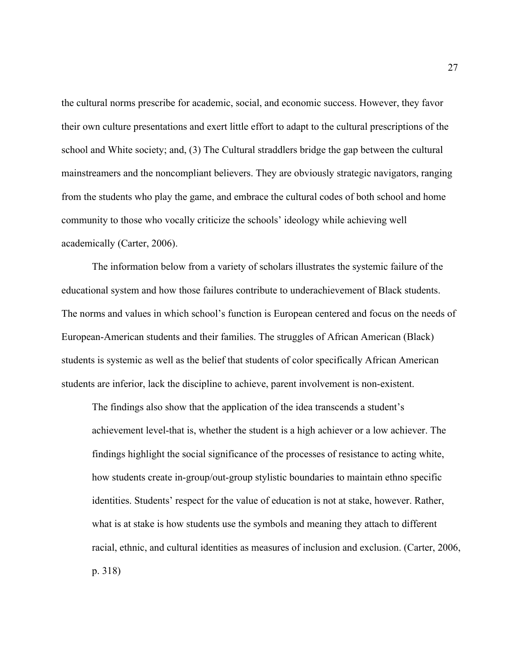the cultural norms prescribe for academic, social, and economic success. However, they favor their own culture presentations and exert little effort to adapt to the cultural prescriptions of the school and White society; and, (3) The Cultural straddlers bridge the gap between the cultural mainstreamers and the noncompliant believers. They are obviously strategic navigators, ranging from the students who play the game, and embrace the cultural codes of both school and home community to those who vocally criticize the schools' ideology while achieving well academically (Carter, 2006).

The information below from a variety of scholars illustrates the systemic failure of the educational system and how those failures contribute to underachievement of Black students. The norms and values in which school's function is European centered and focus on the needs of European-American students and their families. The struggles of African American (Black) students is systemic as well as the belief that students of color specifically African American students are inferior, lack the discipline to achieve, parent involvement is non-existent.

The findings also show that the application of the idea transcends a student's achievement level-that is, whether the student is a high achiever or a low achiever. The findings highlight the social significance of the processes of resistance to acting white, how students create in-group/out-group stylistic boundaries to maintain ethno specific identities. Students' respect for the value of education is not at stake, however. Rather, what is at stake is how students use the symbols and meaning they attach to different racial, ethnic, and cultural identities as measures of inclusion and exclusion. (Carter, 2006, p. 318)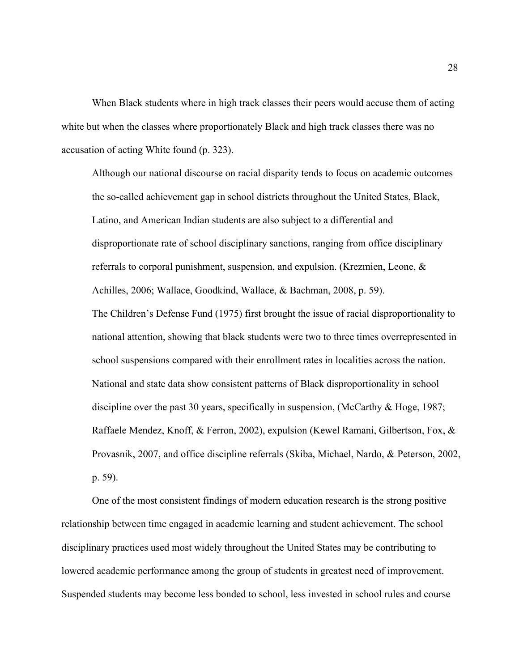When Black students where in high track classes their peers would accuse them of acting white but when the classes where proportionately Black and high track classes there was no accusation of acting White found (p. 323).

Although our national discourse on racial disparity tends to focus on academic outcomes the so-called achievement gap in school districts throughout the United States, Black, Latino, and American Indian students are also subject to a differential and disproportionate rate of school disciplinary sanctions, ranging from office disciplinary referrals to corporal punishment, suspension, and expulsion. (Krezmien, Leone, & Achilles, 2006; Wallace, Goodkind, Wallace, & Bachman, 2008, p. 59). The Children's Defense Fund (1975) first brought the issue of racial disproportionality to national attention, showing that black students were two to three times overrepresented in school suspensions compared with their enrollment rates in localities across the nation. National and state data show consistent patterns of Black disproportionality in school discipline over the past 30 years, specifically in suspension, (McCarthy & Hoge, 1987; Raffaele Mendez, Knoff, & Ferron, 2002), expulsion (Kewel Ramani, Gilbertson, Fox, & Provasnik, 2007, and office discipline referrals (Skiba, Michael, Nardo, & Peterson, 2002, p. 59).

One of the most consistent findings of modern education research is the strong positive relationship between time engaged in academic learning and student achievement. The school disciplinary practices used most widely throughout the United States may be contributing to lowered academic performance among the group of students in greatest need of improvement. Suspended students may become less bonded to school, less invested in school rules and course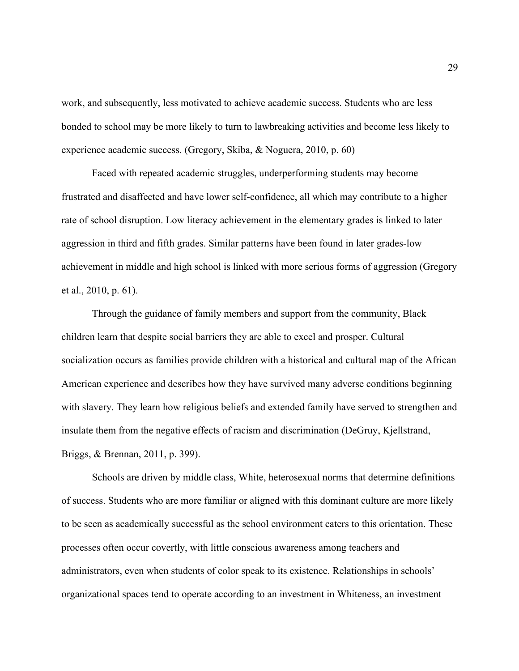work, and subsequently, less motivated to achieve academic success. Students who are less bonded to school may be more likely to turn to lawbreaking activities and become less likely to experience academic success. (Gregory, Skiba, & Noguera, 2010, p. 60)

Faced with repeated academic struggles, underperforming students may become frustrated and disaffected and have lower self-confidence, all which may contribute to a higher rate of school disruption. Low literacy achievement in the elementary grades is linked to later aggression in third and fifth grades. Similar patterns have been found in later grades-low achievement in middle and high school is linked with more serious forms of aggression (Gregory et al., 2010, p. 61).

Through the guidance of family members and support from the community, Black children learn that despite social barriers they are able to excel and prosper. Cultural socialization occurs as families provide children with a historical and cultural map of the African American experience and describes how they have survived many adverse conditions beginning with slavery. They learn how religious beliefs and extended family have served to strengthen and insulate them from the negative effects of racism and discrimination (DeGruy, Kjellstrand, Briggs, & Brennan, 2011, p. 399).

Schools are driven by middle class, White, heterosexual norms that determine definitions of success. Students who are more familiar or aligned with this dominant culture are more likely to be seen as academically successful as the school environment caters to this orientation. These processes often occur covertly, with little conscious awareness among teachers and administrators, even when students of color speak to its existence. Relationships in schools' organizational spaces tend to operate according to an investment in Whiteness, an investment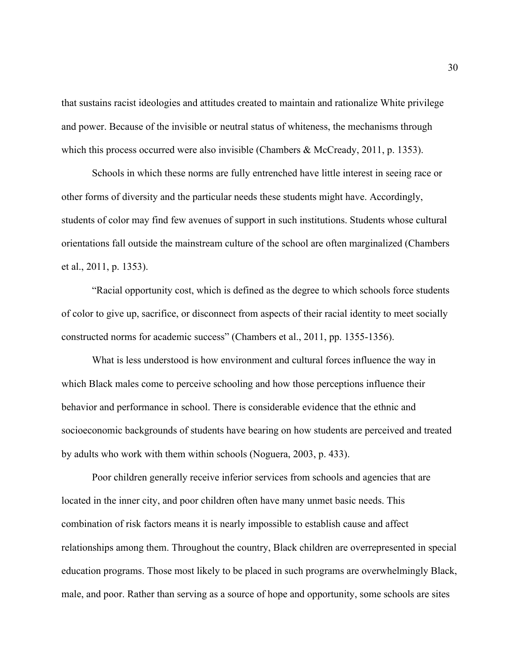that sustains racist ideologies and attitudes created to maintain and rationalize White privilege and power. Because of the invisible or neutral status of whiteness, the mechanisms through which this process occurred were also invisible (Chambers & McCready, 2011, p. 1353).

Schools in which these norms are fully entrenched have little interest in seeing race or other forms of diversity and the particular needs these students might have. Accordingly, students of color may find few avenues of support in such institutions. Students whose cultural orientations fall outside the mainstream culture of the school are often marginalized (Chambers et al., 2011, p. 1353).

"Racial opportunity cost, which is defined as the degree to which schools force students of color to give up, sacrifice, or disconnect from aspects of their racial identity to meet socially constructed norms for academic success" (Chambers et al., 2011, pp. 1355-1356).

What is less understood is how environment and cultural forces influence the way in which Black males come to perceive schooling and how those perceptions influence their behavior and performance in school. There is considerable evidence that the ethnic and socioeconomic backgrounds of students have bearing on how students are perceived and treated by adults who work with them within schools (Noguera, 2003, p. 433).

Poor children generally receive inferior services from schools and agencies that are located in the inner city, and poor children often have many unmet basic needs. This combination of risk factors means it is nearly impossible to establish cause and affect relationships among them. Throughout the country, Black children are overrepresented in special education programs. Those most likely to be placed in such programs are overwhelmingly Black, male, and poor. Rather than serving as a source of hope and opportunity, some schools are sites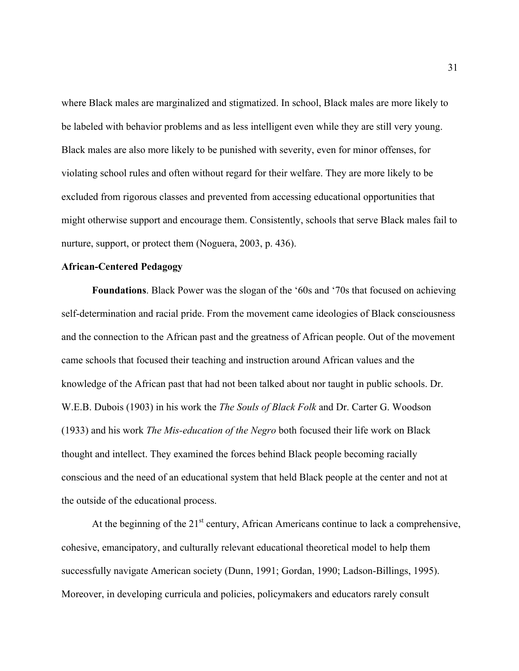where Black males are marginalized and stigmatized. In school, Black males are more likely to be labeled with behavior problems and as less intelligent even while they are still very young. Black males are also more likely to be punished with severity, even for minor offenses, for violating school rules and often without regard for their welfare. They are more likely to be excluded from rigorous classes and prevented from accessing educational opportunities that might otherwise support and encourage them. Consistently, schools that serve Black males fail to nurture, support, or protect them (Noguera, 2003, p. 436).

## **African-Centered Pedagogy**

**Foundations**. Black Power was the slogan of the '60s and '70s that focused on achieving self-determination and racial pride. From the movement came ideologies of Black consciousness and the connection to the African past and the greatness of African people. Out of the movement came schools that focused their teaching and instruction around African values and the knowledge of the African past that had not been talked about nor taught in public schools. Dr. W.E.B. Dubois (1903) in his work the *The Souls of Black Folk* and Dr. Carter G. Woodson (1933) and his work *The Mis-education of the Negro* both focused their life work on Black thought and intellect. They examined the forces behind Black people becoming racially conscious and the need of an educational system that held Black people at the center and not at the outside of the educational process.

At the beginning of the  $21<sup>st</sup>$  century, African Americans continue to lack a comprehensive, cohesive, emancipatory, and culturally relevant educational theoretical model to help them successfully navigate American society (Dunn, 1991; Gordan, 1990; Ladson-Billings, 1995). Moreover, in developing curricula and policies, policymakers and educators rarely consult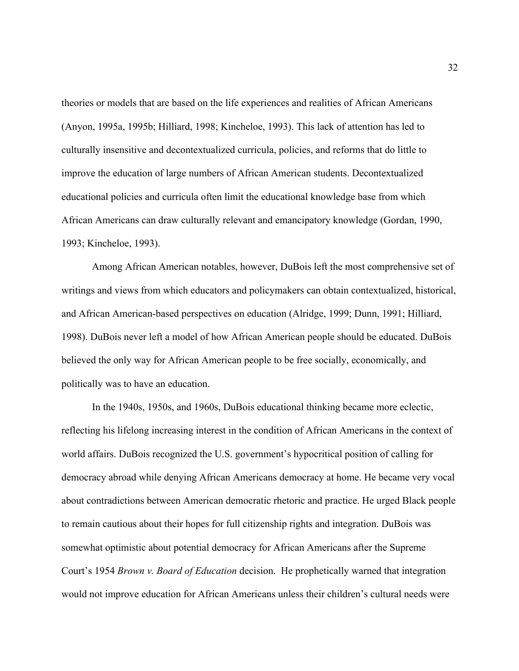theories or models that are based on the life experiences and realities of African Americans (Anyon, 1995a, 1995b; Hilliard, 1998; Kincheloe, 1993). This lack of attention has led to culturally insensitive and decontextualized curricula, policies, and reforms that do little to improve the education of large numbers of African American students. Decontextualized educational policies and curricula often limit the educational knowledge base from which African Americans can draw culturally relevant and emancipatory knowledge (Gordan, 1990, 1993; Kincheloe, 1993).

Among African American notables, however, DuBois left the most comprehensive set of writings and views from which educators and policymakers can obtain contextualized, historical, and African American-based perspectives on education (Alridge, 1999; Dunn, 1991; Hilliard, 1998). DuBois never left a model of how African American people should be educated. DuBois believed the only way for African American people to be free socially, economically, and politically was to have an education.

In the 1940s, 1950s, and 1960s, DuBois educational thinking became more eclectic, reflecting his lifelong increasing interest in the condition of African Americans in the context of world affairs. DuBois recognized the U.S. government's hypocritical position of calling for democracy abroad while denying African Americans democracy at home. He became very vocal about contradictions between American democratic rhetoric and practice. He urged Black people to remain cautious about their hopes for full citizenship rights and integration. DuBois was somewhat optimistic about potential democracy for African Americans after the Supreme Court's 1954 *Brown v. Board of Education* decision. He prophetically warned that integration would not improve education for African Americans unless their children's cultural needs were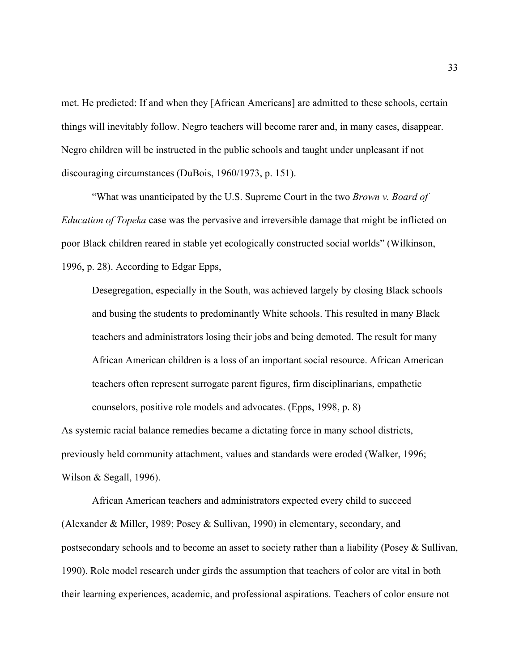met. He predicted: If and when they [African Americans] are admitted to these schools, certain things will inevitably follow. Negro teachers will become rarer and, in many cases, disappear. Negro children will be instructed in the public schools and taught under unpleasant if not discouraging circumstances (DuBois, 1960/1973, p. 151).

"What was unanticipated by the U.S. Supreme Court in the two *Brown v. Board of Education of Topeka* case was the pervasive and irreversible damage that might be inflicted on poor Black children reared in stable yet ecologically constructed social worlds" (Wilkinson, 1996, p. 28). According to Edgar Epps,

Desegregation, especially in the South, was achieved largely by closing Black schools and busing the students to predominantly White schools. This resulted in many Black teachers and administrators losing their jobs and being demoted. The result for many African American children is a loss of an important social resource. African American teachers often represent surrogate parent figures, firm disciplinarians, empathetic counselors, positive role models and advocates. (Epps, 1998, p. 8)

As systemic racial balance remedies became a dictating force in many school districts, previously held community attachment, values and standards were eroded (Walker, 1996; Wilson & Segall, 1996).

African American teachers and administrators expected every child to succeed (Alexander & Miller, 1989; Posey & Sullivan, 1990) in elementary, secondary, and postsecondary schools and to become an asset to society rather than a liability (Posey & Sullivan, 1990). Role model research under girds the assumption that teachers of color are vital in both their learning experiences, academic, and professional aspirations. Teachers of color ensure not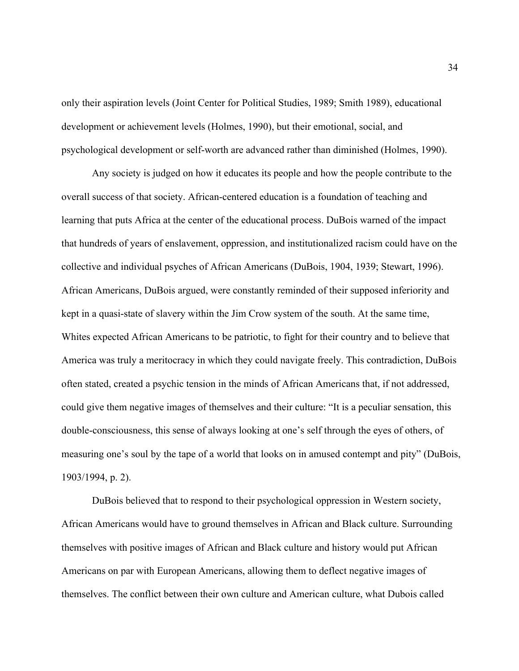only their aspiration levels (Joint Center for Political Studies, 1989; Smith 1989), educational development or achievement levels (Holmes, 1990), but their emotional, social, and psychological development or self-worth are advanced rather than diminished (Holmes, 1990).

Any society is judged on how it educates its people and how the people contribute to the overall success of that society. African-centered education is a foundation of teaching and learning that puts Africa at the center of the educational process. DuBois warned of the impact that hundreds of years of enslavement, oppression, and institutionalized racism could have on the collective and individual psyches of African Americans (DuBois, 1904, 1939; Stewart, 1996). African Americans, DuBois argued, were constantly reminded of their supposed inferiority and kept in a quasi-state of slavery within the Jim Crow system of the south. At the same time, Whites expected African Americans to be patriotic, to fight for their country and to believe that America was truly a meritocracy in which they could navigate freely. This contradiction, DuBois often stated, created a psychic tension in the minds of African Americans that, if not addressed, could give them negative images of themselves and their culture: "It is a peculiar sensation, this double-consciousness, this sense of always looking at one's self through the eyes of others, of measuring one's soul by the tape of a world that looks on in amused contempt and pity" (DuBois, 1903/1994, p. 2).

DuBois believed that to respond to their psychological oppression in Western society, African Americans would have to ground themselves in African and Black culture. Surrounding themselves with positive images of African and Black culture and history would put African Americans on par with European Americans, allowing them to deflect negative images of themselves. The conflict between their own culture and American culture, what Dubois called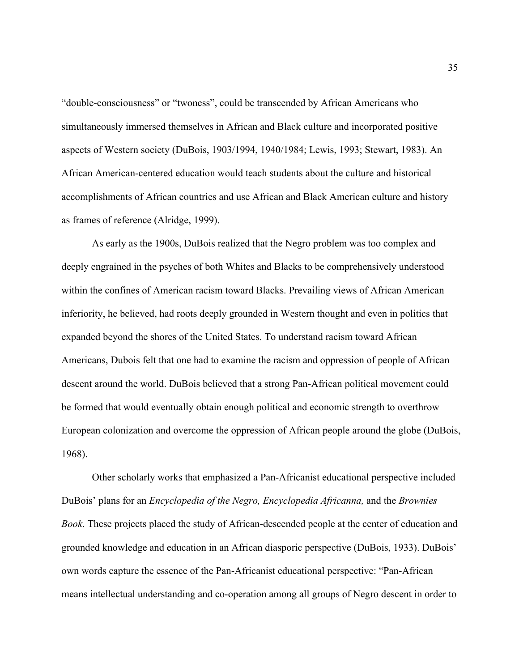"double-consciousness" or "twoness", could be transcended by African Americans who simultaneously immersed themselves in African and Black culture and incorporated positive aspects of Western society (DuBois, 1903/1994, 1940/1984; Lewis, 1993; Stewart, 1983). An African American-centered education would teach students about the culture and historical accomplishments of African countries and use African and Black American culture and history as frames of reference (Alridge, 1999).

As early as the 1900s, DuBois realized that the Negro problem was too complex and deeply engrained in the psyches of both Whites and Blacks to be comprehensively understood within the confines of American racism toward Blacks. Prevailing views of African American inferiority, he believed, had roots deeply grounded in Western thought and even in politics that expanded beyond the shores of the United States. To understand racism toward African Americans, Dubois felt that one had to examine the racism and oppression of people of African descent around the world. DuBois believed that a strong Pan-African political movement could be formed that would eventually obtain enough political and economic strength to overthrow European colonization and overcome the oppression of African people around the globe (DuBois, 1968).

Other scholarly works that emphasized a Pan-Africanist educational perspective included DuBois' plans for an *Encyclopedia of the Negro, Encyclopedia Africanna,* and the *Brownies Book*. These projects placed the study of African-descended people at the center of education and grounded knowledge and education in an African diasporic perspective (DuBois, 1933). DuBois' own words capture the essence of the Pan-Africanist educational perspective: "Pan-African means intellectual understanding and co-operation among all groups of Negro descent in order to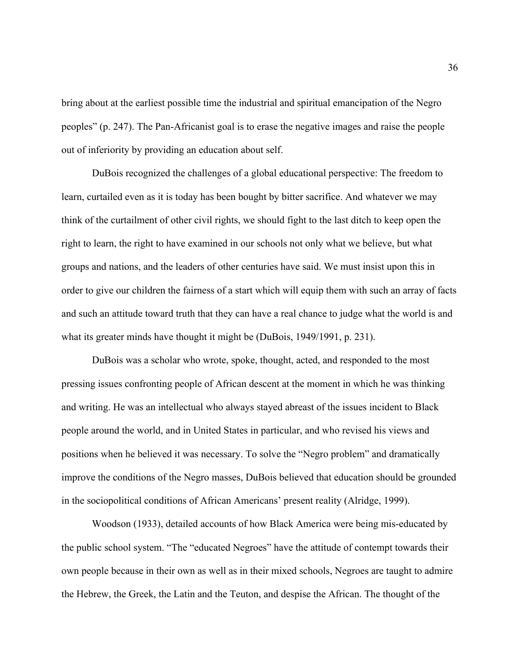bring about at the earliest possible time the industrial and spiritual emancipation of the Negro peoples" (p. 247). The Pan-Africanist goal is to erase the negative images and raise the people out of inferiority by providing an education about self.

DuBois recognized the challenges of a global educational perspective: The freedom to learn, curtailed even as it is today has been bought by bitter sacrifice. And whatever we may think of the curtailment of other civil rights, we should fight to the last ditch to keep open the right to learn, the right to have examined in our schools not only what we believe, but what groups and nations, and the leaders of other centuries have said. We must insist upon this in order to give our children the fairness of a start which will equip them with such an array of facts and such an attitude toward truth that they can have a real chance to judge what the world is and what its greater minds have thought it might be (DuBois, 1949/1991, p. 231).

DuBois was a scholar who wrote, spoke, thought, acted, and responded to the most pressing issues confronting people of African descent at the moment in which he was thinking and writing. He was an intellectual who always stayed abreast of the issues incident to Black people around the world, and in United States in particular, and who revised his views and positions when he believed it was necessary. To solve the "Negro problem" and dramatically improve the conditions of the Negro masses, DuBois believed that education should be grounded in the sociopolitical conditions of African Americans' present reality (Alridge, 1999).

Woodson (1933), detailed accounts of how Black America were being mis-educated by the public school system. "The "educated Negroes" have the attitude of contempt towards their own people because in their own as well as in their mixed schools, Negroes are taught to admire the Hebrew, the Greek, the Latin and the Teuton, and despise the African. The thought of the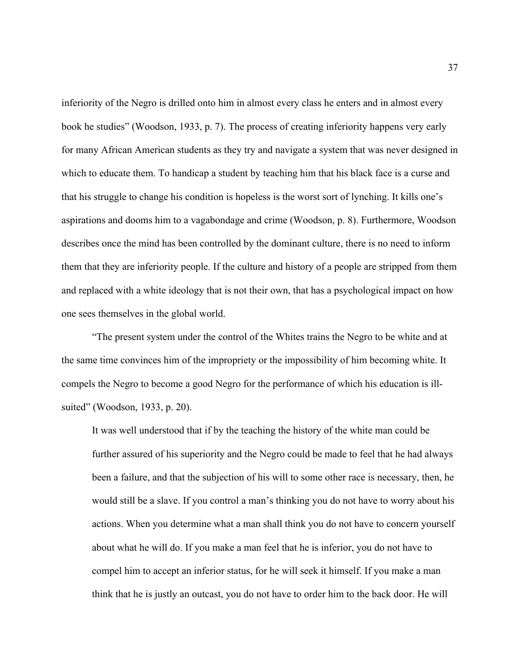inferiority of the Negro is drilled onto him in almost every class he enters and in almost every book he studies" (Woodson, 1933, p. 7). The process of creating inferiority happens very early for many African American students as they try and navigate a system that was never designed in which to educate them. To handicap a student by teaching him that his black face is a curse and that his struggle to change his condition is hopeless is the worst sort of lynching. It kills one's aspirations and dooms him to a vagabondage and crime (Woodson, p. 8). Furthermore, Woodson describes once the mind has been controlled by the dominant culture, there is no need to inform them that they are inferiority people. If the culture and history of a people are stripped from them and replaced with a white ideology that is not their own, that has a psychological impact on how one sees themselves in the global world.

"The present system under the control of the Whites trains the Negro to be white and at the same time convinces him of the impropriety or the impossibility of him becoming white. It compels the Negro to become a good Negro for the performance of which his education is illsuited" (Woodson, 1933, p. 20).

It was well understood that if by the teaching the history of the white man could be further assured of his superiority and the Negro could be made to feel that he had always been a failure, and that the subjection of his will to some other race is necessary, then, he would still be a slave. If you control a man's thinking you do not have to worry about his actions. When you determine what a man shall think you do not have to concern yourself about what he will do. If you make a man feel that he is inferior, you do not have to compel him to accept an inferior status, for he will seek it himself. If you make a man think that he is justly an outcast, you do not have to order him to the back door. He will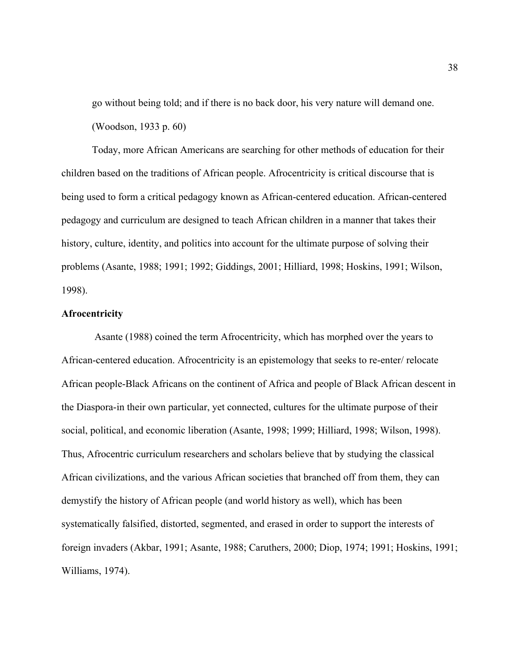go without being told; and if there is no back door, his very nature will demand one. (Woodson, 1933 p. 60)

Today, more African Americans are searching for other methods of education for their children based on the traditions of African people. Afrocentricity is critical discourse that is being used to form a critical pedagogy known as African-centered education. African-centered pedagogy and curriculum are designed to teach African children in a manner that takes their history, culture, identity, and politics into account for the ultimate purpose of solving their problems (Asante, 1988; 1991; 1992; Giddings, 2001; Hilliard, 1998; Hoskins, 1991; Wilson, 1998).

## **Afrocentricity**

Asante (1988) coined the term Afrocentricity, which has morphed over the years to African-centered education. Afrocentricity is an epistemology that seeks to re-enter/ relocate African people-Black Africans on the continent of Africa and people of Black African descent in the Diaspora-in their own particular, yet connected, cultures for the ultimate purpose of their social, political, and economic liberation (Asante, 1998; 1999; Hilliard, 1998; Wilson, 1998). Thus, Afrocentric curriculum researchers and scholars believe that by studying the classical African civilizations, and the various African societies that branched off from them, they can demystify the history of African people (and world history as well), which has been systematically falsified, distorted, segmented, and erased in order to support the interests of foreign invaders (Akbar, 1991; Asante, 1988; Caruthers, 2000; Diop, 1974; 1991; Hoskins, 1991; Williams, 1974).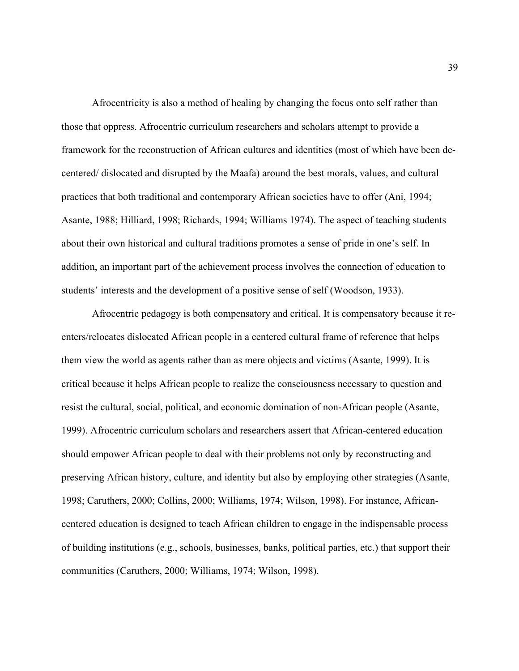Afrocentricity is also a method of healing by changing the focus onto self rather than those that oppress. Afrocentric curriculum researchers and scholars attempt to provide a framework for the reconstruction of African cultures and identities (most of which have been decentered/ dislocated and disrupted by the Maafa) around the best morals, values, and cultural practices that both traditional and contemporary African societies have to offer (Ani, 1994; Asante, 1988; Hilliard, 1998; Richards, 1994; Williams 1974). The aspect of teaching students about their own historical and cultural traditions promotes a sense of pride in one's self. In addition, an important part of the achievement process involves the connection of education to students' interests and the development of a positive sense of self (Woodson, 1933).

Afrocentric pedagogy is both compensatory and critical. It is compensatory because it reenters/relocates dislocated African people in a centered cultural frame of reference that helps them view the world as agents rather than as mere objects and victims (Asante, 1999). It is critical because it helps African people to realize the consciousness necessary to question and resist the cultural, social, political, and economic domination of non-African people (Asante, 1999). Afrocentric curriculum scholars and researchers assert that African-centered education should empower African people to deal with their problems not only by reconstructing and preserving African history, culture, and identity but also by employing other strategies (Asante, 1998; Caruthers, 2000; Collins, 2000; Williams, 1974; Wilson, 1998). For instance, Africancentered education is designed to teach African children to engage in the indispensable process of building institutions (e.g., schools, businesses, banks, political parties, etc.) that support their communities (Caruthers, 2000; Williams, 1974; Wilson, 1998).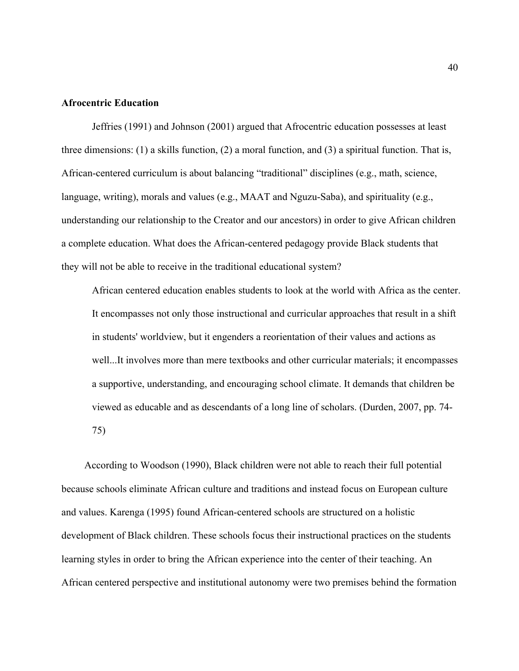# **Afrocentric Education**

Jeffries (1991) and Johnson (2001) argued that Afrocentric education possesses at least three dimensions: (1) a skills function, (2) a moral function, and (3) a spiritual function. That is, African-centered curriculum is about balancing "traditional" disciplines (e.g., math, science, language, writing), morals and values (e.g., MAAT and Nguzu-Saba), and spirituality (e.g., understanding our relationship to the Creator and our ancestors) in order to give African children a complete education. What does the African-centered pedagogy provide Black students that they will not be able to receive in the traditional educational system?

African centered education enables students to look at the world with Africa as the center. It encompasses not only those instructional and curricular approaches that result in a shift in students' worldview, but it engenders a reorientation of their values and actions as well...It involves more than mere textbooks and other curricular materials; it encompasses a supportive, understanding, and encouraging school climate. It demands that children be viewed as educable and as descendants of a long line of scholars. (Durden, 2007, pp. 74- 75)

According to Woodson (1990), Black children were not able to reach their full potential because schools eliminate African culture and traditions and instead focus on European culture and values. Karenga (1995) found African-centered schools are structured on a holistic development of Black children. These schools focus their instructional practices on the students learning styles in order to bring the African experience into the center of their teaching. An African centered perspective and institutional autonomy were two premises behind the formation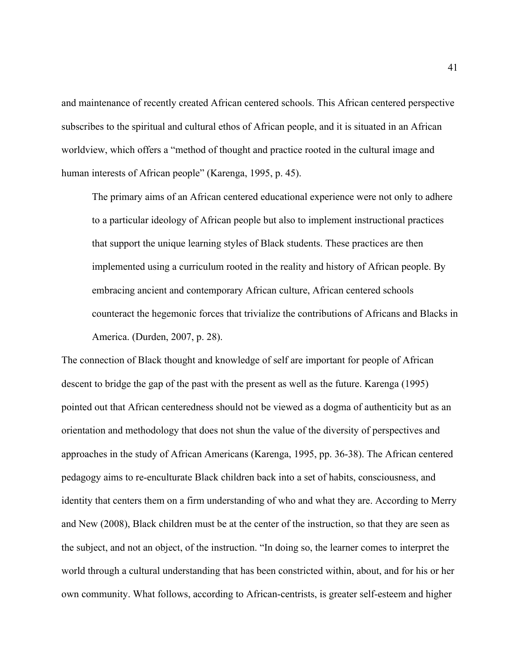and maintenance of recently created African centered schools. This African centered perspective subscribes to the spiritual and cultural ethos of African people, and it is situated in an African worldview, which offers a "method of thought and practice rooted in the cultural image and human interests of African people" (Karenga, 1995, p. 45).

The primary aims of an African centered educational experience were not only to adhere to a particular ideology of African people but also to implement instructional practices that support the unique learning styles of Black students. These practices are then implemented using a curriculum rooted in the reality and history of African people. By embracing ancient and contemporary African culture, African centered schools counteract the hegemonic forces that trivialize the contributions of Africans and Blacks in America. (Durden, 2007, p. 28).

The connection of Black thought and knowledge of self are important for people of African descent to bridge the gap of the past with the present as well as the future. Karenga (1995) pointed out that African centeredness should not be viewed as a dogma of authenticity but as an orientation and methodology that does not shun the value of the diversity of perspectives and approaches in the study of African Americans (Karenga, 1995, pp. 36-38). The African centered pedagogy aims to re-enculturate Black children back into a set of habits, consciousness, and identity that centers them on a firm understanding of who and what they are. According to Merry and New (2008), Black children must be at the center of the instruction, so that they are seen as the subject, and not an object, of the instruction. "In doing so, the learner comes to interpret the world through a cultural understanding that has been constricted within, about, and for his or her own community. What follows, according to African-centrists, is greater self-esteem and higher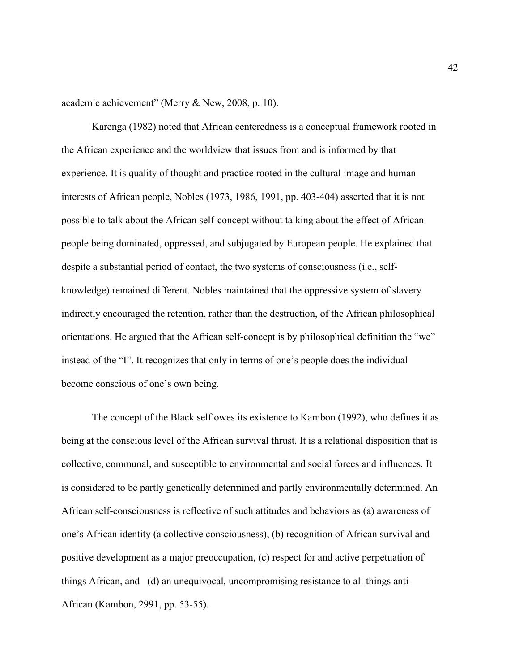academic achievement" (Merry & New, 2008, p. 10).

Karenga (1982) noted that African centeredness is a conceptual framework rooted in the African experience and the worldview that issues from and is informed by that experience. It is quality of thought and practice rooted in the cultural image and human interests of African people, Nobles (1973, 1986, 1991, pp. 403-404) asserted that it is not possible to talk about the African self-concept without talking about the effect of African people being dominated, oppressed, and subjugated by European people. He explained that despite a substantial period of contact, the two systems of consciousness (i.e., selfknowledge) remained different. Nobles maintained that the oppressive system of slavery indirectly encouraged the retention, rather than the destruction, of the African philosophical orientations. He argued that the African self-concept is by philosophical definition the "we" instead of the "I". It recognizes that only in terms of one's people does the individual become conscious of one's own being.

The concept of the Black self owes its existence to Kambon (1992), who defines it as being at the conscious level of the African survival thrust. It is a relational disposition that is collective, communal, and susceptible to environmental and social forces and influences. It is considered to be partly genetically determined and partly environmentally determined. An African self-consciousness is reflective of such attitudes and behaviors as (a) awareness of one's African identity (a collective consciousness), (b) recognition of African survival and positive development as a major preoccupation, (c) respect for and active perpetuation of things African, and (d) an unequivocal, uncompromising resistance to all things anti-African (Kambon, 2991, pp. 53-55).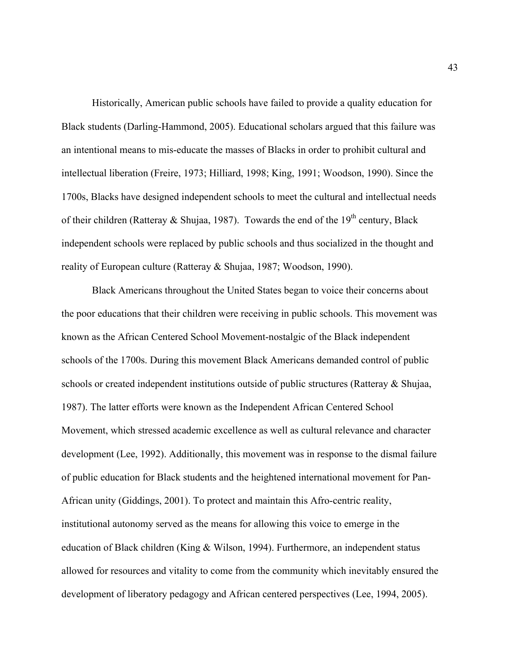Historically, American public schools have failed to provide a quality education for Black students (Darling-Hammond, 2005). Educational scholars argued that this failure was an intentional means to mis-educate the masses of Blacks in order to prohibit cultural and intellectual liberation (Freire, 1973; Hilliard, 1998; King, 1991; Woodson, 1990). Since the 1700s, Blacks have designed independent schools to meet the cultural and intellectual needs of their children (Ratteray & Shujaa, 1987). Towards the end of the 19<sup>th</sup> century, Black independent schools were replaced by public schools and thus socialized in the thought and reality of European culture (Ratteray & Shujaa, 1987; Woodson, 1990).

Black Americans throughout the United States began to voice their concerns about the poor educations that their children were receiving in public schools. This movement was known as the African Centered School Movement-nostalgic of the Black independent schools of the 1700s. During this movement Black Americans demanded control of public schools or created independent institutions outside of public structures (Ratteray & Shujaa, 1987). The latter efforts were known as the Independent African Centered School Movement, which stressed academic excellence as well as cultural relevance and character development (Lee, 1992). Additionally, this movement was in response to the dismal failure of public education for Black students and the heightened international movement for Pan-African unity (Giddings, 2001). To protect and maintain this Afro-centric reality, institutional autonomy served as the means for allowing this voice to emerge in the education of Black children (King & Wilson, 1994). Furthermore, an independent status allowed for resources and vitality to come from the community which inevitably ensured the development of liberatory pedagogy and African centered perspectives (Lee, 1994, 2005).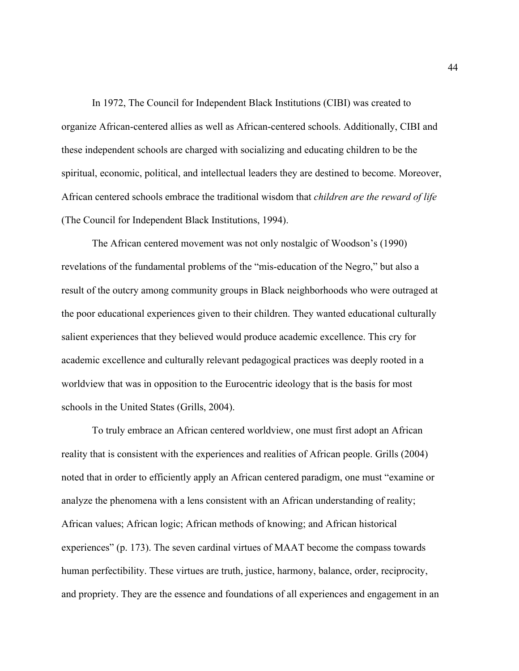In 1972, The Council for Independent Black Institutions (CIBI) was created to organize African-centered allies as well as African-centered schools. Additionally, CIBI and these independent schools are charged with socializing and educating children to be the spiritual, economic, political, and intellectual leaders they are destined to become. Moreover, African centered schools embrace the traditional wisdom that *children are the reward of life* (The Council for Independent Black Institutions, 1994).

The African centered movement was not only nostalgic of Woodson's (1990) revelations of the fundamental problems of the "mis-education of the Negro," but also a result of the outcry among community groups in Black neighborhoods who were outraged at the poor educational experiences given to their children. They wanted educational culturally salient experiences that they believed would produce academic excellence. This cry for academic excellence and culturally relevant pedagogical practices was deeply rooted in a worldview that was in opposition to the Eurocentric ideology that is the basis for most schools in the United States (Grills, 2004).

To truly embrace an African centered worldview, one must first adopt an African reality that is consistent with the experiences and realities of African people. Grills (2004) noted that in order to efficiently apply an African centered paradigm, one must "examine or analyze the phenomena with a lens consistent with an African understanding of reality; African values; African logic; African methods of knowing; and African historical experiences" (p. 173). The seven cardinal virtues of MAAT become the compass towards human perfectibility. These virtues are truth, justice, harmony, balance, order, reciprocity, and propriety. They are the essence and foundations of all experiences and engagement in an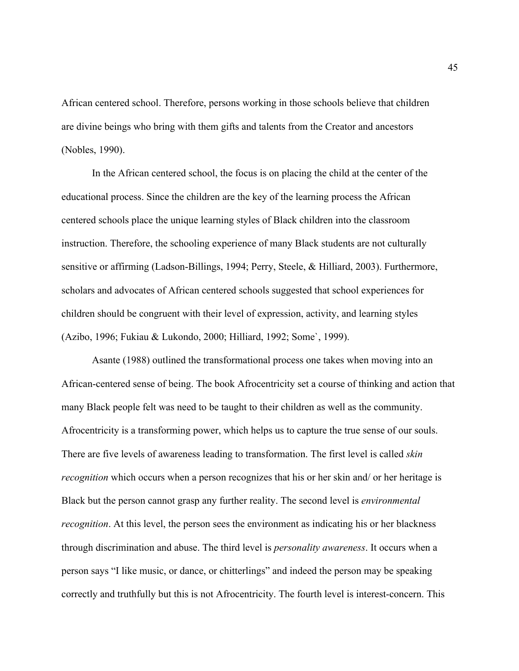African centered school. Therefore, persons working in those schools believe that children are divine beings who bring with them gifts and talents from the Creator and ancestors (Nobles, 1990).

In the African centered school, the focus is on placing the child at the center of the educational process. Since the children are the key of the learning process the African centered schools place the unique learning styles of Black children into the classroom instruction. Therefore, the schooling experience of many Black students are not culturally sensitive or affirming (Ladson-Billings, 1994; Perry, Steele, & Hilliard, 2003). Furthermore, scholars and advocates of African centered schools suggested that school experiences for children should be congruent with their level of expression, activity, and learning styles (Azibo, 1996; Fukiau & Lukondo, 2000; Hilliard, 1992; Some`, 1999).

Asante (1988) outlined the transformational process one takes when moving into an African-centered sense of being. The book Afrocentricity set a course of thinking and action that many Black people felt was need to be taught to their children as well as the community. Afrocentricity is a transforming power, which helps us to capture the true sense of our souls. There are five levels of awareness leading to transformation. The first level is called *skin recognition* which occurs when a person recognizes that his or her skin and/ or her heritage is Black but the person cannot grasp any further reality. The second level is *environmental recognition*. At this level, the person sees the environment as indicating his or her blackness through discrimination and abuse. The third level is *personality awareness*. It occurs when a person says "I like music, or dance, or chitterlings" and indeed the person may be speaking correctly and truthfully but this is not Afrocentricity. The fourth level is interest-concern. This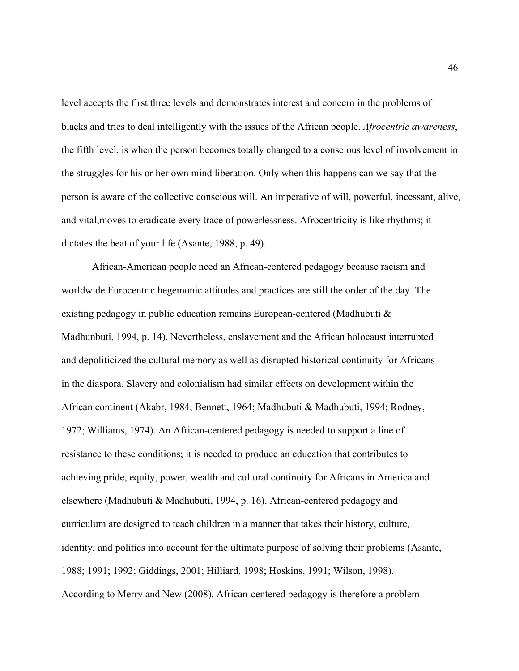level accepts the first three levels and demonstrates interest and concern in the problems of blacks and tries to deal intelligently with the issues of the African people. *Afrocentric awareness*, the fifth level, is when the person becomes totally changed to a conscious level of involvement in the struggles for his or her own mind liberation. Only when this happens can we say that the person is aware of the collective conscious will. An imperative of will, powerful, incessant, alive, and vital,moves to eradicate every trace of powerlessness. Afrocentricity is like rhythms; it dictates the beat of your life (Asante, 1988, p. 49).

African-American people need an African-centered pedagogy because racism and worldwide Eurocentric hegemonic attitudes and practices are still the order of the day. The existing pedagogy in public education remains European-centered (Madhubuti & Madhunbuti, 1994, p. 14). Nevertheless, enslavement and the African holocaust interrupted and depoliticized the cultural memory as well as disrupted historical continuity for Africans in the diaspora. Slavery and colonialism had similar effects on development within the African continent (Akabr, 1984; Bennett, 1964; Madhubuti & Madhubuti, 1994; Rodney, 1972; Williams, 1974). An African-centered pedagogy is needed to support a line of resistance to these conditions; it is needed to produce an education that contributes to achieving pride, equity, power, wealth and cultural continuity for Africans in America and elsewhere (Madhubuti & Madhubuti, 1994, p. 16). African-centered pedagogy and curriculum are designed to teach children in a manner that takes their history, culture, identity, and politics into account for the ultimate purpose of solving their problems (Asante, 1988; 1991; 1992; Giddings, 2001; Hilliard, 1998; Hoskins, 1991; Wilson, 1998). According to Merry and New (2008), African-centered pedagogy is therefore a problem-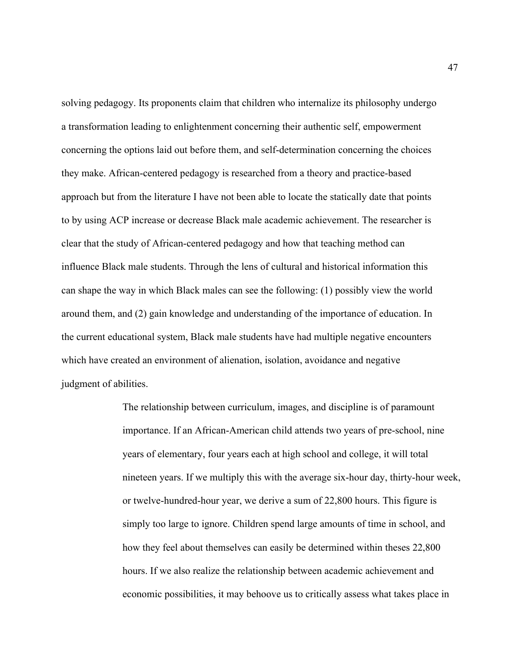solving pedagogy. Its proponents claim that children who internalize its philosophy undergo a transformation leading to enlightenment concerning their authentic self, empowerment concerning the options laid out before them, and self-determination concerning the choices they make. African-centered pedagogy is researched from a theory and practice-based approach but from the literature I have not been able to locate the statically date that points to by using ACP increase or decrease Black male academic achievement. The researcher is clear that the study of African-centered pedagogy and how that teaching method can influence Black male students. Through the lens of cultural and historical information this can shape the way in which Black males can see the following: (1) possibly view the world around them, and (2) gain knowledge and understanding of the importance of education. In the current educational system, Black male students have had multiple negative encounters which have created an environment of alienation, isolation, avoidance and negative judgment of abilities.

> The relationship between curriculum, images, and discipline is of paramount importance. If an African-American child attends two years of pre-school, nine years of elementary, four years each at high school and college, it will total nineteen years. If we multiply this with the average six-hour day, thirty-hour week, or twelve-hundred-hour year, we derive a sum of 22,800 hours. This figure is simply too large to ignore. Children spend large amounts of time in school, and how they feel about themselves can easily be determined within theses 22,800 hours. If we also realize the relationship between academic achievement and economic possibilities, it may behoove us to critically assess what takes place in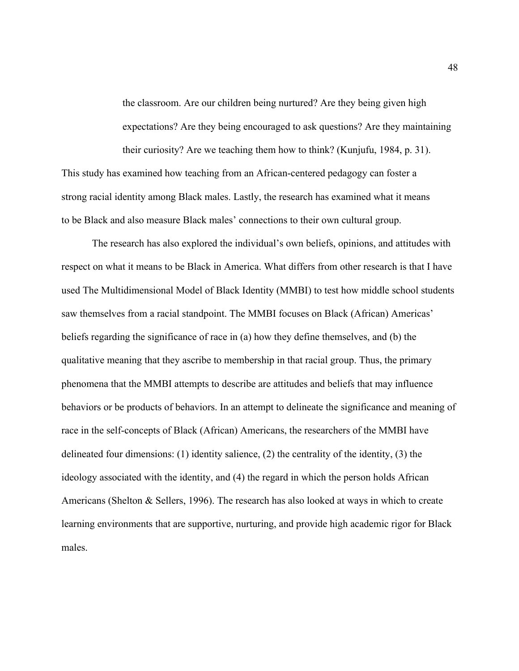the classroom. Are our children being nurtured? Are they being given high expectations? Are they being encouraged to ask questions? Are they maintaining their curiosity? Are we teaching them how to think? (Kunjufu, 1984, p. 31).

This study has examined how teaching from an African-centered pedagogy can foster a strong racial identity among Black males. Lastly, the research has examined what it means to be Black and also measure Black males' connections to their own cultural group.

The research has also explored the individual's own beliefs, opinions, and attitudes with respect on what it means to be Black in America. What differs from other research is that I have used The Multidimensional Model of Black Identity (MMBI) to test how middle school students saw themselves from a racial standpoint. The MMBI focuses on Black (African) Americas' beliefs regarding the significance of race in (a) how they define themselves, and (b) the qualitative meaning that they ascribe to membership in that racial group. Thus, the primary phenomena that the MMBI attempts to describe are attitudes and beliefs that may influence behaviors or be products of behaviors. In an attempt to delineate the significance and meaning of race in the self-concepts of Black (African) Americans, the researchers of the MMBI have delineated four dimensions: (1) identity salience, (2) the centrality of the identity, (3) the ideology associated with the identity, and (4) the regard in which the person holds African Americans (Shelton & Sellers, 1996). The research has also looked at ways in which to create learning environments that are supportive, nurturing, and provide high academic rigor for Black males.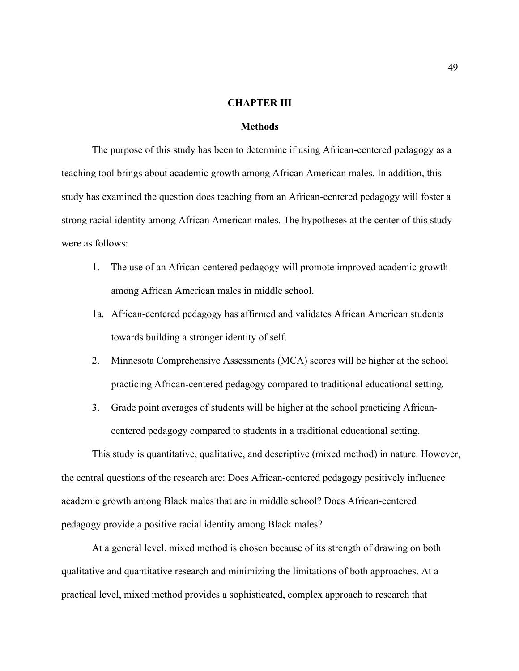## **CHAPTER III**

## **Methods**

The purpose of this study has been to determine if using African-centered pedagogy as a teaching tool brings about academic growth among African American males. In addition, this study has examined the question does teaching from an African-centered pedagogy will foster a strong racial identity among African American males. The hypotheses at the center of this study were as follows:

- 1. The use of an African-centered pedagogy will promote improved academic growth among African American males in middle school.
- 1a. African-centered pedagogy has affirmed and validates African American students towards building a stronger identity of self.
- 2. Minnesota Comprehensive Assessments (MCA) scores will be higher at the school practicing African-centered pedagogy compared to traditional educational setting.
- 3. Grade point averages of students will be higher at the school practicing Africancentered pedagogy compared to students in a traditional educational setting.

This study is quantitative, qualitative, and descriptive (mixed method) in nature. However, the central questions of the research are: Does African-centered pedagogy positively influence academic growth among Black males that are in middle school? Does African-centered pedagogy provide a positive racial identity among Black males?

At a general level, mixed method is chosen because of its strength of drawing on both qualitative and quantitative research and minimizing the limitations of both approaches. At a practical level, mixed method provides a sophisticated, complex approach to research that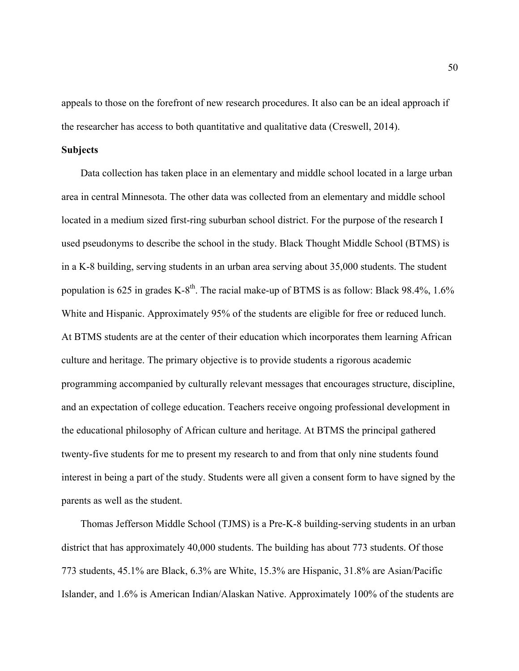appeals to those on the forefront of new research procedures. It also can be an ideal approach if the researcher has access to both quantitative and qualitative data (Creswell, 2014).

## **Subjects**

Data collection has taken place in an elementary and middle school located in a large urban area in central Minnesota. The other data was collected from an elementary and middle school located in a medium sized first-ring suburban school district. For the purpose of the research I used pseudonyms to describe the school in the study. Black Thought Middle School (BTMS) is in a K-8 building, serving students in an urban area serving about 35,000 students. The student population is 625 in grades K-8<sup>th</sup>. The racial make-up of BTMS is as follow: Black 98.4%, 1.6% White and Hispanic. Approximately 95% of the students are eligible for free or reduced lunch. At BTMS students are at the center of their education which incorporates them learning African culture and heritage. The primary objective is to provide students a rigorous academic programming accompanied by culturally relevant messages that encourages structure, discipline, and an expectation of college education. Teachers receive ongoing professional development in the educational philosophy of African culture and heritage. At BTMS the principal gathered twenty-five students for me to present my research to and from that only nine students found interest in being a part of the study. Students were all given a consent form to have signed by the parents as well as the student.

Thomas Jefferson Middle School (TJMS) is a Pre-K-8 building-serving students in an urban district that has approximately 40,000 students. The building has about 773 students. Of those 773 students, 45.1% are Black, 6.3% are White, 15.3% are Hispanic, 31.8% are Asian/Pacific Islander, and 1.6% is American Indian/Alaskan Native. Approximately 100% of the students are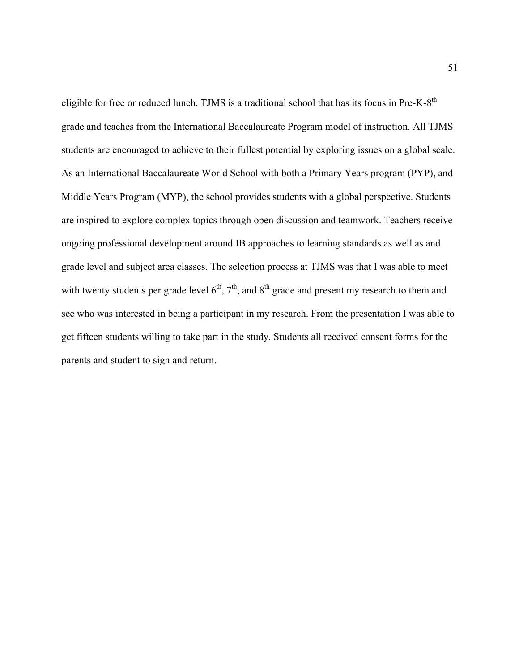eligible for free or reduced lunch. TJMS is a traditional school that has its focus in Pre-K-8<sup>th</sup> grade and teaches from the International Baccalaureate Program model of instruction. All TJMS students are encouraged to achieve to their fullest potential by exploring issues on a global scale. As an International Baccalaureate World School with both a Primary Years program (PYP), and Middle Years Program (MYP), the school provides students with a global perspective. Students are inspired to explore complex topics through open discussion and teamwork. Teachers receive ongoing professional development around IB approaches to learning standards as well as and grade level and subject area classes. The selection process at TJMS was that I was able to meet with twenty students per grade level  $6<sup>th</sup>$ ,  $7<sup>th</sup>$ , and  $8<sup>th</sup>$  grade and present my research to them and see who was interested in being a participant in my research. From the presentation I was able to get fifteen students willing to take part in the study. Students all received consent forms for the parents and student to sign and return.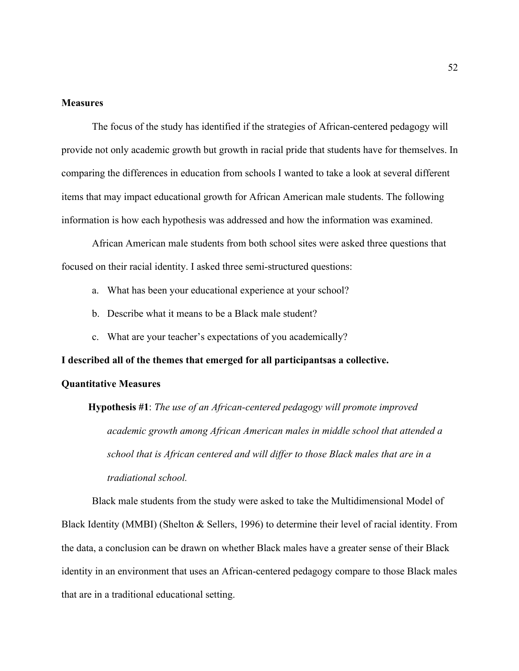### **Measures**

The focus of the study has identified if the strategies of African-centered pedagogy will provide not only academic growth but growth in racial pride that students have for themselves. In comparing the differences in education from schools I wanted to take a look at several different items that may impact educational growth for African American male students. The following information is how each hypothesis was addressed and how the information was examined.

African American male students from both school sites were asked three questions that focused on their racial identity. I asked three semi-structured questions:

- a. What has been your educational experience at your school?
- b. Describe what it means to be a Black male student?
- c. What are your teacher's expectations of you academically?

**I described all of the themes that emerged for all participantsas a collective.** 

# **Quantitative Measures**

**Hypothesis #1**: *The use of an African-centered pedagogy will promote improved academic growth among African American males in middle school that attended a school that is African centered and will differ to those Black males that are in a tradiational school.*

Black male students from the study were asked to take the Multidimensional Model of Black Identity (MMBI) (Shelton & Sellers, 1996) to determine their level of racial identity. From the data, a conclusion can be drawn on whether Black males have a greater sense of their Black identity in an environment that uses an African-centered pedagogy compare to those Black males that are in a traditional educational setting.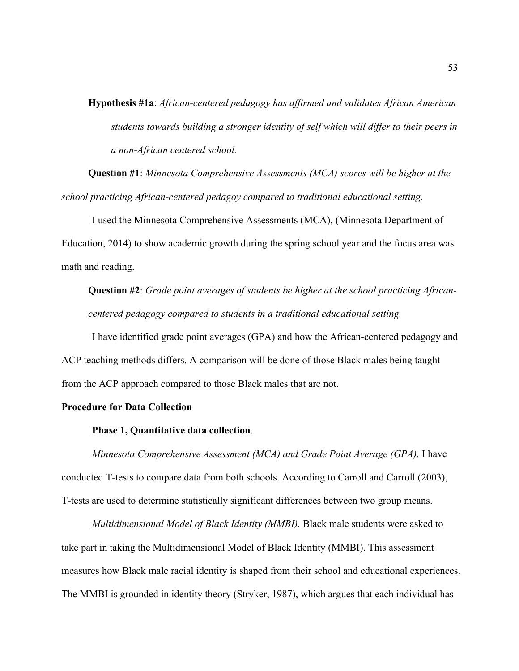**Hypothesis #1a**: *African-centered pedagogy has affirmed and validates African American students towards building a stronger identity of self which will differ to their peers in a non-African centered school.*

**Question #1**: *Minnesota Comprehensive Assessments (MCA) scores will be higher at the school practicing African-centered pedagoy compared to traditional educational setting.*

I used the Minnesota Comprehensive Assessments (MCA), (Minnesota Department of Education, 2014) to show academic growth during the spring school year and the focus area was math and reading.

**Question #2**: *Grade point averages of students be higher at the school practicing Africancentered pedagogy compared to students in a traditional educational setting.*

I have identified grade point averages (GPA) and how the African-centered pedagogy and ACP teaching methods differs. A comparison will be done of those Black males being taught from the ACP approach compared to those Black males that are not.

### **Procedure for Data Collection**

### **Phase 1, Quantitative data collection**.

*Minnesota Comprehensive Assessment (MCA) and Grade Point Average (GPA).* I have conducted T-tests to compare data from both schools. According to Carroll and Carroll (2003), T-tests are used to determine statistically significant differences between two group means.

*Multidimensional Model of Black Identity (MMBI).* Black male students were asked to take part in taking the Multidimensional Model of Black Identity (MMBI). This assessment measures how Black male racial identity is shaped from their school and educational experiences. The MMBI is grounded in identity theory (Stryker, 1987), which argues that each individual has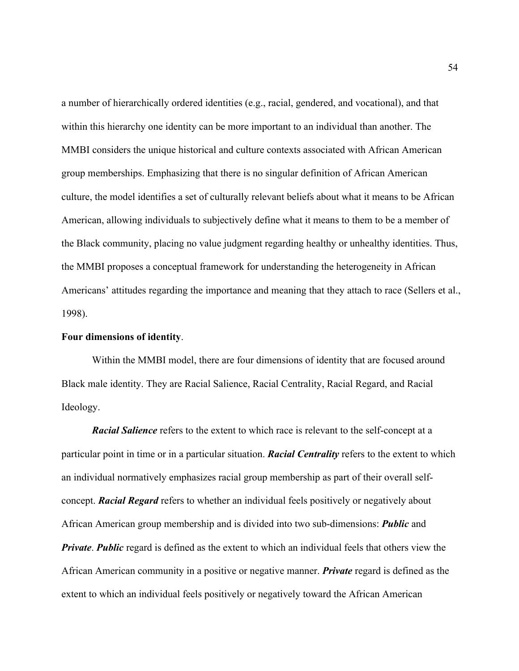a number of hierarchically ordered identities (e.g., racial, gendered, and vocational), and that within this hierarchy one identity can be more important to an individual than another. The MMBI considers the unique historical and culture contexts associated with African American group memberships. Emphasizing that there is no singular definition of African American culture, the model identifies a set of culturally relevant beliefs about what it means to be African American, allowing individuals to subjectively define what it means to them to be a member of the Black community, placing no value judgment regarding healthy or unhealthy identities. Thus, the MMBI proposes a conceptual framework for understanding the heterogeneity in African Americans' attitudes regarding the importance and meaning that they attach to race (Sellers et al., 1998).

### **Four dimensions of identity**.

Within the MMBI model, there are four dimensions of identity that are focused around Black male identity. They are Racial Salience, Racial Centrality, Racial Regard, and Racial Ideology.

*Racial Salience* refers to the extent to which race is relevant to the self-concept at a particular point in time or in a particular situation. *Racial Centrality* refers to the extent to which an individual normatively emphasizes racial group membership as part of their overall selfconcept. *Racial Regard* refers to whether an individual feels positively or negatively about African American group membership and is divided into two sub-dimensions: *Public* and *Private*. *Public* regard is defined as the extent to which an individual feels that others view the African American community in a positive or negative manner. *Private* regard is defined as the extent to which an individual feels positively or negatively toward the African American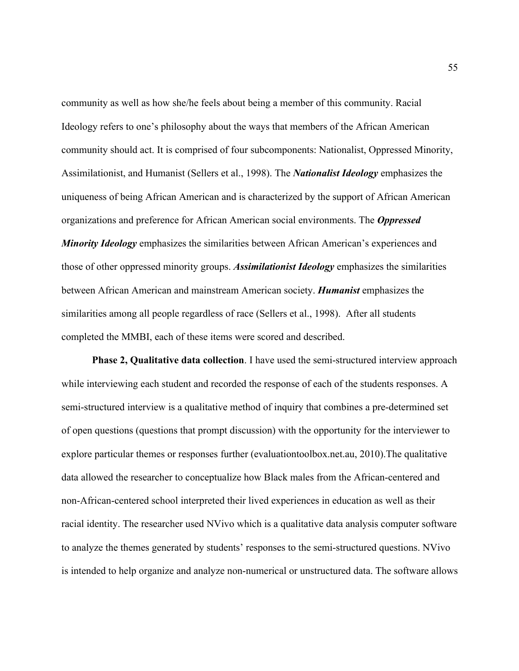community as well as how she/he feels about being a member of this community. Racial Ideology refers to one's philosophy about the ways that members of the African American community should act. It is comprised of four subcomponents: Nationalist, Oppressed Minority, Assimilationist, and Humanist (Sellers et al., 1998). The *Nationalist Ideology* emphasizes the uniqueness of being African American and is characterized by the support of African American organizations and preference for African American social environments. The *Oppressed Minority Ideology* emphasizes the similarities between African American's experiences and those of other oppressed minority groups. *Assimilationist Ideology* emphasizes the similarities between African American and mainstream American society. *Humanist* emphasizes the similarities among all people regardless of race (Sellers et al., 1998). After all students completed the MMBI, each of these items were scored and described.

**Phase 2, Qualitative data collection**. I have used the semi-structured interview approach while interviewing each student and recorded the response of each of the students responses. A semi-structured interview is a qualitative method of inquiry that combines a pre-determined set of open questions (questions that prompt discussion) with the opportunity for the interviewer to explore particular themes or responses further (evaluationtoolbox.net.au, 2010).The qualitative data allowed the researcher to conceptualize how Black males from the African-centered and non-African-centered school interpreted their lived experiences in education as well as their racial identity. The researcher used NVivo which is a qualitative data analysis computer software to analyze the themes generated by students' responses to the semi-structured questions. NVivo is intended to help organize and analyze non-numerical or unstructured data. The software allows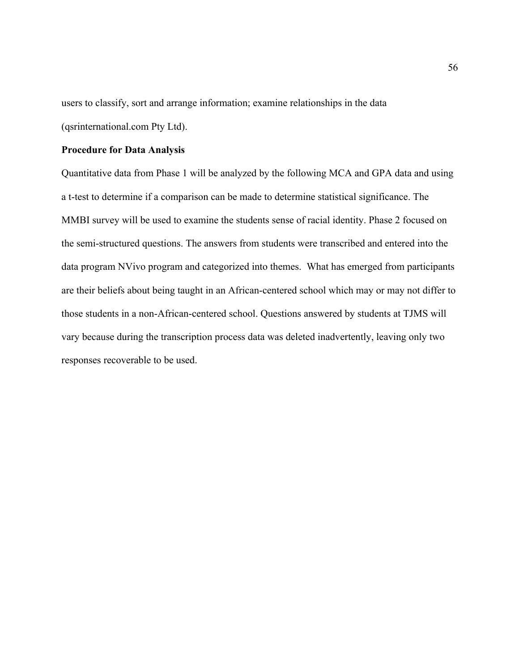users to classify, sort and arrange information; examine relationships in the data (qsrinternational.com Pty Ltd).

# **Procedure for Data Analysis**

Quantitative data from Phase 1 will be analyzed by the following MCA and GPA data and using a t-test to determine if a comparison can be made to determine statistical significance. The MMBI survey will be used to examine the students sense of racial identity. Phase 2 focused on the semi-structured questions. The answers from students were transcribed and entered into the data program NVivo program and categorized into themes. What has emerged from participants are their beliefs about being taught in an African-centered school which may or may not differ to those students in a non-African-centered school. Questions answered by students at TJMS will vary because during the transcription process data was deleted inadvertently, leaving only two responses recoverable to be used.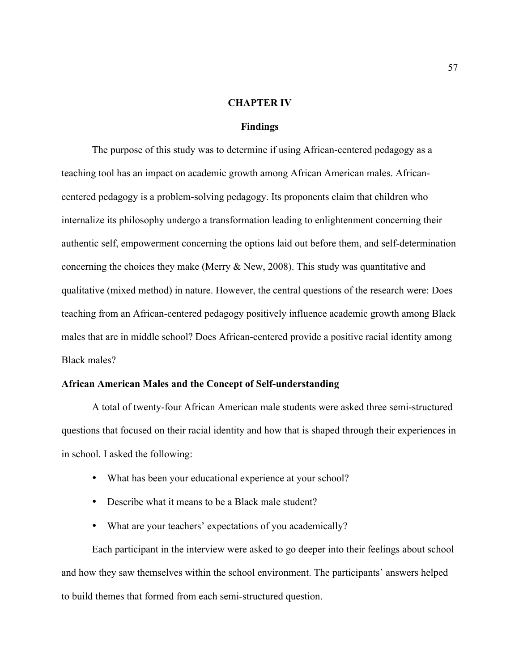## **CHAPTER IV**

# **Findings**

The purpose of this study was to determine if using African-centered pedagogy as a teaching tool has an impact on academic growth among African American males. Africancentered pedagogy is a problem-solving pedagogy. Its proponents claim that children who internalize its philosophy undergo a transformation leading to enlightenment concerning their authentic self, empowerment concerning the options laid out before them, and self-determination concerning the choices they make (Merry & New, 2008). This study was quantitative and qualitative (mixed method) in nature. However, the central questions of the research were: Does teaching from an African-centered pedagogy positively influence academic growth among Black males that are in middle school? Does African-centered provide a positive racial identity among Black males?

## **African American Males and the Concept of Self-understanding**

A total of twenty-four African American male students were asked three semi-structured questions that focused on their racial identity and how that is shaped through their experiences in in school. I asked the following:

- What has been your educational experience at your school?
- Describe what it means to be a Black male student?
- What are your teachers' expectations of you academically?

Each participant in the interview were asked to go deeper into their feelings about school and how they saw themselves within the school environment. The participants' answers helped to build themes that formed from each semi-structured question.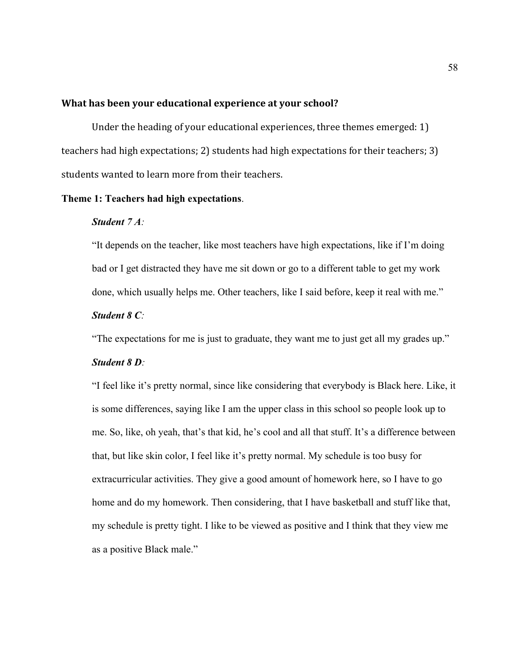# **What has been your educational experience at your school?**

Under the heading of your educational experiences, three themes emerged:  $1$ ) teachers had high expectations; 2) students had high expectations for their teachers; 3) students wanted to learn more from their teachers.

### **Theme 1: Teachers had high expectations**.

#### *Student 7 A:*

"It depends on the teacher, like most teachers have high expectations, like if I'm doing bad or I get distracted they have me sit down or go to a different table to get my work done, which usually helps me. Other teachers, like I said before, keep it real with me."

#### *Student 8 C:*

"The expectations for me is just to graduate, they want me to just get all my grades up."

## *Student 8 D:*

"I feel like it's pretty normal, since like considering that everybody is Black here. Like, it is some differences, saying like I am the upper class in this school so people look up to me. So, like, oh yeah, that's that kid, he's cool and all that stuff. It's a difference between that, but like skin color, I feel like it's pretty normal. My schedule is too busy for extracurricular activities. They give a good amount of homework here, so I have to go home and do my homework. Then considering, that I have basketball and stuff like that, my schedule is pretty tight. I like to be viewed as positive and I think that they view me as a positive Black male."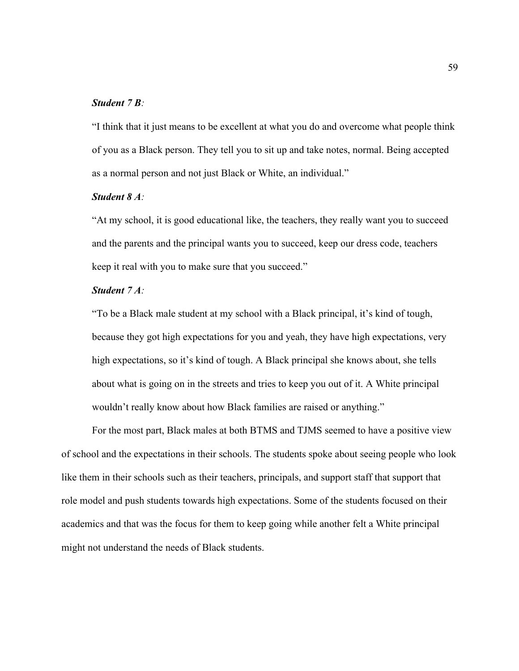# *Student 7 B:*

"I think that it just means to be excellent at what you do and overcome what people think of you as a Black person. They tell you to sit up and take notes, normal. Being accepted as a normal person and not just Black or White, an individual."

# *Student 8 A:*

"At my school, it is good educational like, the teachers, they really want you to succeed and the parents and the principal wants you to succeed, keep our dress code, teachers keep it real with you to make sure that you succeed."

# *Student 7 A:*

"To be a Black male student at my school with a Black principal, it's kind of tough, because they got high expectations for you and yeah, they have high expectations, very high expectations, so it's kind of tough. A Black principal she knows about, she tells about what is going on in the streets and tries to keep you out of it. A White principal wouldn't really know about how Black families are raised or anything."

For the most part, Black males at both BTMS and TJMS seemed to have a positive view of school and the expectations in their schools. The students spoke about seeing people who look like them in their schools such as their teachers, principals, and support staff that support that role model and push students towards high expectations. Some of the students focused on their academics and that was the focus for them to keep going while another felt a White principal might not understand the needs of Black students.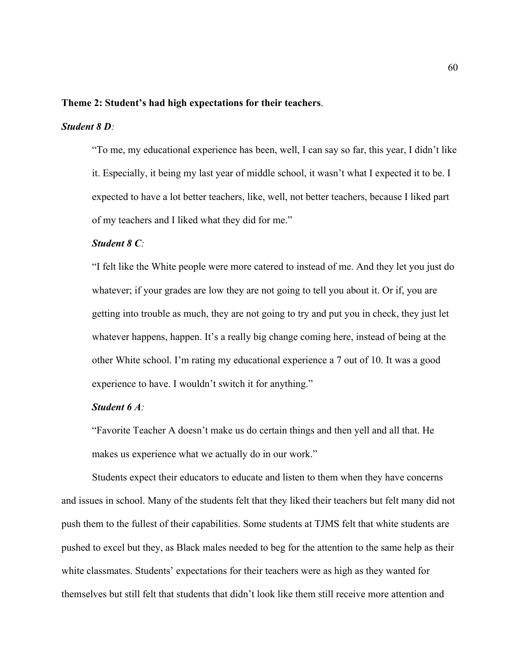#### **Theme 2: Student's had high expectations for their teachers**.

# *Student 8 D:*

"To me, my educational experience has been, well, I can say so far, this year, I didn't like it. Especially, it being my last year of middle school, it wasn't what I expected it to be. I expected to have a lot better teachers, like, well, not better teachers, because I liked part of my teachers and I liked what they did for me."

# *Student 8 C:*

"I felt like the White people were more catered to instead of me. And they let you just do whatever; if your grades are low they are not going to tell you about it. Or if, you are getting into trouble as much, they are not going to try and put you in check, they just let whatever happens, happen. It's a really big change coming here, instead of being at the other White school. I'm rating my educational experience a 7 out of 10. It was a good experience to have. I wouldn't switch it for anything."

### *Student 6 A:*

"Favorite Teacher A doesn't make us do certain things and then yell and all that. He makes us experience what we actually do in our work."

Students expect their educators to educate and listen to them when they have concerns and issues in school. Many of the students felt that they liked their teachers but felt many did not push them to the fullest of their capabilities. Some students at TJMS felt that white students are pushed to excel but they, as Black males needed to beg for the attention to the same help as their white classmates. Students' expectations for their teachers were as high as they wanted for themselves but still felt that students that didn't look like them still receive more attention and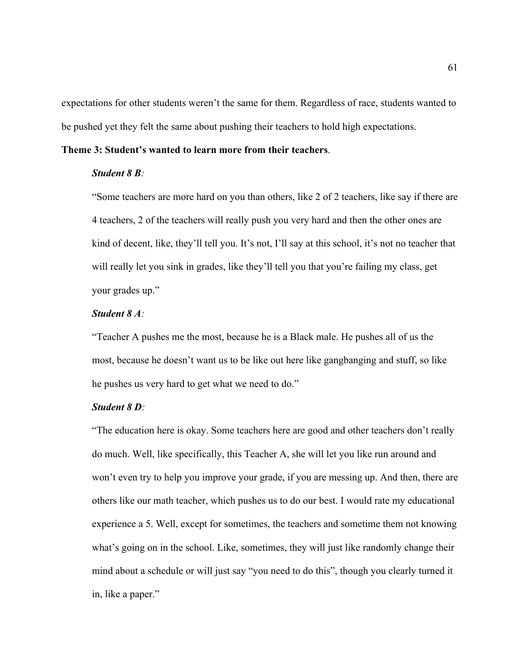expectations for other students weren't the same for them. Regardless of race, students wanted to be pushed yet they felt the same about pushing their teachers to hold high expectations.

## **Theme 3: Student's wanted to learn more from their teachers**.

# *Student 8 B:*

"Some teachers are more hard on you than others, like 2 of 2 teachers, like say if there are 4 teachers, 2 of the teachers will really push you very hard and then the other ones are kind of decent, like, they'll tell you. It's not, I'll say at this school, it's not no teacher that will really let you sink in grades, like they'll tell you that you're failing my class, get your grades up."

# *Student 8 A:*

"Teacher A pushes me the most, because he is a Black male. He pushes all of us the most, because he doesn't want us to be like out here like gangbanging and stuff, so like he pushes us very hard to get what we need to do."

## *Student 8 D:*

"The education here is okay. Some teachers here are good and other teachers don't really do much. Well, like specifically, this Teacher A, she will let you like run around and won't even try to help you improve your grade, if you are messing up. And then, there are others like our math teacher, which pushes us to do our best. I would rate my educational experience a 5. Well, except for sometimes, the teachers and sometime them not knowing what's going on in the school. Like, sometimes, they will just like randomly change their mind about a schedule or will just say "you need to do this", though you clearly turned it in, like a paper."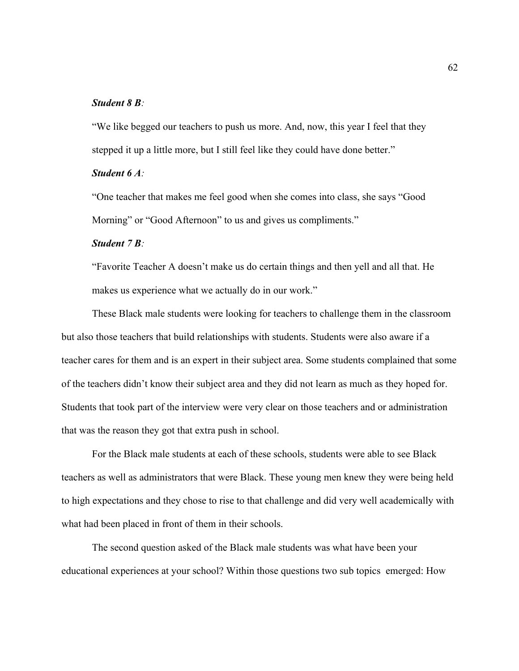# *Student 8 B:*

"We like begged our teachers to push us more. And, now, this year I feel that they stepped it up a little more, but I still feel like they could have done better."

# *Student 6 A:*

"One teacher that makes me feel good when she comes into class, she says "Good Morning" or "Good Afternoon" to us and gives us compliments."

## *Student 7 B:*

"Favorite Teacher A doesn't make us do certain things and then yell and all that. He makes us experience what we actually do in our work."

These Black male students were looking for teachers to challenge them in the classroom but also those teachers that build relationships with students. Students were also aware if a teacher cares for them and is an expert in their subject area. Some students complained that some of the teachers didn't know their subject area and they did not learn as much as they hoped for. Students that took part of the interview were very clear on those teachers and or administration that was the reason they got that extra push in school.

For the Black male students at each of these schools, students were able to see Black teachers as well as administrators that were Black. These young men knew they were being held to high expectations and they chose to rise to that challenge and did very well academically with what had been placed in front of them in their schools.

The second question asked of the Black male students was what have been your educational experiences at your school? Within those questions two sub topics emerged: How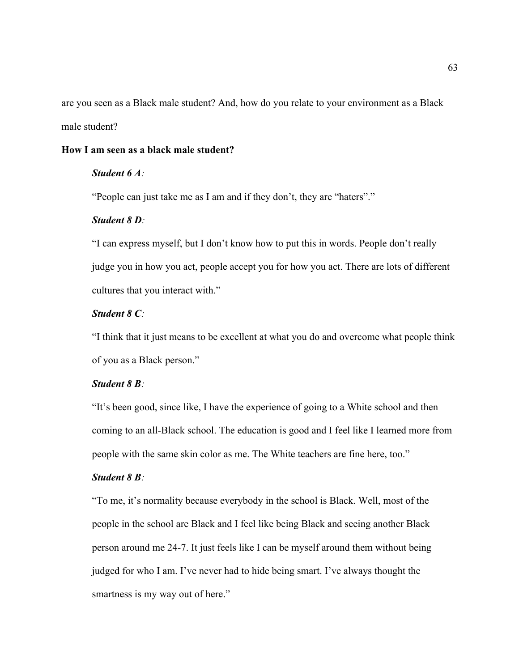are you seen as a Black male student? And, how do you relate to your environment as a Black male student?

#### **How I am seen as a black male student?**

# *Student 6 A:*

"People can just take me as I am and if they don't, they are "haters"."

#### *Student 8 D:*

"I can express myself, but I don't know how to put this in words. People don't really judge you in how you act, people accept you for how you act. There are lots of different cultures that you interact with."

# *Student 8 C:*

"I think that it just means to be excellent at what you do and overcome what people think of you as a Black person."

# *Student 8 B:*

"It's been good, since like, I have the experience of going to a White school and then coming to an all-Black school. The education is good and I feel like I learned more from people with the same skin color as me. The White teachers are fine here, too."

### *Student 8 B:*

"To me, it's normality because everybody in the school is Black. Well, most of the people in the school are Black and I feel like being Black and seeing another Black person around me 24-7. It just feels like I can be myself around them without being judged for who I am. I've never had to hide being smart. I've always thought the smartness is my way out of here."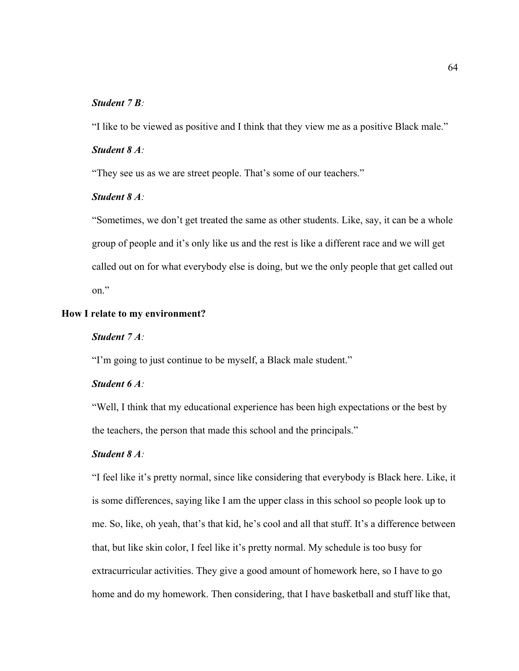## *Student 7 B:*

"I like to be viewed as positive and I think that they view me as a positive Black male."

#### *Student 8 A:*

"They see us as we are street people. That's some of our teachers."

## *Student 8 A:*

"Sometimes, we don't get treated the same as other students. Like, say, it can be a whole group of people and it's only like us and the rest is like a different race and we will get called out on for what everybody else is doing, but we the only people that get called out on."

#### **How I relate to my environment?**

# *Student 7 A:*

"I'm going to just continue to be myself, a Black male student."

# *Student 6 A:*

"Well, I think that my educational experience has been high expectations or the best by the teachers, the person that made this school and the principals."

# *Student 8 A:*

"I feel like it's pretty normal, since like considering that everybody is Black here. Like, it is some differences, saying like I am the upper class in this school so people look up to me. So, like, oh yeah, that's that kid, he's cool and all that stuff. It's a difference between that, but like skin color, I feel like it's pretty normal. My schedule is too busy for extracurricular activities. They give a good amount of homework here, so I have to go home and do my homework. Then considering, that I have basketball and stuff like that,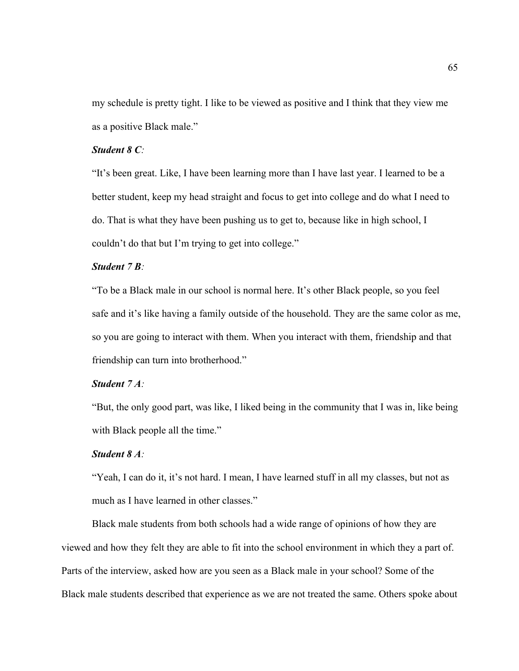my schedule is pretty tight. I like to be viewed as positive and I think that they view me as a positive Black male."

## *Student 8 C:*

"It's been great. Like, I have been learning more than I have last year. I learned to be a better student, keep my head straight and focus to get into college and do what I need to do. That is what they have been pushing us to get to, because like in high school, I couldn't do that but I'm trying to get into college."

#### *Student 7 B:*

"To be a Black male in our school is normal here. It's other Black people, so you feel safe and it's like having a family outside of the household. They are the same color as me, so you are going to interact with them. When you interact with them, friendship and that friendship can turn into brotherhood."

# *Student 7 A:*

"But, the only good part, was like, I liked being in the community that I was in, like being with Black people all the time."

# *Student 8 A:*

"Yeah, I can do it, it's not hard. I mean, I have learned stuff in all my classes, but not as much as I have learned in other classes."

Black male students from both schools had a wide range of opinions of how they are viewed and how they felt they are able to fit into the school environment in which they a part of. Parts of the interview, asked how are you seen as a Black male in your school? Some of the Black male students described that experience as we are not treated the same. Others spoke about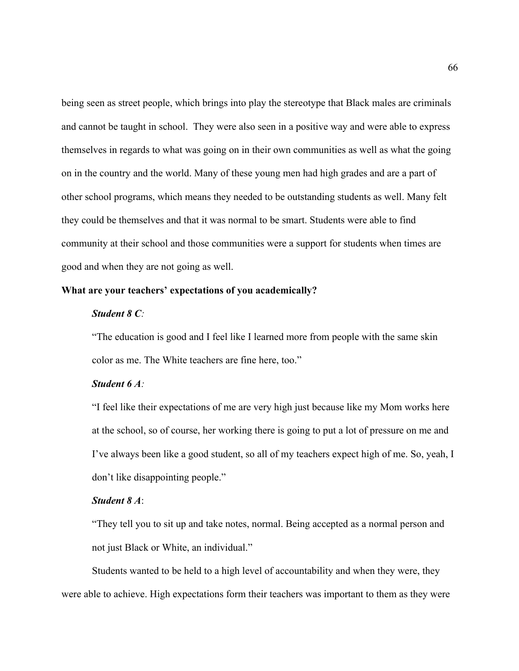being seen as street people, which brings into play the stereotype that Black males are criminals and cannot be taught in school. They were also seen in a positive way and were able to express themselves in regards to what was going on in their own communities as well as what the going on in the country and the world. Many of these young men had high grades and are a part of other school programs, which means they needed to be outstanding students as well. Many felt they could be themselves and that it was normal to be smart. Students were able to find community at their school and those communities were a support for students when times are good and when they are not going as well.

## **What are your teachers' expectations of you academically?**

## *Student 8 C:*

"The education is good and I feel like I learned more from people with the same skin color as me. The White teachers are fine here, too."

# *Student 6 A:*

"I feel like their expectations of me are very high just because like my Mom works here at the school, so of course, her working there is going to put a lot of pressure on me and I've always been like a good student, so all of my teachers expect high of me. So, yeah, I don't like disappointing people."

## *Student 8 A*:

"They tell you to sit up and take notes, normal. Being accepted as a normal person and not just Black or White, an individual."

 Students wanted to be held to a high level of accountability and when they were, they were able to achieve. High expectations form their teachers was important to them as they were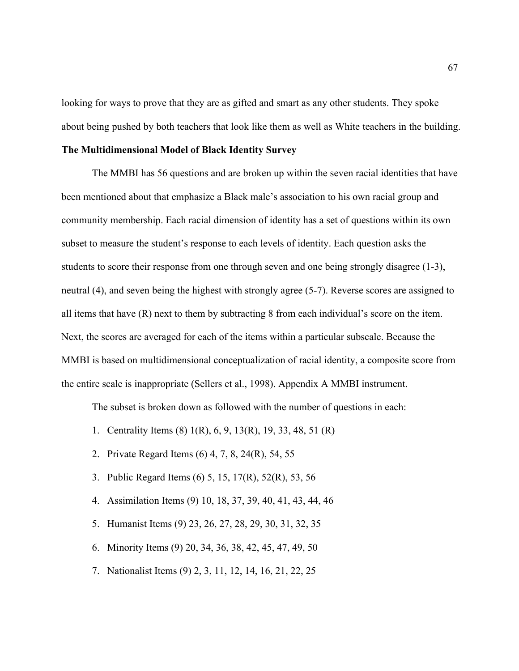looking for ways to prove that they are as gifted and smart as any other students. They spoke about being pushed by both teachers that look like them as well as White teachers in the building.

## **The Multidimensional Model of Black Identity Survey**

The MMBI has 56 questions and are broken up within the seven racial identities that have been mentioned about that emphasize a Black male's association to his own racial group and community membership. Each racial dimension of identity has a set of questions within its own subset to measure the student's response to each levels of identity. Each question asks the students to score their response from one through seven and one being strongly disagree (1-3), neutral (4), and seven being the highest with strongly agree (5-7). Reverse scores are assigned to all items that have (R) next to them by subtracting 8 from each individual's score on the item. Next, the scores are averaged for each of the items within a particular subscale. Because the MMBI is based on multidimensional conceptualization of racial identity, a composite score from the entire scale is inappropriate (Sellers et al., 1998). Appendix A MMBI instrument.

The subset is broken down as followed with the number of questions in each:

- 1. Centrality Items (8) 1(R), 6, 9, 13(R), 19, 33, 48, 51 (R)
- 2. Private Regard Items (6) 4, 7, 8, 24(R), 54, 55
- 3. Public Regard Items (6) 5, 15, 17(R), 52(R), 53, 56
- 4. Assimilation Items (9) 10, 18, 37, 39, 40, 41, 43, 44, 46
- 5. Humanist Items (9) 23, 26, 27, 28, 29, 30, 31, 32, 35
- 6. Minority Items (9) 20, 34, 36, 38, 42, 45, 47, 49, 50
- 7. Nationalist Items (9) 2, 3, 11, 12, 14, 16, 21, 22, 25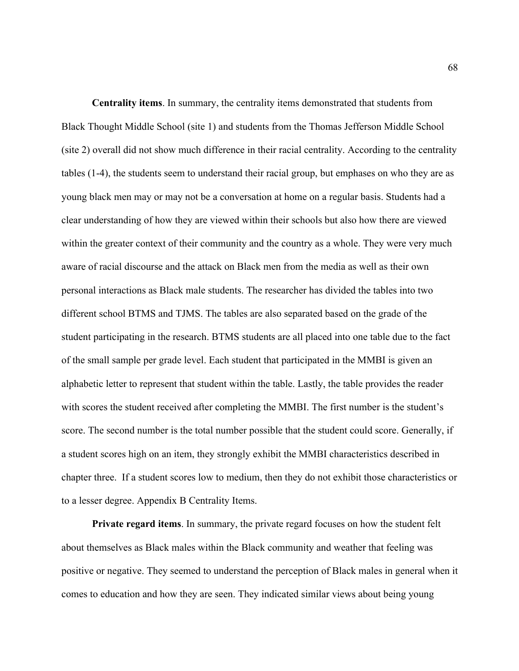**Centrality items**. In summary, the centrality items demonstrated that students from Black Thought Middle School (site 1) and students from the Thomas Jefferson Middle School (site 2) overall did not show much difference in their racial centrality. According to the centrality tables (1-4), the students seem to understand their racial group, but emphases on who they are as young black men may or may not be a conversation at home on a regular basis. Students had a clear understanding of how they are viewed within their schools but also how there are viewed within the greater context of their community and the country as a whole. They were very much aware of racial discourse and the attack on Black men from the media as well as their own personal interactions as Black male students. The researcher has divided the tables into two different school BTMS and TJMS. The tables are also separated based on the grade of the student participating in the research. BTMS students are all placed into one table due to the fact of the small sample per grade level. Each student that participated in the MMBI is given an alphabetic letter to represent that student within the table. Lastly, the table provides the reader with scores the student received after completing the MMBI. The first number is the student's score. The second number is the total number possible that the student could score. Generally, if a student scores high on an item, they strongly exhibit the MMBI characteristics described in chapter three. If a student scores low to medium, then they do not exhibit those characteristics or to a lesser degree. Appendix B Centrality Items.

**Private regard items**. In summary, the private regard focuses on how the student felt about themselves as Black males within the Black community and weather that feeling was positive or negative. They seemed to understand the perception of Black males in general when it comes to education and how they are seen. They indicated similar views about being young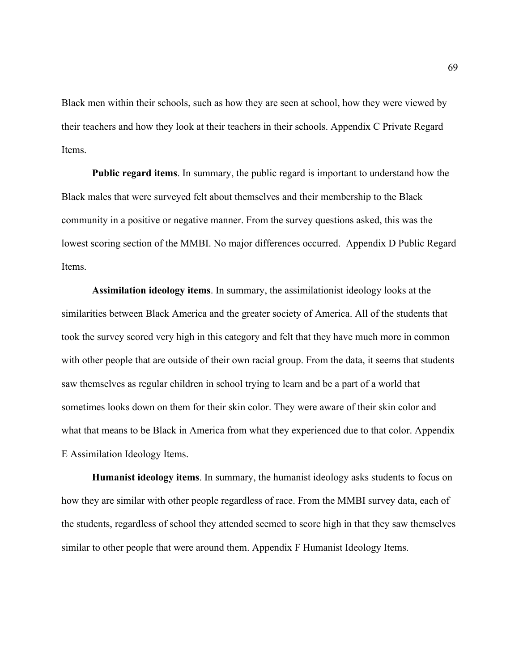Black men within their schools, such as how they are seen at school, how they were viewed by their teachers and how they look at their teachers in their schools. Appendix C Private Regard Items.

**Public regard items**. In summary, the public regard is important to understand how the Black males that were surveyed felt about themselves and their membership to the Black community in a positive or negative manner. From the survey questions asked, this was the lowest scoring section of the MMBI. No major differences occurred. Appendix D Public Regard Items.

**Assimilation ideology items**. In summary, the assimilationist ideology looks at the similarities between Black America and the greater society of America. All of the students that took the survey scored very high in this category and felt that they have much more in common with other people that are outside of their own racial group. From the data, it seems that students saw themselves as regular children in school trying to learn and be a part of a world that sometimes looks down on them for their skin color. They were aware of their skin color and what that means to be Black in America from what they experienced due to that color. Appendix E Assimilation Ideology Items.

**Humanist ideology items**. In summary, the humanist ideology asks students to focus on how they are similar with other people regardless of race. From the MMBI survey data, each of the students, regardless of school they attended seemed to score high in that they saw themselves similar to other people that were around them. Appendix F Humanist Ideology Items.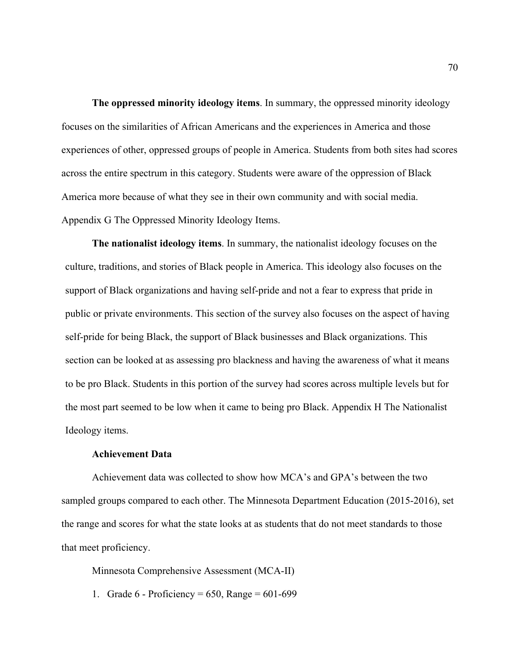**The oppressed minority ideology items**. In summary, the oppressed minority ideology focuses on the similarities of African Americans and the experiences in America and those experiences of other, oppressed groups of people in America. Students from both sites had scores across the entire spectrum in this category. Students were aware of the oppression of Black America more because of what they see in their own community and with social media. Appendix G The Oppressed Minority Ideology Items.

**The nationalist ideology items**. In summary, the nationalist ideology focuses on the culture, traditions, and stories of Black people in America. This ideology also focuses on the support of Black organizations and having self-pride and not a fear to express that pride in public or private environments. This section of the survey also focuses on the aspect of having self-pride for being Black, the support of Black businesses and Black organizations. This section can be looked at as assessing pro blackness and having the awareness of what it means to be pro Black. Students in this portion of the survey had scores across multiple levels but for the most part seemed to be low when it came to being pro Black. Appendix H The Nationalist Ideology items.

# **Achievement Data**

Achievement data was collected to show how MCA's and GPA's between the two sampled groups compared to each other. The Minnesota Department Education (2015-2016), set the range and scores for what the state looks at as students that do not meet standards to those that meet proficiency.

Minnesota Comprehensive Assessment (MCA-II)

1. Grade  $6 -$  Proficiency = 650, Range = 601-699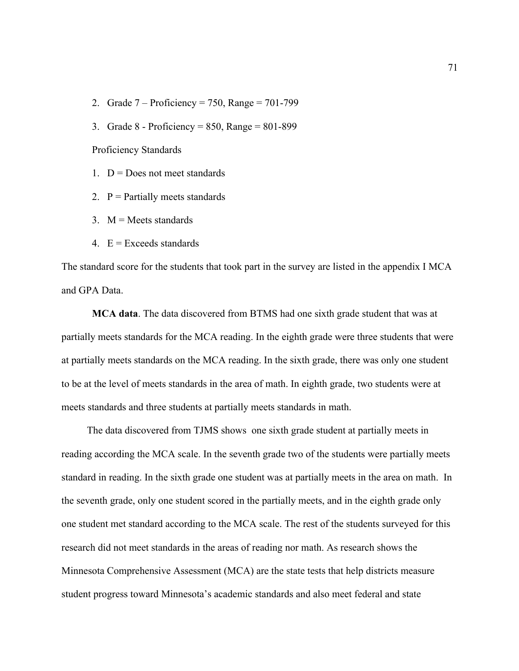- 2. Grade  $7 -$  Proficiency = 750, Range = 701-799
- 3. Grade 8 Proficiency = 850, Range = 801-899

Proficiency Standards

- 1.  $D = Does not meet standards$
- 2.  $P =$  Partially meets standards
- 3.  $M = Meets$  standards
- 4.  $E =$  Exceeds standards

The standard score for the students that took part in the survey are listed in the appendix I MCA and GPA Data.

**MCA data**. The data discovered from BTMS had one sixth grade student that was at partially meets standards for the MCA reading. In the eighth grade were three students that were at partially meets standards on the MCA reading. In the sixth grade, there was only one student to be at the level of meets standards in the area of math. In eighth grade, two students were at meets standards and three students at partially meets standards in math.

 The data discovered from TJMS shows one sixth grade student at partially meets in reading according the MCA scale. In the seventh grade two of the students were partially meets standard in reading. In the sixth grade one student was at partially meets in the area on math. In the seventh grade, only one student scored in the partially meets, and in the eighth grade only one student met standard according to the MCA scale. The rest of the students surveyed for this research did not meet standards in the areas of reading nor math. As research shows the Minnesota Comprehensive Assessment (MCA) are the state tests that help districts measure student progress toward Minnesota's academic standards and also meet federal and state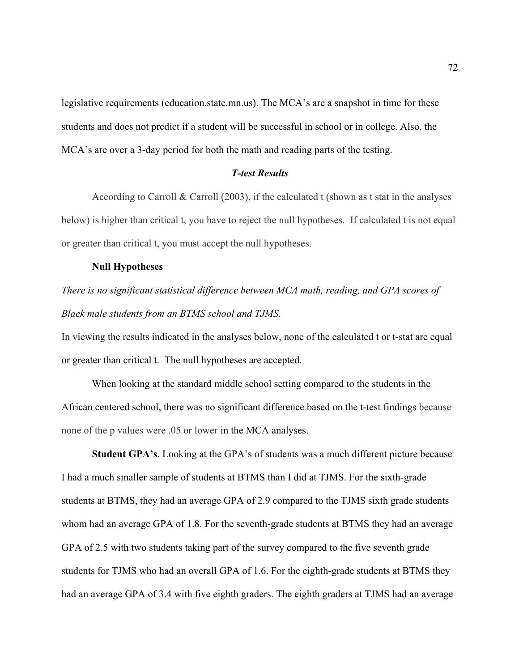legislative requirements (education.state.mn.us). The MCA's are a snapshot in time for these students and does not predict if a student will be successful in school or in college. Also, the MCA's are over a 3-day period for both the math and reading parts of the testing.

# *T-test Results*

According to Carroll & Carroll (2003), if the calculated t (shown as t stat in the analyses below) is higher than critical t, you have to reject the null hypotheses. If calculated t is not equal or greater than critical t, you must accept the null hypotheses.

#### **Null Hypotheses**

# *There is no significant statistical difference between MCA math, reading, and GPA scores of Black male students from an BTMS school and TJMS.*

In viewing the results indicated in the analyses below, none of the calculated t or t-stat are equal or greater than critical t. The null hypotheses are accepted.

When looking at the standard middle school setting compared to the students in the African centered school, there was no significant difference based on the t-test findings because none of the p values were .05 or lower in the MCA analyses.

**Student GPA's**. Looking at the GPA's of students was a much different picture because I had a much smaller sample of students at BTMS than I did at TJMS. For the sixth-grade students at BTMS, they had an average GPA of 2.9 compared to the TJMS sixth grade students whom had an average GPA of 1.8. For the seventh-grade students at BTMS they had an average GPA of 2.5 with two students taking part of the survey compared to the five seventh grade students for TJMS who had an overall GPA of 1.6. For the eighth-grade students at BTMS they had an average GPA of 3.4 with five eighth graders. The eighth graders at TJMS had an average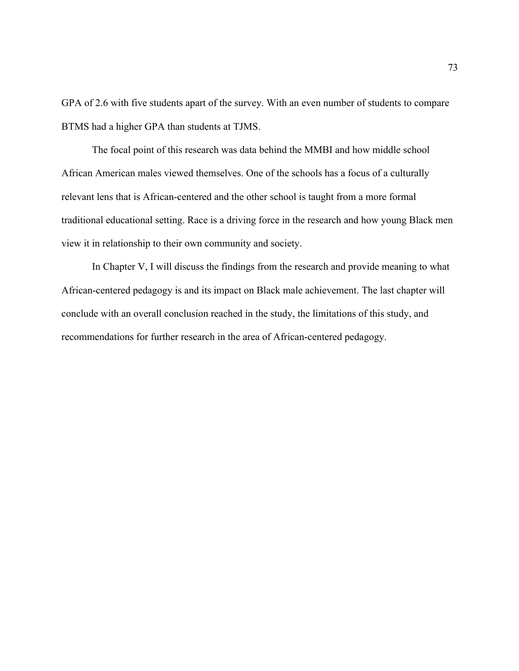GPA of 2.6 with five students apart of the survey. With an even number of students to compare BTMS had a higher GPA than students at TJMS.

The focal point of this research was data behind the MMBI and how middle school African American males viewed themselves. One of the schools has a focus of a culturally relevant lens that is African-centered and the other school is taught from a more formal traditional educational setting. Race is a driving force in the research and how young Black men view it in relationship to their own community and society.

In Chapter V, I will discuss the findings from the research and provide meaning to what African-centered pedagogy is and its impact on Black male achievement. The last chapter will conclude with an overall conclusion reached in the study, the limitations of this study, and recommendations for further research in the area of African-centered pedagogy.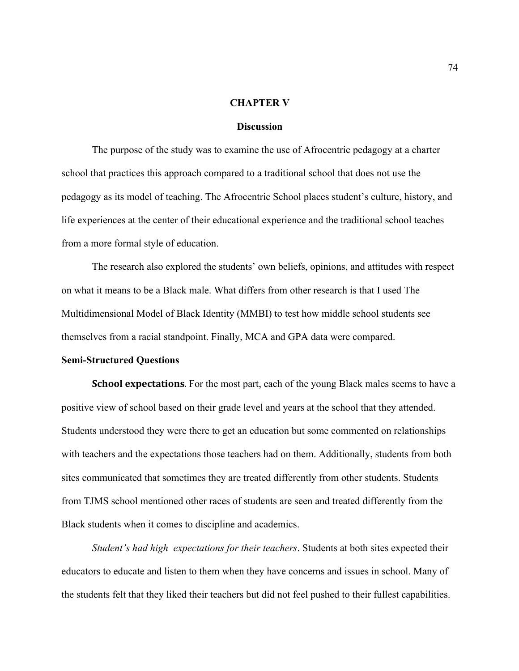#### **CHAPTER V**

### **Discussion**

The purpose of the study was to examine the use of Afrocentric pedagogy at a charter school that practices this approach compared to a traditional school that does not use the pedagogy as its model of teaching. The Afrocentric School places student's culture, history, and life experiences at the center of their educational experience and the traditional school teaches from a more formal style of education.

The research also explored the students' own beliefs, opinions, and attitudes with respect on what it means to be a Black male. What differs from other research is that I used The Multidimensional Model of Black Identity (MMBI) to test how middle school students see themselves from a racial standpoint. Finally, MCA and GPA data were compared.

#### **Semi-Structured Questions**

**School expectations**. For the most part, each of the young Black males seems to have a positive view of school based on their grade level and years at the school that they attended. Students understood they were there to get an education but some commented on relationships with teachers and the expectations those teachers had on them. Additionally, students from both sites communicated that sometimes they are treated differently from other students. Students from TJMS school mentioned other races of students are seen and treated differently from the Black students when it comes to discipline and academics.

*Student's had high expectations for their teachers*. Students at both sites expected their educators to educate and listen to them when they have concerns and issues in school. Many of the students felt that they liked their teachers but did not feel pushed to their fullest capabilities.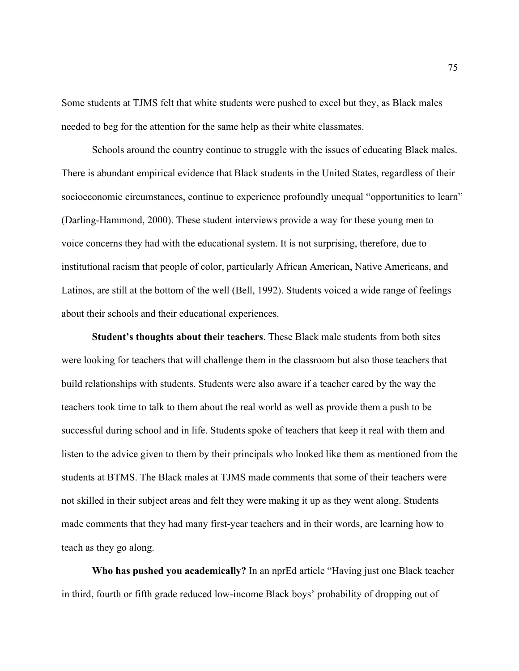Some students at TJMS felt that white students were pushed to excel but they, as Black males needed to beg for the attention for the same help as their white classmates.

Schools around the country continue to struggle with the issues of educating Black males. There is abundant empirical evidence that Black students in the United States, regardless of their socioeconomic circumstances, continue to experience profoundly unequal "opportunities to learn" (Darling-Hammond, 2000). These student interviews provide a way for these young men to voice concerns they had with the educational system. It is not surprising, therefore, due to institutional racism that people of color, particularly African American, Native Americans, and Latinos, are still at the bottom of the well (Bell, 1992). Students voiced a wide range of feelings about their schools and their educational experiences.

**Student's thoughts about their teachers**. These Black male students from both sites were looking for teachers that will challenge them in the classroom but also those teachers that build relationships with students. Students were also aware if a teacher cared by the way the teachers took time to talk to them about the real world as well as provide them a push to be successful during school and in life. Students spoke of teachers that keep it real with them and listen to the advice given to them by their principals who looked like them as mentioned from the students at BTMS. The Black males at TJMS made comments that some of their teachers were not skilled in their subject areas and felt they were making it up as they went along. Students made comments that they had many first-year teachers and in their words, are learning how to teach as they go along.

 **Who has pushed you academically?** In an nprEd article "Having just one Black teacher in third, fourth or fifth grade reduced low-income Black boys' probability of dropping out of

75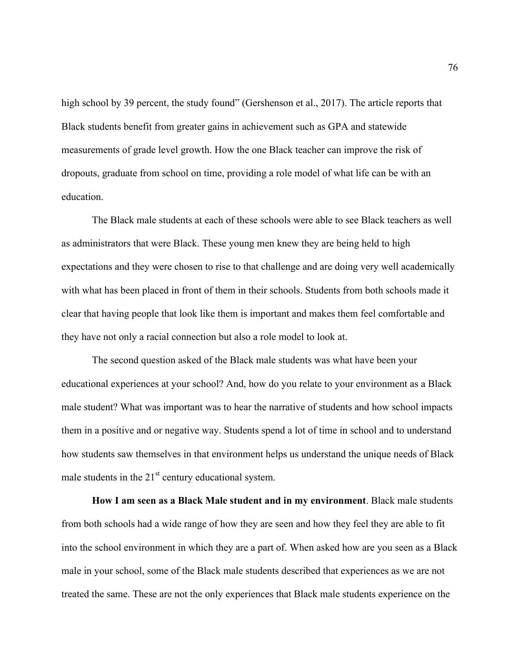high school by 39 percent, the study found" (Gershenson et al., 2017). The article reports that Black students benefit from greater gains in achievement such as GPA and statewide measurements of grade level growth. How the one Black teacher can improve the risk of dropouts, graduate from school on time, providing a role model of what life can be with an education.

 The Black male students at each of these schools were able to see Black teachers as well as administrators that were Black. These young men knew they are being held to high expectations and they were chosen to rise to that challenge and are doing very well academically with what has been placed in front of them in their schools. Students from both schools made it clear that having people that look like them is important and makes them feel comfortable and they have not only a racial connection but also a role model to look at.

The second question asked of the Black male students was what have been your educational experiences at your school? And, how do you relate to your environment as a Black male student? What was important was to hear the narrative of students and how school impacts them in a positive and or negative way. Students spend a lot of time in school and to understand how students saw themselves in that environment helps us understand the unique needs of Black male students in the  $21<sup>st</sup>$  century educational system.

**How I am seen as a Black Male student and in my environment**. Black male students from both schools had a wide range of how they are seen and how they feel they are able to fit into the school environment in which they are a part of. When asked how are you seen as a Black male in your school, some of the Black male students described that experiences as we are not treated the same. These are not the only experiences that Black male students experience on the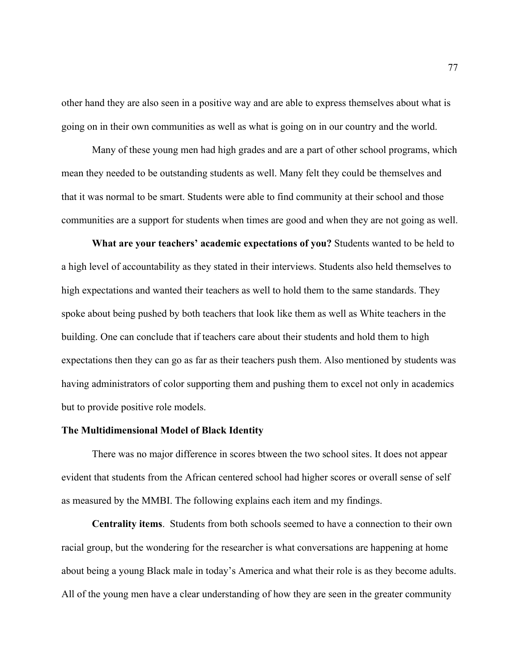other hand they are also seen in a positive way and are able to express themselves about what is going on in their own communities as well as what is going on in our country and the world.

Many of these young men had high grades and are a part of other school programs, which mean they needed to be outstanding students as well. Many felt they could be themselves and that it was normal to be smart. Students were able to find community at their school and those communities are a support for students when times are good and when they are not going as well.

**What are your teachers' academic expectations of you?** Students wanted to be held to a high level of accountability as they stated in their interviews. Students also held themselves to high expectations and wanted their teachers as well to hold them to the same standards. They spoke about being pushed by both teachers that look like them as well as White teachers in the building. One can conclude that if teachers care about their students and hold them to high expectations then they can go as far as their teachers push them. Also mentioned by students was having administrators of color supporting them and pushing them to excel not only in academics but to provide positive role models.

#### **The Multidimensional Model of Black Identity**

There was no major difference in scores btween the two school sites. It does not appear evident that students from the African centered school had higher scores or overall sense of self as measured by the MMBI. The following explains each item and my findings.

**Centrality items**. Students from both schools seemed to have a connection to their own racial group, but the wondering for the researcher is what conversations are happening at home about being a young Black male in today's America and what their role is as they become adults. All of the young men have a clear understanding of how they are seen in the greater community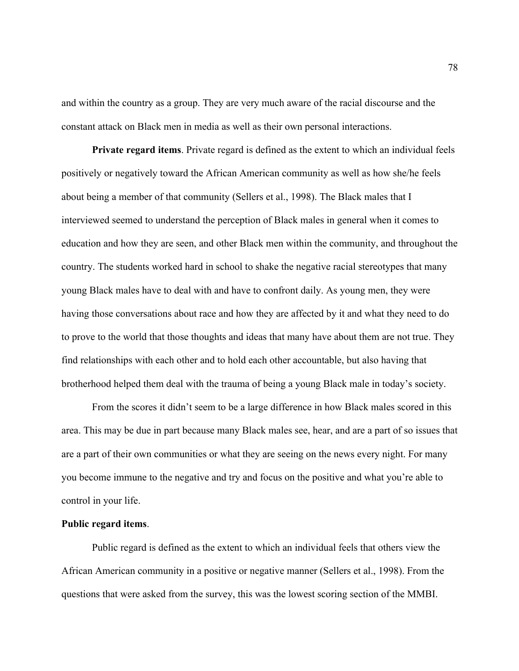and within the country as a group. They are very much aware of the racial discourse and the constant attack on Black men in media as well as their own personal interactions.

**Private regard items**. Private regard is defined as the extent to which an individual feels positively or negatively toward the African American community as well as how she/he feels about being a member of that community (Sellers et al., 1998). The Black males that I interviewed seemed to understand the perception of Black males in general when it comes to education and how they are seen, and other Black men within the community, and throughout the country. The students worked hard in school to shake the negative racial stereotypes that many young Black males have to deal with and have to confront daily. As young men, they were having those conversations about race and how they are affected by it and what they need to do to prove to the world that those thoughts and ideas that many have about them are not true. They find relationships with each other and to hold each other accountable, but also having that brotherhood helped them deal with the trauma of being a young Black male in today's society.

From the scores it didn't seem to be a large difference in how Black males scored in this area. This may be due in part because many Black males see, hear, and are a part of so issues that are a part of their own communities or what they are seeing on the news every night. For many you become immune to the negative and try and focus on the positive and what you're able to control in your life.

#### **Public regard items**.

Public regard is defined as the extent to which an individual feels that others view the African American community in a positive or negative manner (Sellers et al., 1998). From the questions that were asked from the survey, this was the lowest scoring section of the MMBI.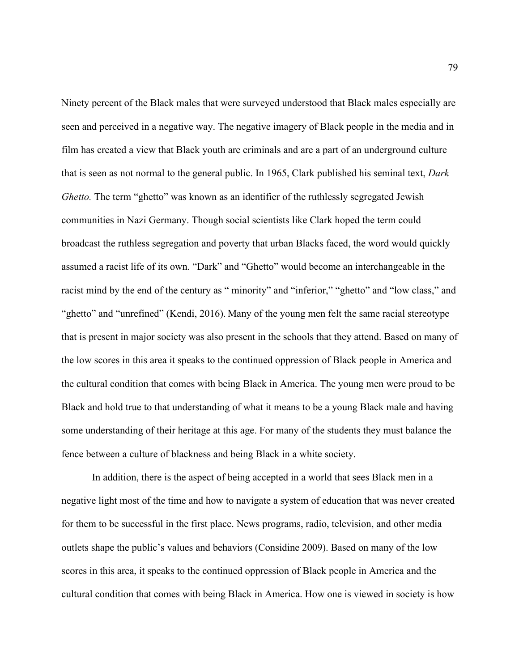Ninety percent of the Black males that were surveyed understood that Black males especially are seen and perceived in a negative way. The negative imagery of Black people in the media and in film has created a view that Black youth are criminals and are a part of an underground culture that is seen as not normal to the general public. In 1965, Clark published his seminal text, *Dark Ghetto.* The term "ghetto" was known as an identifier of the ruthlessly segregated Jewish communities in Nazi Germany. Though social scientists like Clark hoped the term could broadcast the ruthless segregation and poverty that urban Blacks faced, the word would quickly assumed a racist life of its own. "Dark" and "Ghetto" would become an interchangeable in the racist mind by the end of the century as " minority" and "inferior," "ghetto" and "low class," and "ghetto" and "unrefined" (Kendi, 2016). Many of the young men felt the same racial stereotype that is present in major society was also present in the schools that they attend. Based on many of the low scores in this area it speaks to the continued oppression of Black people in America and the cultural condition that comes with being Black in America. The young men were proud to be Black and hold true to that understanding of what it means to be a young Black male and having some understanding of their heritage at this age. For many of the students they must balance the fence between a culture of blackness and being Black in a white society.

In addition, there is the aspect of being accepted in a world that sees Black men in a negative light most of the time and how to navigate a system of education that was never created for them to be successful in the first place. News programs, radio, television, and other media outlets shape the public's values and behaviors (Considine 2009). Based on many of the low scores in this area, it speaks to the continued oppression of Black people in America and the cultural condition that comes with being Black in America. How one is viewed in society is how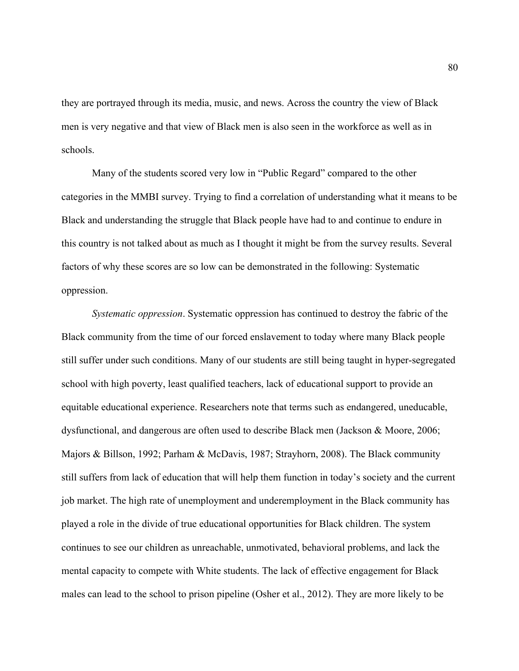they are portrayed through its media, music, and news. Across the country the view of Black men is very negative and that view of Black men is also seen in the workforce as well as in schools.

Many of the students scored very low in "Public Regard" compared to the other categories in the MMBI survey. Trying to find a correlation of understanding what it means to be Black and understanding the struggle that Black people have had to and continue to endure in this country is not talked about as much as I thought it might be from the survey results. Several factors of why these scores are so low can be demonstrated in the following: Systematic oppression.

*Systematic oppression*. Systematic oppression has continued to destroy the fabric of the Black community from the time of our forced enslavement to today where many Black people still suffer under such conditions. Many of our students are still being taught in hyper-segregated school with high poverty, least qualified teachers, lack of educational support to provide an equitable educational experience. Researchers note that terms such as endangered, uneducable, dysfunctional, and dangerous are often used to describe Black men (Jackson & Moore, 2006; Majors & Billson, 1992; Parham & McDavis, 1987; Strayhorn, 2008). The Black community still suffers from lack of education that will help them function in today's society and the current job market. The high rate of unemployment and underemployment in the Black community has played a role in the divide of true educational opportunities for Black children. The system continues to see our children as unreachable, unmotivated, behavioral problems, and lack the mental capacity to compete with White students. The lack of effective engagement for Black males can lead to the school to prison pipeline (Osher et al., 2012). They are more likely to be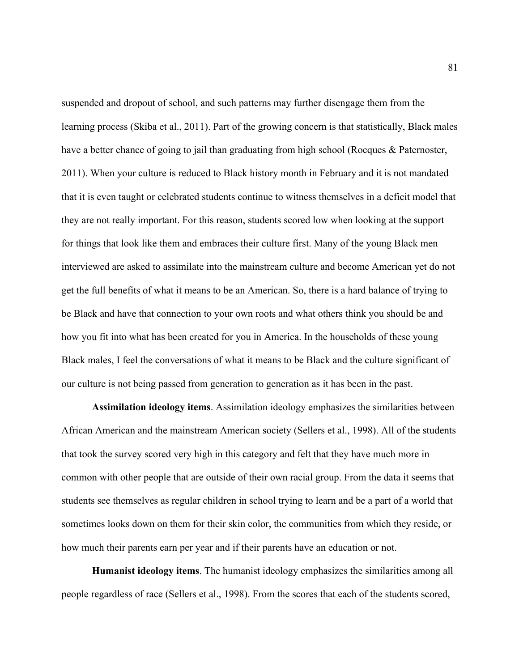suspended and dropout of school, and such patterns may further disengage them from the learning process (Skiba et al., 2011). Part of the growing concern is that statistically, Black males have a better chance of going to jail than graduating from high school (Rocques & Paternoster, 2011). When your culture is reduced to Black history month in February and it is not mandated that it is even taught or celebrated students continue to witness themselves in a deficit model that they are not really important. For this reason, students scored low when looking at the support for things that look like them and embraces their culture first. Many of the young Black men interviewed are asked to assimilate into the mainstream culture and become American yet do not get the full benefits of what it means to be an American. So, there is a hard balance of trying to be Black and have that connection to your own roots and what others think you should be and how you fit into what has been created for you in America. In the households of these young Black males, I feel the conversations of what it means to be Black and the culture significant of our culture is not being passed from generation to generation as it has been in the past.

**Assimilation ideology items**. Assimilation ideology emphasizes the similarities between African American and the mainstream American society (Sellers et al., 1998). All of the students that took the survey scored very high in this category and felt that they have much more in common with other people that are outside of their own racial group. From the data it seems that students see themselves as regular children in school trying to learn and be a part of a world that sometimes looks down on them for their skin color, the communities from which they reside, or how much their parents earn per year and if their parents have an education or not.

**Humanist ideology items**. The humanist ideology emphasizes the similarities among all people regardless of race (Sellers et al., 1998). From the scores that each of the students scored,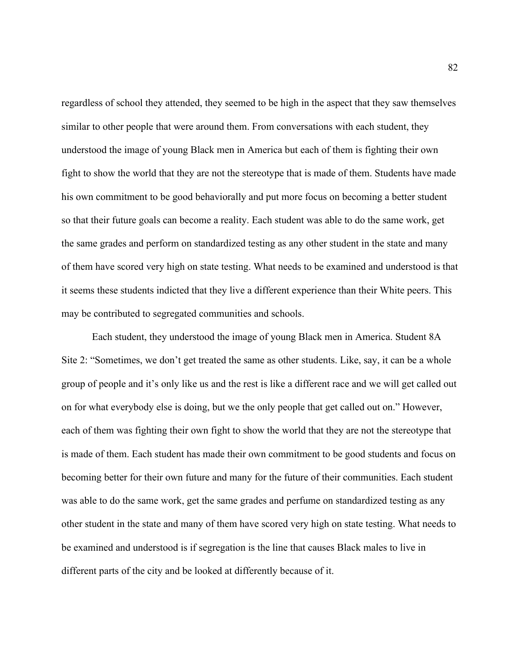regardless of school they attended, they seemed to be high in the aspect that they saw themselves similar to other people that were around them. From conversations with each student, they understood the image of young Black men in America but each of them is fighting their own fight to show the world that they are not the stereotype that is made of them. Students have made his own commitment to be good behaviorally and put more focus on becoming a better student so that their future goals can become a reality. Each student was able to do the same work, get the same grades and perform on standardized testing as any other student in the state and many of them have scored very high on state testing. What needs to be examined and understood is that it seems these students indicted that they live a different experience than their White peers. This may be contributed to segregated communities and schools.

Each student, they understood the image of young Black men in America. Student 8A Site 2: "Sometimes, we don't get treated the same as other students. Like, say, it can be a whole group of people and it's only like us and the rest is like a different race and we will get called out on for what everybody else is doing, but we the only people that get called out on." However, each of them was fighting their own fight to show the world that they are not the stereotype that is made of them. Each student has made their own commitment to be good students and focus on becoming better for their own future and many for the future of their communities. Each student was able to do the same work, get the same grades and perfume on standardized testing as any other student in the state and many of them have scored very high on state testing. What needs to be examined and understood is if segregation is the line that causes Black males to live in different parts of the city and be looked at differently because of it.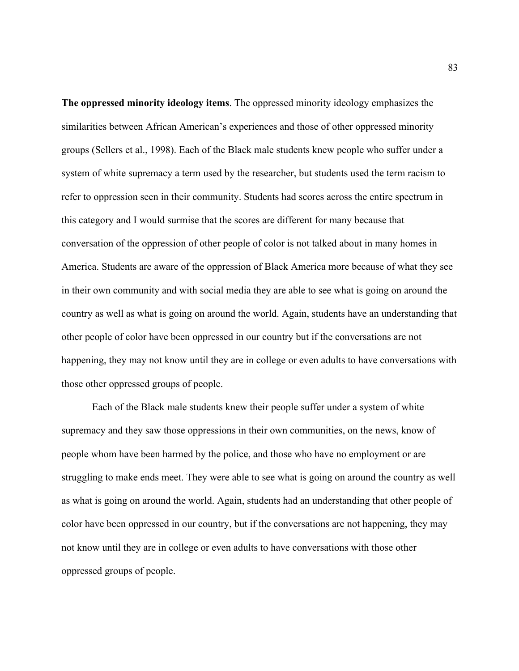**The oppressed minority ideology items**. The oppressed minority ideology emphasizes the similarities between African American's experiences and those of other oppressed minority groups (Sellers et al., 1998). Each of the Black male students knew people who suffer under a system of white supremacy a term used by the researcher, but students used the term racism to refer to oppression seen in their community. Students had scores across the entire spectrum in this category and I would surmise that the scores are different for many because that conversation of the oppression of other people of color is not talked about in many homes in America. Students are aware of the oppression of Black America more because of what they see in their own community and with social media they are able to see what is going on around the country as well as what is going on around the world. Again, students have an understanding that other people of color have been oppressed in our country but if the conversations are not happening, they may not know until they are in college or even adults to have conversations with those other oppressed groups of people.

Each of the Black male students knew their people suffer under a system of white supremacy and they saw those oppressions in their own communities, on the news, know of people whom have been harmed by the police, and those who have no employment or are struggling to make ends meet. They were able to see what is going on around the country as well as what is going on around the world. Again, students had an understanding that other people of color have been oppressed in our country, but if the conversations are not happening, they may not know until they are in college or even adults to have conversations with those other oppressed groups of people.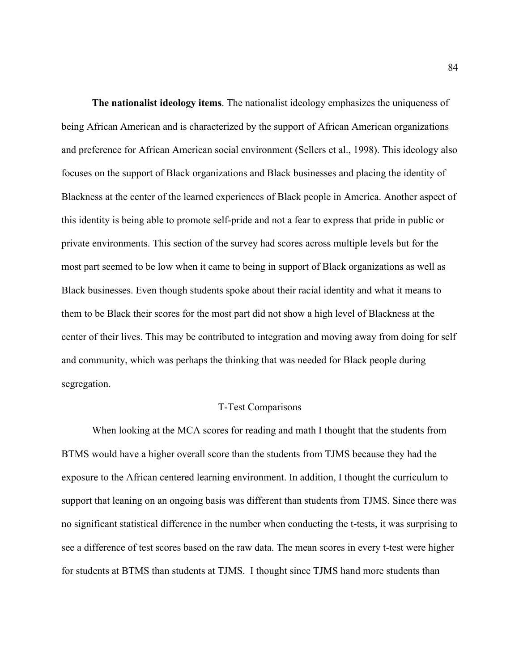**The nationalist ideology items**. The nationalist ideology emphasizes the uniqueness of being African American and is characterized by the support of African American organizations and preference for African American social environment (Sellers et al., 1998). This ideology also focuses on the support of Black organizations and Black businesses and placing the identity of Blackness at the center of the learned experiences of Black people in America. Another aspect of this identity is being able to promote self-pride and not a fear to express that pride in public or private environments. This section of the survey had scores across multiple levels but for the most part seemed to be low when it came to being in support of Black organizations as well as Black businesses. Even though students spoke about their racial identity and what it means to them to be Black their scores for the most part did not show a high level of Blackness at the center of their lives. This may be contributed to integration and moving away from doing for self and community, which was perhaps the thinking that was needed for Black people during segregation.

#### T-Test Comparisons

When looking at the MCA scores for reading and math I thought that the students from BTMS would have a higher overall score than the students from TJMS because they had the exposure to the African centered learning environment. In addition, I thought the curriculum to support that leaning on an ongoing basis was different than students from TJMS. Since there was no significant statistical difference in the number when conducting the t-tests, it was surprising to see a difference of test scores based on the raw data. The mean scores in every t-test were higher for students at BTMS than students at TJMS. I thought since TJMS hand more students than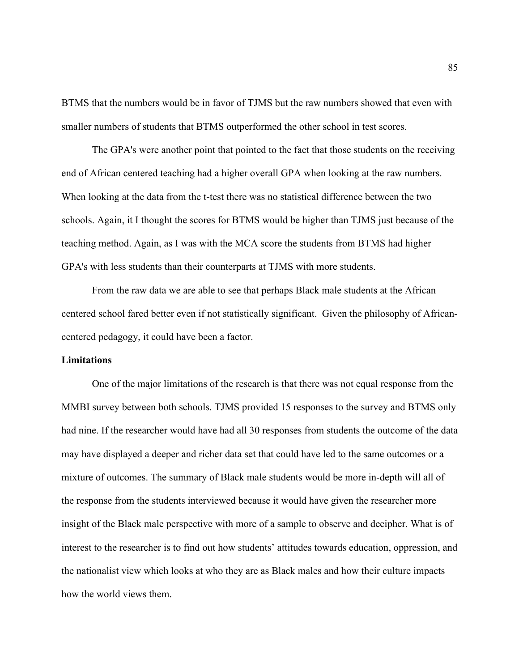BTMS that the numbers would be in favor of TJMS but the raw numbers showed that even with smaller numbers of students that BTMS outperformed the other school in test scores.

The GPA's were another point that pointed to the fact that those students on the receiving end of African centered teaching had a higher overall GPA when looking at the raw numbers. When looking at the data from the t-test there was no statistical difference between the two schools. Again, it I thought the scores for BTMS would be higher than TJMS just because of the teaching method. Again, as I was with the MCA score the students from BTMS had higher GPA's with less students than their counterparts at TJMS with more students.

From the raw data we are able to see that perhaps Black male students at the African centered school fared better even if not statistically significant. Given the philosophy of Africancentered pedagogy, it could have been a factor.

## **Limitations**

One of the major limitations of the research is that there was not equal response from the MMBI survey between both schools. TJMS provided 15 responses to the survey and BTMS only had nine. If the researcher would have had all 30 responses from students the outcome of the data may have displayed a deeper and richer data set that could have led to the same outcomes or a mixture of outcomes. The summary of Black male students would be more in-depth will all of the response from the students interviewed because it would have given the researcher more insight of the Black male perspective with more of a sample to observe and decipher. What is of interest to the researcher is to find out how students' attitudes towards education, oppression, and the nationalist view which looks at who they are as Black males and how their culture impacts how the world views them.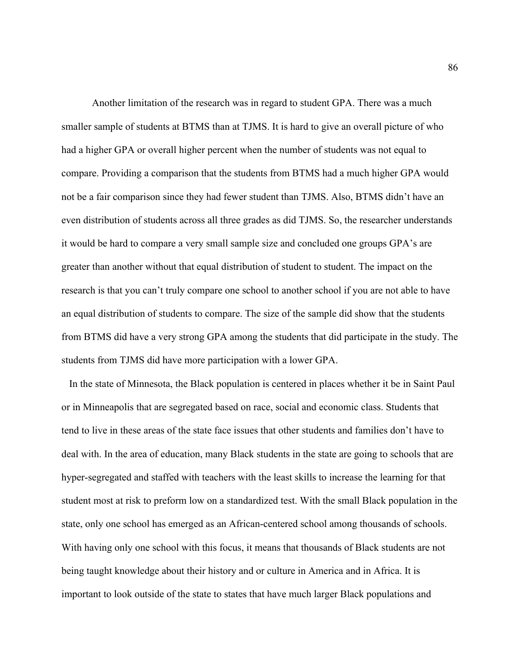Another limitation of the research was in regard to student GPA. There was a much smaller sample of students at BTMS than at TJMS. It is hard to give an overall picture of who had a higher GPA or overall higher percent when the number of students was not equal to compare. Providing a comparison that the students from BTMS had a much higher GPA would not be a fair comparison since they had fewer student than TJMS. Also, BTMS didn't have an even distribution of students across all three grades as did TJMS. So, the researcher understands it would be hard to compare a very small sample size and concluded one groups GPA's are greater than another without that equal distribution of student to student. The impact on the research is that you can't truly compare one school to another school if you are not able to have an equal distribution of students to compare. The size of the sample did show that the students from BTMS did have a very strong GPA among the students that did participate in the study. The students from TJMS did have more participation with a lower GPA.

In the state of Minnesota, the Black population is centered in places whether it be in Saint Paul or in Minneapolis that are segregated based on race, social and economic class. Students that tend to live in these areas of the state face issues that other students and families don't have to deal with. In the area of education, many Black students in the state are going to schools that are hyper-segregated and staffed with teachers with the least skills to increase the learning for that student most at risk to preform low on a standardized test. With the small Black population in the state, only one school has emerged as an African-centered school among thousands of schools. With having only one school with this focus, it means that thousands of Black students are not being taught knowledge about their history and or culture in America and in Africa. It is important to look outside of the state to states that have much larger Black populations and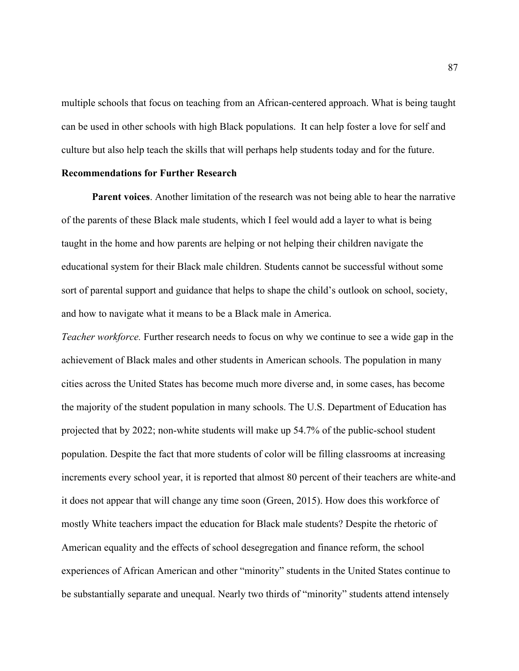multiple schools that focus on teaching from an African-centered approach. What is being taught can be used in other schools with high Black populations. It can help foster a love for self and culture but also help teach the skills that will perhaps help students today and for the future.

## **Recommendations for Further Research**

**Parent voices**. Another limitation of the research was not being able to hear the narrative of the parents of these Black male students, which I feel would add a layer to what is being taught in the home and how parents are helping or not helping their children navigate the educational system for their Black male children. Students cannot be successful without some sort of parental support and guidance that helps to shape the child's outlook on school, society, and how to navigate what it means to be a Black male in America.

*Teacher workforce.* Further research needs to focus on why we continue to see a wide gap in the achievement of Black males and other students in American schools. The population in many cities across the United States has become much more diverse and, in some cases, has become the majority of the student population in many schools. The U.S. Department of Education has projected that by 2022; non-white students will make up 54.7% of the public-school student population. Despite the fact that more students of color will be filling classrooms at increasing increments every school year, it is reported that almost 80 percent of their teachers are white-and it does not appear that will change any time soon (Green, 2015). How does this workforce of mostly White teachers impact the education for Black male students? Despite the rhetoric of American equality and the effects of school desegregation and finance reform, the school experiences of African American and other "minority" students in the United States continue to be substantially separate and unequal. Nearly two thirds of "minority" students attend intensely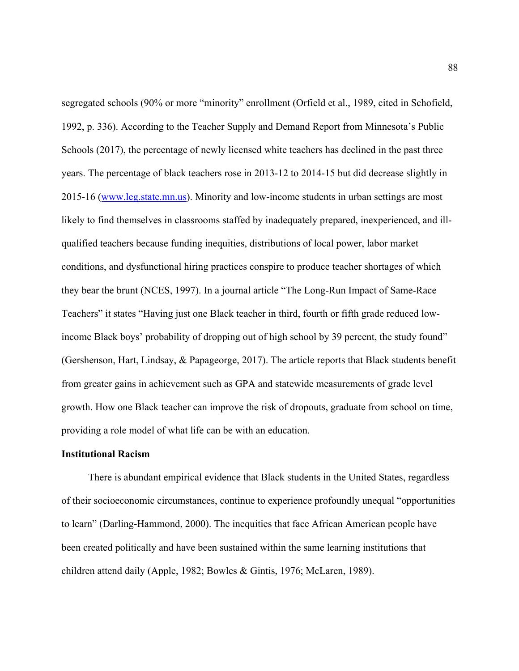segregated schools (90% or more "minority" enrollment (Orfield et al., 1989, cited in Schofield, 1992, p. 336). According to the Teacher Supply and Demand Report from Minnesota's Public Schools (2017), the percentage of newly licensed white teachers has declined in the past three years. The percentage of black teachers rose in 2013-12 to 2014-15 but did decrease slightly in 2015-16 (www.leg.state.mn.us). Minority and low-income students in urban settings are most likely to find themselves in classrooms staffed by inadequately prepared, inexperienced, and illqualified teachers because funding inequities, distributions of local power, labor market conditions, and dysfunctional hiring practices conspire to produce teacher shortages of which they bear the brunt (NCES, 1997). In a journal article "The Long-Run Impact of Same-Race Teachers" it states "Having just one Black teacher in third, fourth or fifth grade reduced lowincome Black boys' probability of dropping out of high school by 39 percent, the study found" (Gershenson, Hart, Lindsay, & Papageorge, 2017). The article reports that Black students benefit from greater gains in achievement such as GPA and statewide measurements of grade level growth. How one Black teacher can improve the risk of dropouts, graduate from school on time, providing a role model of what life can be with an education.

## **Institutional Racism**

There is abundant empirical evidence that Black students in the United States, regardless of their socioeconomic circumstances, continue to experience profoundly unequal "opportunities to learn" (Darling-Hammond, 2000). The inequities that face African American people have been created politically and have been sustained within the same learning institutions that children attend daily (Apple, 1982; Bowles & Gintis, 1976; McLaren, 1989).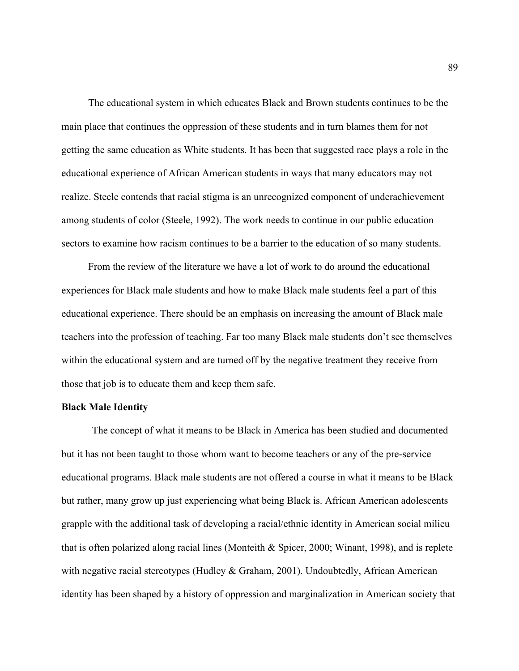The educational system in which educates Black and Brown students continues to be the main place that continues the oppression of these students and in turn blames them for not getting the same education as White students. It has been that suggested race plays a role in the educational experience of African American students in ways that many educators may not realize. Steele contends that racial stigma is an unrecognized component of underachievement among students of color (Steele, 1992). The work needs to continue in our public education sectors to examine how racism continues to be a barrier to the education of so many students.

From the review of the literature we have a lot of work to do around the educational experiences for Black male students and how to make Black male students feel a part of this educational experience. There should be an emphasis on increasing the amount of Black male teachers into the profession of teaching. Far too many Black male students don't see themselves within the educational system and are turned off by the negative treatment they receive from those that job is to educate them and keep them safe.

#### **Black Male Identity**

The concept of what it means to be Black in America has been studied and documented but it has not been taught to those whom want to become teachers or any of the pre-service educational programs. Black male students are not offered a course in what it means to be Black but rather, many grow up just experiencing what being Black is. African American adolescents grapple with the additional task of developing a racial/ethnic identity in American social milieu that is often polarized along racial lines (Monteith & Spicer, 2000; Winant, 1998), and is replete with negative racial stereotypes (Hudley & Graham, 2001). Undoubtedly, African American identity has been shaped by a history of oppression and marginalization in American society that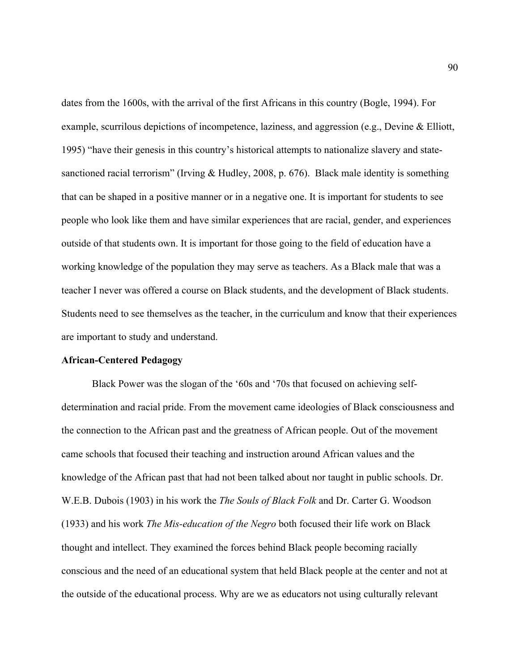dates from the 1600s, with the arrival of the first Africans in this country (Bogle, 1994). For example, scurrilous depictions of incompetence, laziness, and aggression (e.g., Devine & Elliott, 1995) "have their genesis in this country's historical attempts to nationalize slavery and statesanctioned racial terrorism" (Irving & Hudley, 2008, p. 676). Black male identity is something that can be shaped in a positive manner or in a negative one. It is important for students to see people who look like them and have similar experiences that are racial, gender, and experiences outside of that students own. It is important for those going to the field of education have a working knowledge of the population they may serve as teachers. As a Black male that was a teacher I never was offered a course on Black students, and the development of Black students. Students need to see themselves as the teacher, in the curriculum and know that their experiences are important to study and understand.

#### **African-Centered Pedagogy**

Black Power was the slogan of the '60s and '70s that focused on achieving selfdetermination and racial pride. From the movement came ideologies of Black consciousness and the connection to the African past and the greatness of African people. Out of the movement came schools that focused their teaching and instruction around African values and the knowledge of the African past that had not been talked about nor taught in public schools. Dr. W.E.B. Dubois (1903) in his work the *The Souls of Black Folk* and Dr. Carter G. Woodson (1933) and his work *The Mis-education of the Negro* both focused their life work on Black thought and intellect. They examined the forces behind Black people becoming racially conscious and the need of an educational system that held Black people at the center and not at the outside of the educational process. Why are we as educators not using culturally relevant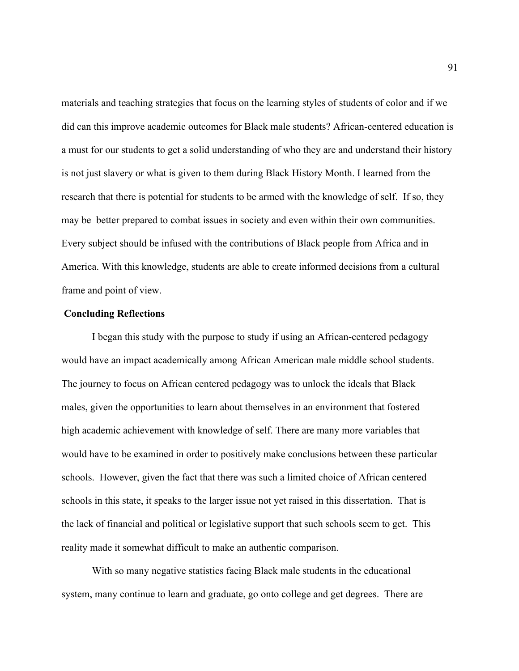materials and teaching strategies that focus on the learning styles of students of color and if we did can this improve academic outcomes for Black male students? African-centered education is a must for our students to get a solid understanding of who they are and understand their history is not just slavery or what is given to them during Black History Month. I learned from the research that there is potential for students to be armed with the knowledge of self. If so, they may be better prepared to combat issues in society and even within their own communities. Every subject should be infused with the contributions of Black people from Africa and in America. With this knowledge, students are able to create informed decisions from a cultural frame and point of view.

## **Concluding Reflections**

I began this study with the purpose to study if using an African-centered pedagogy would have an impact academically among African American male middle school students. The journey to focus on African centered pedagogy was to unlock the ideals that Black males, given the opportunities to learn about themselves in an environment that fostered high academic achievement with knowledge of self. There are many more variables that would have to be examined in order to positively make conclusions between these particular schools. However, given the fact that there was such a limited choice of African centered schools in this state, it speaks to the larger issue not yet raised in this dissertation. That is the lack of financial and political or legislative support that such schools seem to get. This reality made it somewhat difficult to make an authentic comparison.

With so many negative statistics facing Black male students in the educational system, many continue to learn and graduate, go onto college and get degrees. There are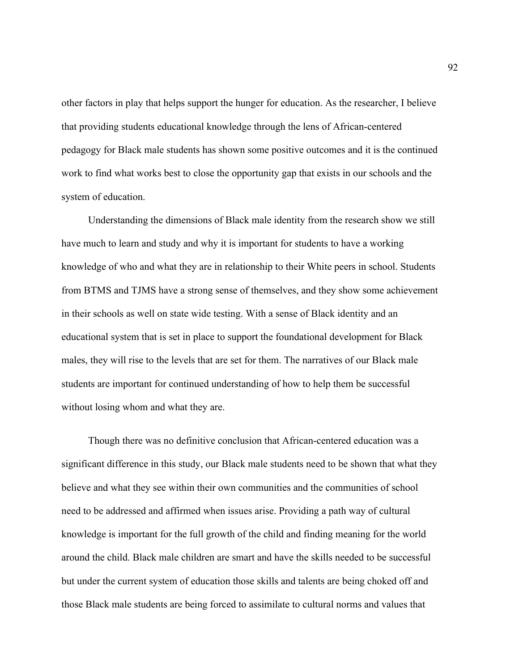other factors in play that helps support the hunger for education. As the researcher, I believe that providing students educational knowledge through the lens of African-centered pedagogy for Black male students has shown some positive outcomes and it is the continued work to find what works best to close the opportunity gap that exists in our schools and the system of education.

Understanding the dimensions of Black male identity from the research show we still have much to learn and study and why it is important for students to have a working knowledge of who and what they are in relationship to their White peers in school. Students from BTMS and TJMS have a strong sense of themselves, and they show some achievement in their schools as well on state wide testing. With a sense of Black identity and an educational system that is set in place to support the foundational development for Black males, they will rise to the levels that are set for them. The narratives of our Black male students are important for continued understanding of how to help them be successful without losing whom and what they are.

Though there was no definitive conclusion that African-centered education was a significant difference in this study, our Black male students need to be shown that what they believe and what they see within their own communities and the communities of school need to be addressed and affirmed when issues arise. Providing a path way of cultural knowledge is important for the full growth of the child and finding meaning for the world around the child. Black male children are smart and have the skills needed to be successful but under the current system of education those skills and talents are being choked off and those Black male students are being forced to assimilate to cultural norms and values that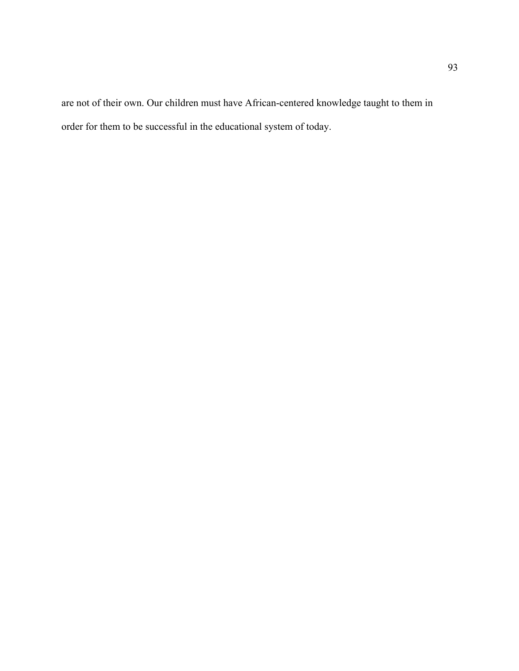are not of their own. Our children must have African-centered knowledge taught to them in order for them to be successful in the educational system of today.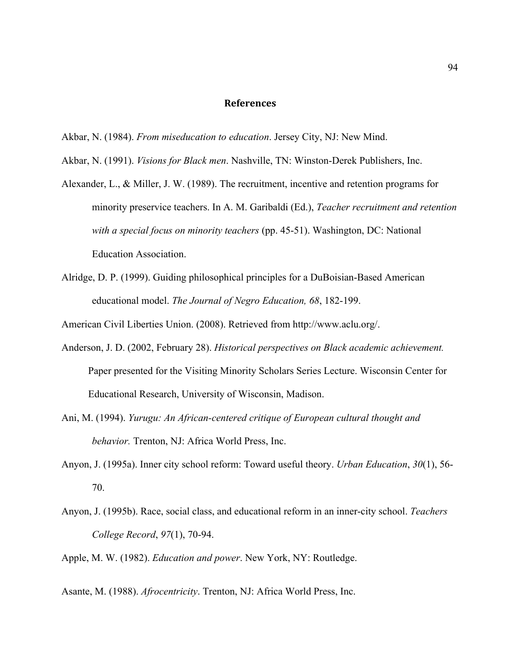#### **References**

- Akbar, N. (1984). *From miseducation to education*. Jersey City, NJ: New Mind.
- Akbar, N. (1991). *Visions for Black men*. Nashville, TN: Winston-Derek Publishers, Inc.
- Alexander, L., & Miller, J. W. (1989). The recruitment, incentive and retention programs for minority preservice teachers. In A. M. Garibaldi (Ed.), *Teacher recruitment and retention with a special focus on minority teachers* (pp. 45-51). Washington, DC: National Education Association.
- Alridge, D. P. (1999). Guiding philosophical principles for a DuBoisian-Based American educational model. *The Journal of Negro Education, 68*, 182-199.

American Civil Liberties Union. (2008). Retrieved from http://www.aclu.org/.

- Anderson, J. D. (2002, February 28). *Historical perspectives on Black academic achievement.* Paper presented for the Visiting Minority Scholars Series Lecture. Wisconsin Center for Educational Research, University of Wisconsin, Madison.
- Ani, M. (1994). *Yurugu: An African-centered critique of European cultural thought and behavior.* Trenton, NJ: Africa World Press, Inc.
- Anyon, J. (1995a). Inner city school reform: Toward useful theory. *Urban Education*, *30*(1), 56- 70.
- Anyon, J. (1995b). Race, social class, and educational reform in an inner-city school. *Teachers College Record*, *97*(1), 70-94.
- Apple, M. W. (1982). *Education and power*. New York, NY: Routledge.
- Asante, M. (1988). *Afrocentricity*. Trenton, NJ: Africa World Press, Inc.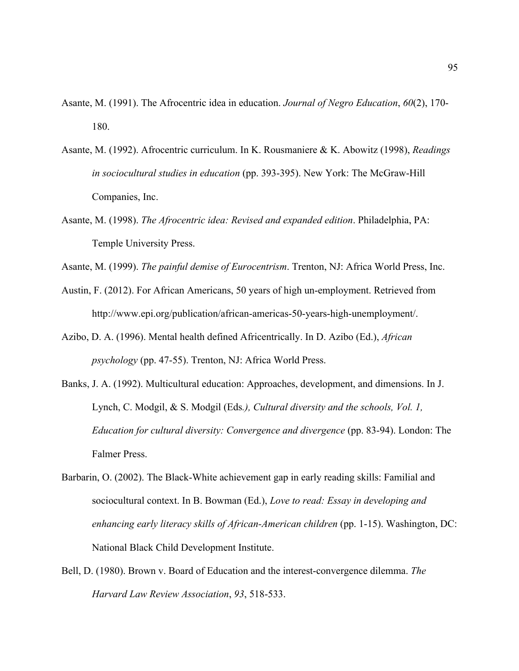- Asante, M. (1991). The Afrocentric idea in education. *Journal of Negro Education*, *60*(2), 170- 180.
- Asante, M. (1992). Afrocentric curriculum. In K. Rousmaniere & K. Abowitz (1998), *Readings in sociocultural studies in education* (pp. 393-395). New York: The McGraw-Hill Companies, Inc.
- Asante, M. (1998). *The Afrocentric idea: Revised and expanded edition*. Philadelphia, PA: Temple University Press.
- Asante, M. (1999). *The painful demise of Eurocentrism*. Trenton, NJ: Africa World Press, Inc.
- Austin, F. (2012). For African Americans, 50 years of high un-employment. Retrieved from http://www.epi.org/publication/african-americas-50-years-high-unemployment/.
- Azibo, D. A. (1996). Mental health defined Africentrically. In D. Azibo (Ed.), *African psychology* (pp. 47-55). Trenton, NJ: Africa World Press.
- Banks, J. A. (1992). Multicultural education: Approaches, development, and dimensions. In J. Lynch, C. Modgil, & S. Modgil (Eds*.), Cultural diversity and the schools, Vol. 1, Education for cultural diversity: Convergence and divergence* (pp. 83-94). London: The Falmer Press.
- Barbarin, O. (2002). The Black-White achievement gap in early reading skills: Familial and sociocultural context. In B. Bowman (Ed.), *Love to read: Essay in developing and enhancing early literacy skills of African-American children* (pp. 1-15). Washington, DC: National Black Child Development Institute.
- Bell, D. (1980). Brown v. Board of Education and the interest-convergence dilemma. *The Harvard Law Review Association*, *93*, 518-533.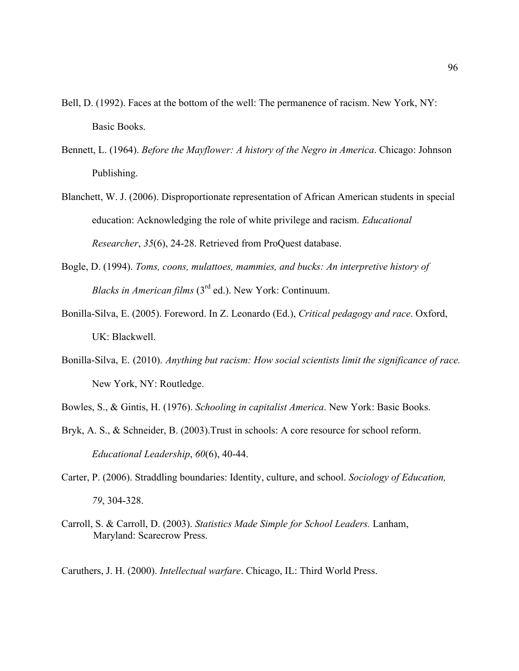- Bell, D. (1992). Faces at the bottom of the well: The permanence of racism. New York, NY: Basic Books.
- Bennett, L. (1964). *Before the Mayflower: A history of the Negro in America*. Chicago: Johnson Publishing.
- Blanchett, W. J. (2006). Disproportionate representation of African American students in special education: Acknowledging the role of white privilege and racism. *Educational Researcher*, *35*(6), 24-28. Retrieved from ProQuest database.
- Bogle, D. (1994). *Toms, coons, mulattoes, mammies, and bucks: An interpretive history of Blacks in American films* (3rd ed.). New York: Continuum.
- Bonilla-Silva, E. (2005). Foreword. In Z. Leonardo (Ed.), *Critical pedagogy and race*. Oxford, UK: Blackwell.
- Bonilla-Silva, E. (2010). *Anything but racism: How social scientists limit the significance of race.*  New York, NY: Routledge.
- Bowles, S., & Gintis, H. (1976). *Schooling in capitalist America*. New York: Basic Books.
- Bryk, A. S., & Schneider, B. (2003). Trust in schools: A core resource for school reform. *Educational Leadership*, *60*(6), 40-44.
- Carter, P. (2006). Straddling boundaries: Identity, culture, and school. *Sociology of Education, 79*, 304-328.
- Carroll, S. & Carroll, D. (2003). *Statistics Made Simple for School Leaders.* Lanham, Maryland: Scarecrow Press.

Caruthers, J. H. (2000). *Intellectual warfare*. Chicago, IL: Third World Press.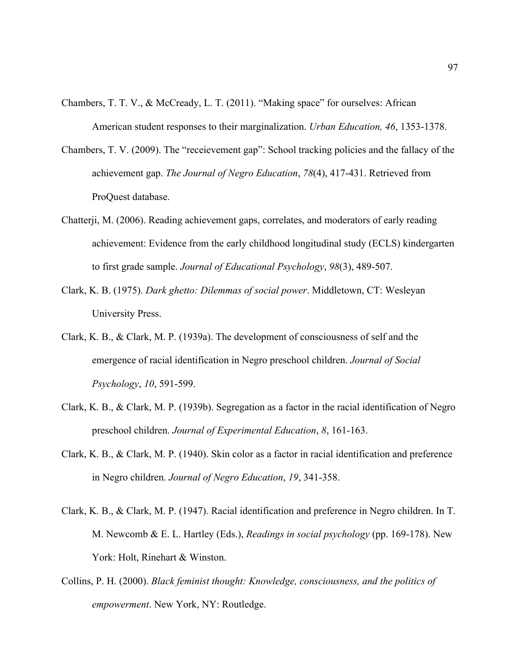- Chambers, T. T. V., & McCready, L. T. (2011). "Making space" for ourselves: African American student responses to their marginalization. *Urban Education, 46*, 1353-1378.
- Chambers, T. V. (2009). The "receievement gap": School tracking policies and the fallacy of the achievement gap. *The Journal of Negro Education*, *78*(4), 417-431. Retrieved from ProQuest database.
- Chatterji, M. (2006). Reading achievement gaps, correlates, and moderators of early reading achievement: Evidence from the early childhood longitudinal study (ECLS) kindergarten to first grade sample. *Journal of Educational Psychology*, *98*(3), 489-507.
- Clark, K. B. (1975). *Dark ghetto: Dilemmas of social power*. Middletown, CT: Wesleyan University Press.
- Clark, K. B., & Clark, M. P. (1939a). The development of consciousness of self and the emergence of racial identification in Negro preschool children. *Journal of Social Psychology*, *10*, 591-599.
- Clark, K. B., & Clark, M. P. (1939b). Segregation as a factor in the racial identification of Negro preschool children. *Journal of Experimental Education*, *8*, 161-163.
- Clark, K. B., & Clark, M. P. (1940). Skin color as a factor in racial identification and preference in Negro children. *Journal of Negro Education*, *19*, 341-358.
- Clark, K. B., & Clark, M. P. (1947). Racial identification and preference in Negro children. In T. M. Newcomb & E. L. Hartley (Eds.), *Readings in social psychology* (pp. 169-178). New York: Holt, Rinehart & Winston.
- Collins, P. H. (2000). *Black feminist thought: Knowledge, consciousness, and the politics of empowerment*. New York, NY: Routledge.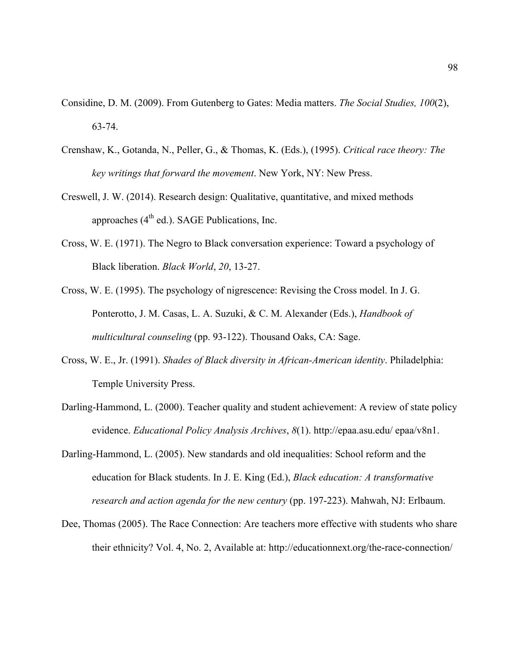- Considine, D. M. (2009). From Gutenberg to Gates: Media matters. *The Social Studies, 100*(2), 63-74.
- Crenshaw, K., Gotanda, N., Peller, G., & Thomas, K. (Eds.), (1995). *Critical race theory: The key writings that forward the movement*. New York, NY: New Press.
- Creswell, J. W. (2014). Research design: Qualitative, quantitative, and mixed methods approaches  $(4<sup>th</sup>$  ed.). SAGE Publications, Inc.
- Cross, W. E. (1971). The Negro to Black conversation experience: Toward a psychology of Black liberation. *Black World*, *20*, 13-27.
- Cross, W. E. (1995). The psychology of nigrescence: Revising the Cross model. In J. G. Ponterotto, J. M. Casas, L. A. Suzuki, & C. M. Alexander (Eds.), *Handbook of multicultural counseling* (pp. 93-122). Thousand Oaks, CA: Sage.
- Cross, W. E., Jr. (1991). *Shades of Black diversity in African-American identity*. Philadelphia: Temple University Press.
- Darling-Hammond, L. (2000). Teacher quality and student achievement: A review of state policy evidence. *Educational Policy Analysis Archives*, *8*(1). http://epaa.asu.edu/ epaa/v8n1.
- Darling-Hammond, L. (2005). New standards and old inequalities: School reform and the education for Black students. In J. E. King (Ed.), *Black education: A transformative research and action agenda for the new century* (pp. 197-223). Mahwah, NJ: Erlbaum.
- Dee, Thomas (2005). The Race Connection: Are teachers more effective with students who share their ethnicity? Vol. 4, No. 2, Available at: http://educationnext.org/the-race-connection/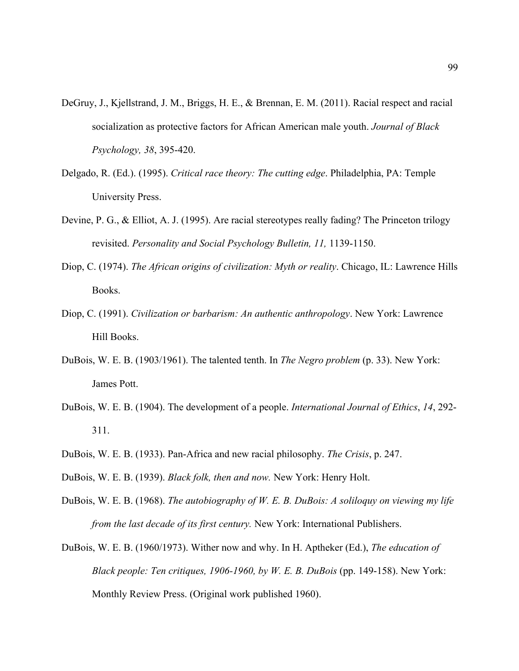- DeGruy, J., Kjellstrand, J. M., Briggs, H. E., & Brennan, E. M. (2011). Racial respect and racial socialization as protective factors for African American male youth. *Journal of Black Psychology, 38*, 395-420.
- Delgado, R. (Ed.). (1995). *Critical race theory: The cutting edge*. Philadelphia, PA: Temple University Press.
- Devine, P. G., & Elliot, A. J. (1995). Are racial stereotypes really fading? The Princeton trilogy revisited. *Personality and Social Psychology Bulletin, 11,* 1139-1150.
- Diop, C. (1974). *The African origins of civilization: Myth or reality*. Chicago, IL: Lawrence Hills Books.
- Diop, C. (1991). *Civilization or barbarism: An authentic anthropology*. New York: Lawrence Hill Books.
- DuBois, W. E. B. (1903/1961). The talented tenth. In *The Negro problem* (p. 33). New York: James Pott.
- DuBois, W. E. B. (1904). The development of a people. *International Journal of Ethics*, *14*, 292- 311.
- DuBois, W. E. B. (1933). Pan-Africa and new racial philosophy. *The Crisis*, p. 247.
- DuBois, W. E. B. (1939). *Black folk, then and now.* New York: Henry Holt.
- DuBois, W. E. B. (1968). *The autobiography of W. E. B. DuBois: A soliloquy on viewing my life from the last decade of its first century.* New York: International Publishers.
- DuBois, W. E. B. (1960/1973). Wither now and why. In H. Aptheker (Ed.), *The education of Black people: Ten critiques, 1906-1960, by W. E. B. DuBois* (pp. 149-158). New York: Monthly Review Press. (Original work published 1960).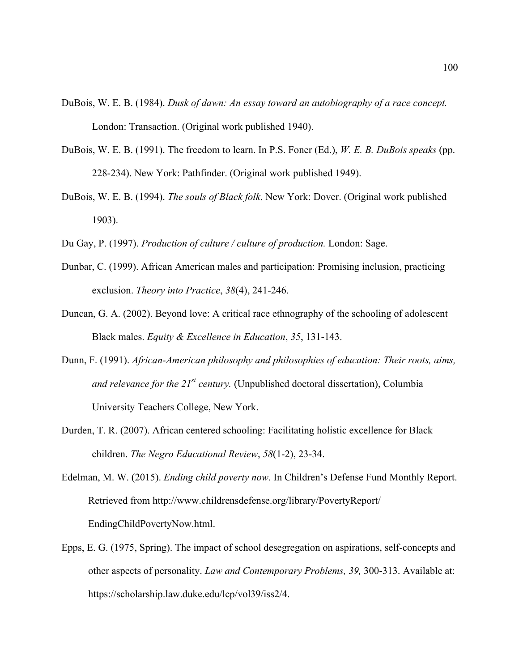- DuBois, W. E. B. (1984). *Dusk of dawn: An essay toward an autobiography of a race concept.* London: Transaction. (Original work published 1940).
- DuBois, W. E. B. (1991). The freedom to learn. In P.S. Foner (Ed.), *W. E. B. DuBois speaks* (pp. 228-234). New York: Pathfinder. (Original work published 1949).
- DuBois, W. E. B. (1994). *The souls of Black folk*. New York: Dover. (Original work published 1903).
- Du Gay, P. (1997). *Production of culture / culture of production.* London: Sage.
- Dunbar, C. (1999). African American males and participation: Promising inclusion, practicing exclusion. *Theory into Practice*, *38*(4), 241-246.
- Duncan, G. A. (2002). Beyond love: A critical race ethnography of the schooling of adolescent Black males. *Equity & Excellence in Education*, *35*, 131-143.
- Dunn, F. (1991). *African-American philosophy and philosophies of education: Their roots, aims, and relevance for the 21st century.* (Unpublished doctoral dissertation), Columbia University Teachers College, New York.
- Durden, T. R. (2007). African centered schooling: Facilitating holistic excellence for Black children. *The Negro Educational Review*, *58*(1-2), 23-34.
- Edelman, M. W. (2015). *Ending child poverty now*. In Children's Defense Fund Monthly Report. Retrieved from http://www.childrensdefense.org/library/PovertyReport/ EndingChildPovertyNow.html.
- Epps, E. G. (1975, Spring). The impact of school desegregation on aspirations, self-concepts and other aspects of personality. *Law and Contemporary Problems, 39,* 300-313. Available at: https://scholarship.law.duke.edu/lcp/vol39/iss2/4.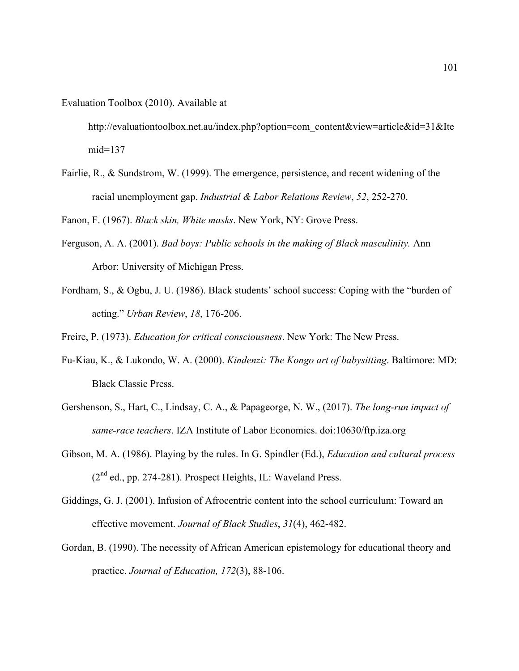Evaluation Toolbox (2010). Available at

http://evaluationtoolbox.net.au/index.php?option=com\_content&view=article&id=31&Ite mid=137

Fairlie, R., & Sundstrom, W. (1999). The emergence, persistence, and recent widening of the racial unemployment gap. *Industrial & Labor Relations Review*, *52*, 252-270.

Fanon, F. (1967). *Black skin, White masks*. New York, NY: Grove Press.

- Ferguson, A. A. (2001). *Bad boys: Public schools in the making of Black masculinity.* Ann Arbor: University of Michigan Press.
- Fordham, S., & Ogbu, J. U. (1986). Black students' school success: Coping with the "burden of acting." *Urban Review*, *18*, 176-206.

Freire, P. (1973). *Education for critical consciousness*. New York: The New Press.

- Fu-Kiau, K., & Lukondo, W. A. (2000). *Kindenzi: The Kongo art of babysitting*. Baltimore: MD: Black Classic Press.
- Gershenson, S., Hart, C., Lindsay, C. A., & Papageorge, N. W., (2017). *The long-run impact of same-race teachers*. IZA Institute of Labor Economics. doi:10630/ftp.iza.org
- Gibson, M. A. (1986). Playing by the rules. In G. Spindler (Ed.), *Education and cultural process*  $(2<sup>nd</sup>$  ed., pp. 274-281). Prospect Heights, IL: Waveland Press.
- Giddings, G. J. (2001). Infusion of Afrocentric content into the school curriculum: Toward an effective movement. *Journal of Black Studies*, *31*(4), 462-482.
- Gordan, B. (1990). The necessity of African American epistemology for educational theory and practice. *Journal of Education, 172*(3), 88-106.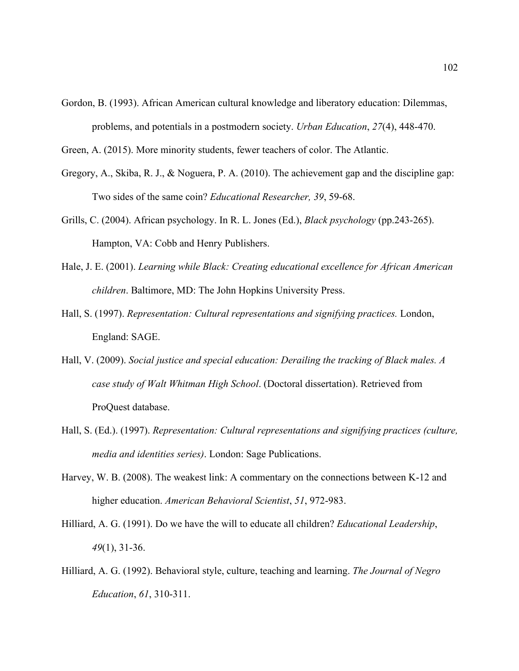Gordon, B. (1993). African American cultural knowledge and liberatory education: Dilemmas, problems, and potentials in a postmodern society. *Urban Education*, *27*(4), 448-470.

Green, A. (2015). More minority students, fewer teachers of color. The Atlantic.

- Gregory, A., Skiba, R. J., & Noguera, P. A. (2010). The achievement gap and the discipline gap: Two sides of the same coin? *Educational Researcher, 39*, 59-68.
- Grills, C. (2004). African psychology. In R. L. Jones (Ed.), *Black psychology* (pp.243-265). Hampton, VA: Cobb and Henry Publishers.
- Hale, J. E. (2001). *Learning while Black: Creating educational excellence for African American children*. Baltimore, MD: The John Hopkins University Press.
- Hall, S. (1997). *Representation: Cultural representations and signifying practices.* London, England: SAGE.
- Hall, V. (2009). *Social justice and special education: Derailing the tracking of Black males. A case study of Walt Whitman High School*. (Doctoral dissertation). Retrieved from ProQuest database.
- Hall, S. (Ed.). (1997). *Representation: Cultural representations and signifying practices (culture, media and identities series)*. London: Sage Publications.
- Harvey, W. B. (2008). The weakest link: A commentary on the connections between K-12 and higher education. *American Behavioral Scientist*, *51*, 972-983.
- Hilliard, A. G. (1991). Do we have the will to educate all children? *Educational Leadership*, *49*(1), 31-36.
- Hilliard, A. G. (1992). Behavioral style, culture, teaching and learning. *The Journal of Negro Education*, *61*, 310-311.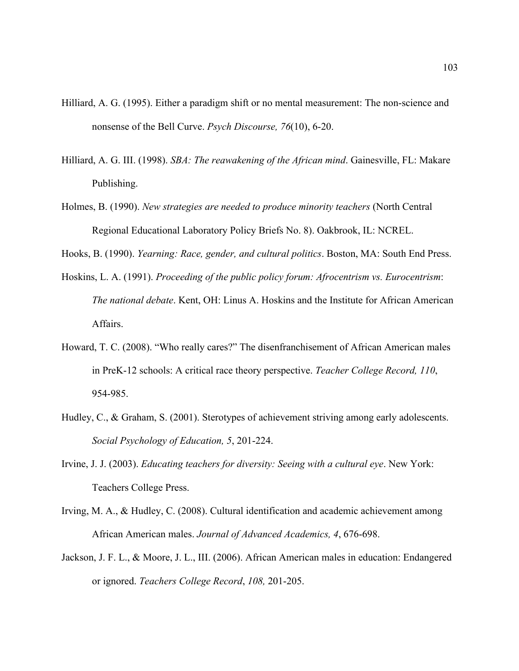- Hilliard, A. G. (1995). Either a paradigm shift or no mental measurement: The non-science and nonsense of the Bell Curve. *Psych Discourse, 76*(10), 6-20.
- Hilliard, A. G. III. (1998). *SBA: The reawakening of the African mind*. Gainesville, FL: Makare Publishing.
- Holmes, B. (1990). *New strategies are needed to produce minority teachers* (North Central Regional Educational Laboratory Policy Briefs No. 8). Oakbrook, IL: NCREL.
- Hooks, B. (1990). *Yearning: Race, gender, and cultural politics*. Boston, MA: South End Press.
- Hoskins, L. A. (1991). *Proceeding of the public policy forum: Afrocentrism vs. Eurocentrism*: *The national debate*. Kent, OH: Linus A. Hoskins and the Institute for African American Affairs.
- Howard, T. C. (2008). "Who really cares?" The disenfranchisement of African American males in PreK-12 schools: A critical race theory perspective. *Teacher College Record, 110*, 954-985.
- Hudley, C., & Graham, S. (2001). Sterotypes of achievement striving among early adolescents. *Social Psychology of Education, 5*, 201-224.
- Irvine, J. J. (2003). *Educating teachers for diversity: Seeing with a cultural eye*. New York: Teachers College Press.
- Irving, M. A., & Hudley, C. (2008). Cultural identification and academic achievement among African American males. *Journal of Advanced Academics, 4*, 676-698.
- Jackson, J. F. L., & Moore, J. L., III. (2006). African American males in education: Endangered or ignored. *Teachers College Record*, *108,* 201-205.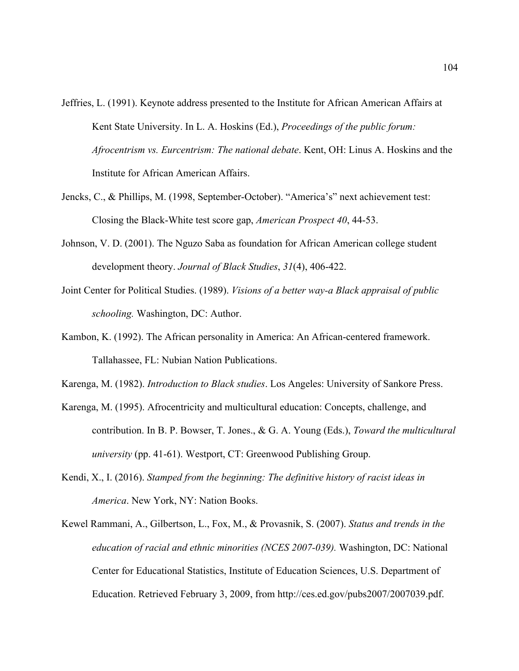- Jeffries, L. (1991). Keynote address presented to the Institute for African American Affairs at Kent State University. In L. A. Hoskins (Ed.), *Proceedings of the public forum: Afrocentrism vs. Eurcentrism: The national debate*. Kent, OH: Linus A. Hoskins and the Institute for African American Affairs.
- Jencks, C., & Phillips, M. (1998, September-October). "America's" next achievement test: Closing the Black-White test score gap, *American Prospect 40*, 44-53.
- Johnson, V. D. (2001). The Nguzo Saba as foundation for African American college student development theory. *Journal of Black Studies*, *31*(4), 406-422.
- Joint Center for Political Studies. (1989). *Visions of a better way-a Black appraisal of public schooling.* Washington, DC: Author.
- Kambon, K. (1992). The African personality in America: An African-centered framework. Tallahassee, FL: Nubian Nation Publications.
- Karenga, M. (1982). *Introduction to Black studies*. Los Angeles: University of Sankore Press.
- Karenga, M. (1995). Afrocentricity and multicultural education: Concepts, challenge, and contribution. In B. P. Bowser, T. Jones., & G. A. Young (Eds.), *Toward the multicultural university* (pp. 41-61). Westport, CT: Greenwood Publishing Group.
- Kendi, X., I. (2016). *Stamped from the beginning: The definitive history of racist ideas in America*. New York, NY: Nation Books.
- Kewel Rammani, A., Gilbertson, L., Fox, M., & Provasnik, S. (2007). *Status and trends in the education of racial and ethnic minorities (NCES 2007-039).* Washington, DC: National Center for Educational Statistics, Institute of Education Sciences, U.S. Department of Education. Retrieved February 3, 2009, from http://ces.ed.gov/pubs2007/2007039.pdf.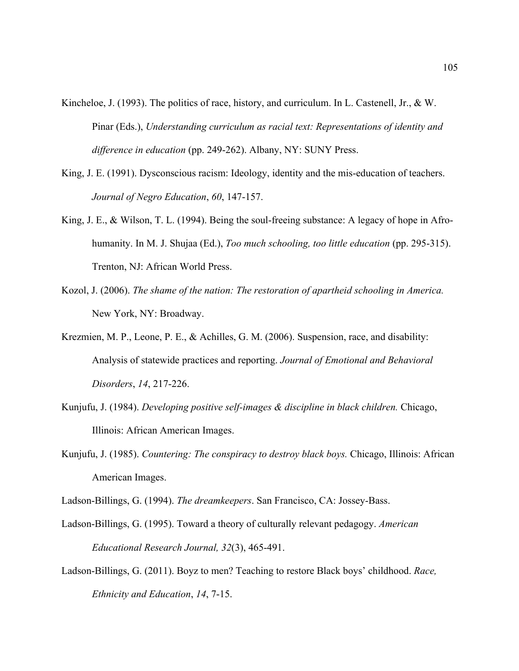- Kincheloe, J. (1993). The politics of race, history, and curriculum. In L. Castenell, Jr., & W. Pinar (Eds.), *Understanding curriculum as racial text: Representations of identity and difference in education* (pp. 249-262). Albany, NY: SUNY Press.
- King, J. E. (1991). Dysconscious racism: Ideology, identity and the mis-education of teachers. *Journal of Negro Education*, *60*, 147-157.
- King, J. E., & Wilson, T. L. (1994). Being the soul-freeing substance: A legacy of hope in Afrohumanity. In M. J. Shujaa (Ed.), *Too much schooling, too little education* (pp. 295-315). Trenton, NJ: African World Press.
- Kozol, J. (2006). *The shame of the nation: The restoration of apartheid schooling in America.* New York, NY: Broadway.
- Krezmien, M. P., Leone, P. E., & Achilles, G. M. (2006). Suspension, race, and disability: Analysis of statewide practices and reporting. *Journal of Emotional and Behavioral Disorders*, *14*, 217-226.
- Kunjufu, J. (1984). *Developing positive self-images & discipline in black children.* Chicago, Illinois: African American Images.
- Kunjufu, J. (1985). *Countering: The conspiracy to destroy black boys.* Chicago, Illinois: African American Images.
- Ladson-Billings, G. (1994). *The dreamkeepers*. San Francisco, CA: Jossey-Bass.
- Ladson-Billings, G. (1995). Toward a theory of culturally relevant pedagogy. *American Educational Research Journal, 32*(3), 465-491.
- Ladson-Billings, G. (2011). Boyz to men? Teaching to restore Black boys' childhood. *Race, Ethnicity and Education*, *14*, 7-15.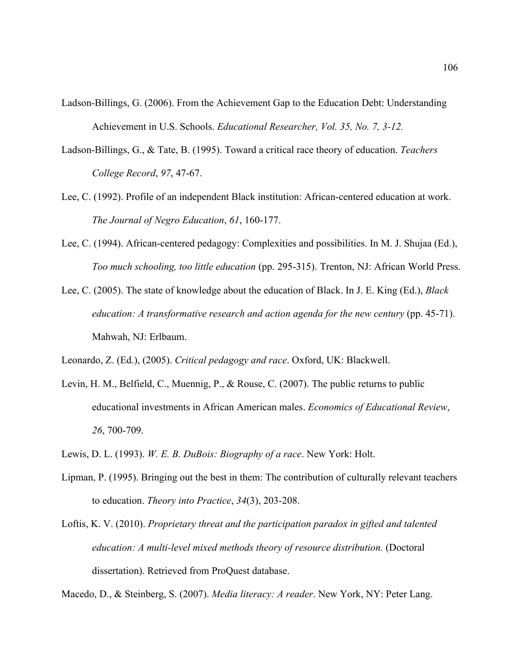- Ladson-Billings, G. (2006). From the Achievement Gap to the Education Debt: Understanding Achievement in U.S. Schools. *Educational Researcher, Vol. 35, No. 7, 3-12.*
- Ladson-Billings, G., & Tate, B. (1995). Toward a critical race theory of education. *Teachers College Record*, *97*, 47-67.
- Lee, C. (1992). Profile of an independent Black institution: African-centered education at work. *The Journal of Negro Education*, *61*, 160-177.
- Lee, C. (1994). African-centered pedagogy: Complexities and possibilities. In M. J. Shujaa (Ed.), *Too much schooling, too little education* (pp. 295-315). Trenton, NJ: African World Press.
- Lee, C. (2005). The state of knowledge about the education of Black. In J. E. King (Ed.), *Black education: A transformative research and action agenda for the new century* (pp. 45-71). Mahwah, NJ: Erlbaum.

Leonardo, Z. (Ed.), (2005). *Critical pedagogy and race*. Oxford, UK: Blackwell.

- Levin, H. M., Belfield, C., Muennig, P., & Rouse, C. (2007). The public returns to public educational investments in African American males. *Economics of Educational Review*, *26*, 700-709.
- Lewis, D. L. (1993). *W. E. B. DuBois: Biography of a race*. New York: Holt.
- Lipman, P. (1995). Bringing out the best in them: The contribution of culturally relevant teachers to education. *Theory into Practice*, *34*(3), 203-208.
- Loftis, K. V. (2010). *Proprietary threat and the participation paradox in gifted and talented education: A multi-level mixed methods theory of resource distribution.* (Doctoral dissertation). Retrieved from ProQuest database.

Macedo, D., & Steinberg, S. (2007). *Media literacy: A reader*. New York, NY: Peter Lang.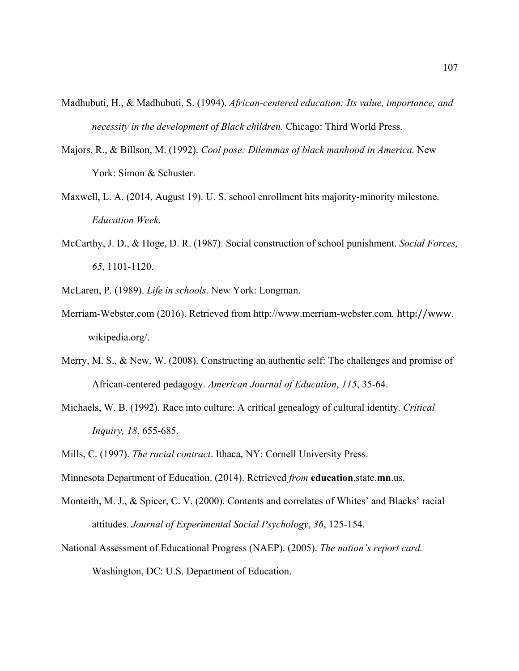- Madhubuti, H., & Madhubuti, S. (1994). *African-centered education: Its value, importance, and necessity in the development of Black children.* Chicago: Third World Press.
- Majors, R., & Billson, M. (1992). *Cool pose: Dilemmas of black manhood in America.* New York: Simon & Schuster.
- Maxwell, L. A. (2014, August 19). U. S. school enrollment hits majority-minority milestone. *Education Week*.
- McCarthy, J. D., & Hoge, D. R. (1987). Social construction of school punishment. *Social Forces, 65*, 1101-1120.
- McLaren, P. (1989). *Life in schools*. New York: Longman.
- Merriam-Webster.com (2016). Retrieved from http://www.merriam-webster.com*.* http://www. wikipedia.org/.
- Merry, M. S., & New, W. (2008). Constructing an authentic self: The challenges and promise of African-centered pedagogy. *American Journal of Education*, *115*, 35-64.
- Michaels, W. B. (1992). Race into culture: A critical genealogy of cultural identity. *Critical Inquiry, 18*, 655-685.
- Mills, C. (1997). *The racial contract*. Ithaca, NY: Cornell University Press.
- Minnesota Department of Education. (2014). Retrieved *from* **education**.state.**mn**.us.
- Monteith, M. J., & Spicer, C. V. (2000). Contents and correlates of Whites' and Blacks' racial attitudes. *Journal of Experimental Social Psychology*, *36*, 125-154.
- National Assessment of Educational Progress (NAEP). (2005). *The nation's report card.* Washington, DC: U.S. Department of Education.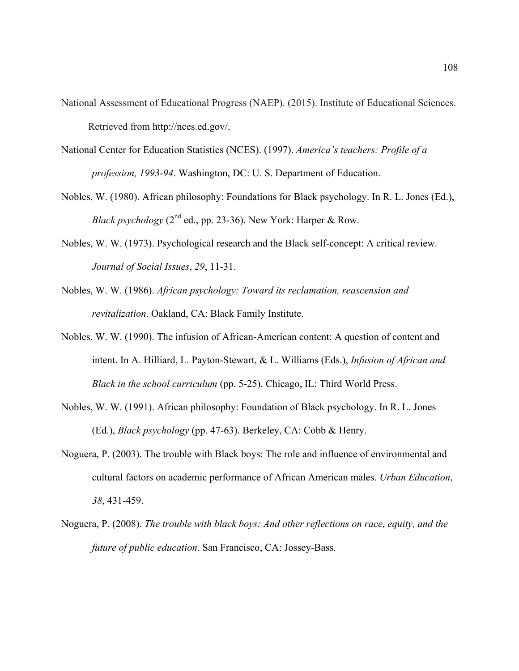- National Assessment of Educational Progress (NAEP). (2015). Institute of Educational Sciences. Retrieved from http://nces.ed.gov/.
- National Center for Education Statistics (NCES). (1997). *America's teachers: Profile of a profession, 1993-94*. Washington, DC: U. S. Department of Education.
- Nobles, W. (1980). African philosophy: Foundations for Black psychology. In R. L. Jones (Ed.), *Black psychology* ( $2<sup>nd</sup>$  ed., pp. 23-36). New York: Harper & Row.
- Nobles, W. W. (1973). Psychological research and the Black self-concept: A critical review. *Journal of Social Issues*, *29*, 11-31.
- Nobles, W. W. (1986). *African psychology: Toward its reclamation, reascension and revitalization*. Oakland, CA: Black Family Institute.
- Nobles, W. W. (1990). The infusion of African-American content: A question of content and intent. In A. Hilliard, L. Payton-Stewart, & L. Williams (Eds.), *Infusion of African and Black in the school curriculum* (pp. 5-25). Chicago, IL: Third World Press.
- Nobles, W. W. (1991). African philosophy: Foundation of Black psychology. In R. L. Jones (Ed.), *Black psychology* (pp. 47-63). Berkeley, CA: Cobb & Henry.
- Noguera, P. (2003). The trouble with Black boys: The role and influence of environmental and cultural factors on academic performance of African American males. *Urban Education*, *38*, 431-459.
- Noguera, P. (2008). *The trouble with black boys: And other reflections on race, equity, and the future of public education*. San Francisco, CA: Jossey-Bass.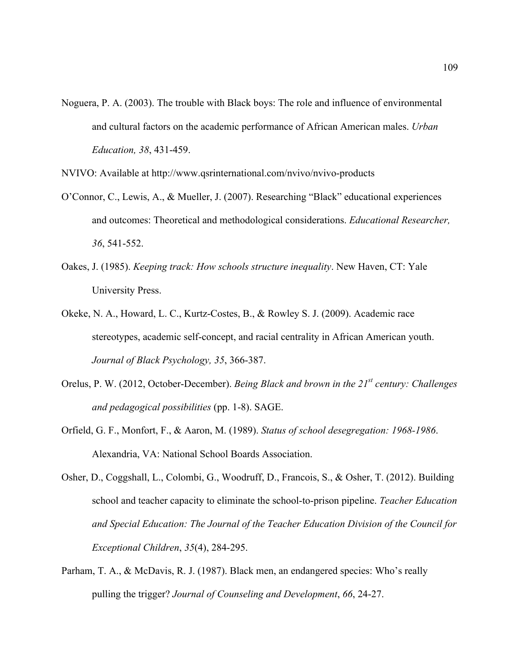- Noguera, P. A. (2003). The trouble with Black boys: The role and influence of environmental and cultural factors on the academic performance of African American males. *Urban Education, 38*, 431-459.
- NVIVO: Available at http://www.qsrinternational.com/nvivo/nvivo-products
- O'Connor, C., Lewis, A., & Mueller, J. (2007). Researching "Black" educational experiences and outcomes: Theoretical and methodological considerations. *Educational Researcher, 36*, 541-552.
- Oakes, J. (1985). *Keeping track: How schools structure inequality*. New Haven, CT: Yale University Press.
- Okeke, N. A., Howard, L. C., Kurtz-Costes, B., & Rowley S. J. (2009). Academic race stereotypes, academic self-concept, and racial centrality in African American youth. *Journal of Black Psychology, 35*, 366-387.
- Orelus, P. W. (2012, October-December). *Being Black and brown in the 21st century: Challenges and pedagogical possibilities* (pp. 1-8). SAGE.
- Orfield, G. F., Monfort, F., & Aaron, M. (1989). *Status of school desegregation: 1968-1986*. Alexandria, VA: National School Boards Association.
- Osher, D., Coggshall, L., Colombi, G., Woodruff, D., Francois, S., & Osher, T. (2012). Building school and teacher capacity to eliminate the school-to-prison pipeline. *Teacher Education and Special Education: The Journal of the Teacher Education Division of the Council for Exceptional Children*, *35*(4), 284-295.
- Parham, T. A., & McDavis, R. J. (1987). Black men, an endangered species: Who's really pulling the trigger? *Journal of Counseling and Development*, *66*, 24-27.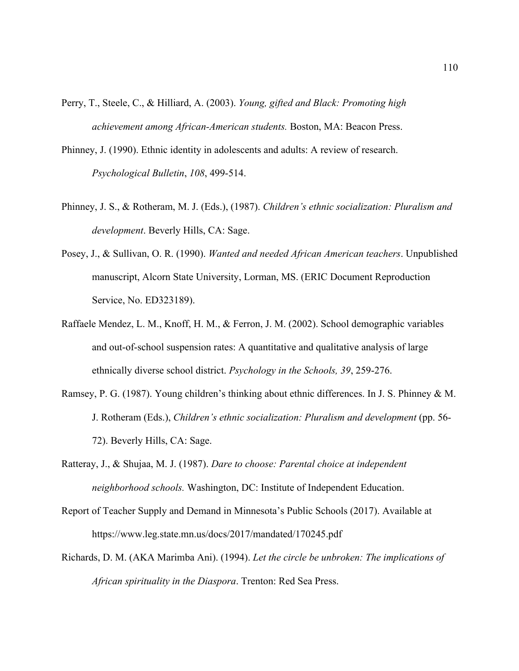- Perry, T., Steele, C., & Hilliard, A. (2003). *Young, gifted and Black: Promoting high achievement among African-American students.* Boston, MA: Beacon Press.
- Phinney, J. (1990). Ethnic identity in adolescents and adults: A review of research. *Psychological Bulletin*, *108*, 499-514.
- Phinney, J. S., & Rotheram, M. J. (Eds.), (1987). *Children's ethnic socialization: Pluralism and development*. Beverly Hills, CA: Sage.
- Posey, J., & Sullivan, O. R. (1990). *Wanted and needed African American teachers*. Unpublished manuscript, Alcorn State University, Lorman, MS. (ERIC Document Reproduction Service, No. ED323189).
- Raffaele Mendez, L. M., Knoff, H. M., & Ferron, J. M. (2002). School demographic variables and out-of-school suspension rates: A quantitative and qualitative analysis of large ethnically diverse school district. *Psychology in the Schools, 39*, 259-276.
- Ramsey, P. G. (1987). Young children's thinking about ethnic differences. In J. S. Phinney & M. J. Rotheram (Eds.), *Children's ethnic socialization: Pluralism and development* (pp. 56- 72). Beverly Hills, CA: Sage.
- Ratteray, J., & Shujaa, M. J. (1987). *Dare to choose: Parental choice at independent neighborhood schools.* Washington, DC: Institute of Independent Education.
- Report of Teacher Supply and Demand in Minnesota's Public Schools (2017). Available at https://www.leg.state.mn.us/docs/2017/mandated/170245.pdf
- Richards, D. M. (AKA Marimba Ani). (1994). *Let the circle be unbroken: The implications of African spirituality in the Diaspora*. Trenton: Red Sea Press.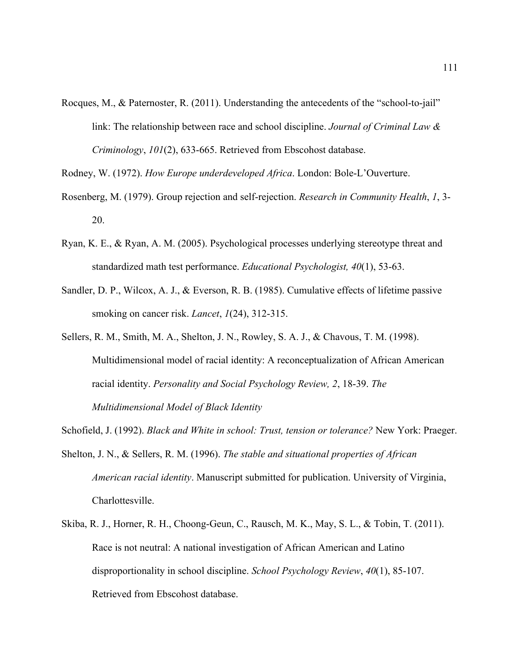Rocques, M., & Paternoster, R. (2011). Understanding the antecedents of the "school-to-jail" link: The relationship between race and school discipline. *Journal of Criminal Law & Criminology*, *101*(2), 633-665. Retrieved from Ebscohost database.

Rodney, W. (1972). *How Europe underdeveloped Africa*. London: Bole-L'Ouverture.

- Rosenberg, M. (1979). Group rejection and self-rejection. *Research in Community Health*, *1*, 3- 20.
- Ryan, K. E., & Ryan, A. M. (2005). Psychological processes underlying stereotype threat and standardized math test performance. *Educational Psychologist, 40*(1), 53-63.
- Sandler, D. P., Wilcox, A. J., & Everson, R. B. (1985). Cumulative effects of lifetime passive smoking on cancer risk. *Lancet*, *1*(24), 312-315.
- Sellers, R. M., Smith, M. A., Shelton, J. N., Rowley, S. A. J., & Chavous, T. M. (1998). Multidimensional model of racial identity: A reconceptualization of African American racial identity. *Personality and Social Psychology Review, 2*, 18-39. *The Multidimensional Model of Black Identity*
- Schofield, J. (1992). *Black and White in school: Trust, tension or tolerance?* New York: Praeger.
- Shelton, J. N., & Sellers, R. M. (1996). *The stable and situational properties of African American racial identity*. Manuscript submitted for publication. University of Virginia, Charlottesville.
- Skiba, R. J., Horner, R. H., Choong-Geun, C., Rausch, M. K., May, S. L., & Tobin, T. (2011). Race is not neutral: A national investigation of African American and Latino disproportionality in school discipline. *School Psychology Review*, *40*(1), 85-107. Retrieved from Ebscohost database.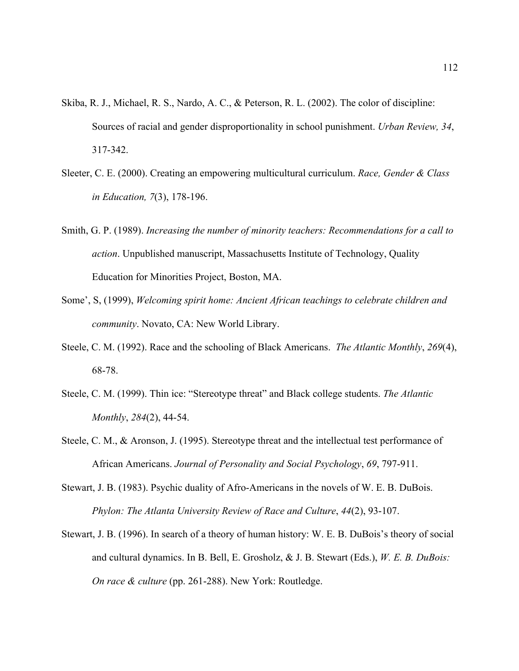- Skiba, R. J., Michael, R. S., Nardo, A. C., & Peterson, R. L. (2002). The color of discipline: Sources of racial and gender disproportionality in school punishment. *Urban Review, 34*, 317-342.
- Sleeter, C. E. (2000). Creating an empowering multicultural curriculum. *Race, Gender & Class in Education, 7*(3), 178-196.
- Smith, G. P. (1989). *Increasing the number of minority teachers: Recommendations for a call to action*. Unpublished manuscript, Massachusetts Institute of Technology, Quality Education for Minorities Project, Boston, MA.
- Some', S, (1999), *Welcoming spirit home: Ancient African teachings to celebrate children and community*. Novato, CA: New World Library.
- Steele, C. M. (1992). Race and the schooling of Black Americans. *The Atlantic Monthly*, *269*(4), 68-78.
- Steele, C. M. (1999). Thin ice: "Stereotype threat" and Black college students. *The Atlantic Monthly*, *284*(2), 44-54.
- Steele, C. M., & Aronson, J. (1995). Stereotype threat and the intellectual test performance of African Americans. *Journal of Personality and Social Psychology*, *69*, 797-911.
- Stewart, J. B. (1983). Psychic duality of Afro-Americans in the novels of W. E. B. DuBois. *Phylon: The Atlanta University Review of Race and Culture*, *44*(2), 93-107.
- Stewart, J. B. (1996). In search of a theory of human history: W. E. B. DuBois's theory of social and cultural dynamics. In B. Bell, E. Grosholz, & J. B. Stewart (Eds.), *W. E. B. DuBois: On race & culture* (pp. 261-288). New York: Routledge.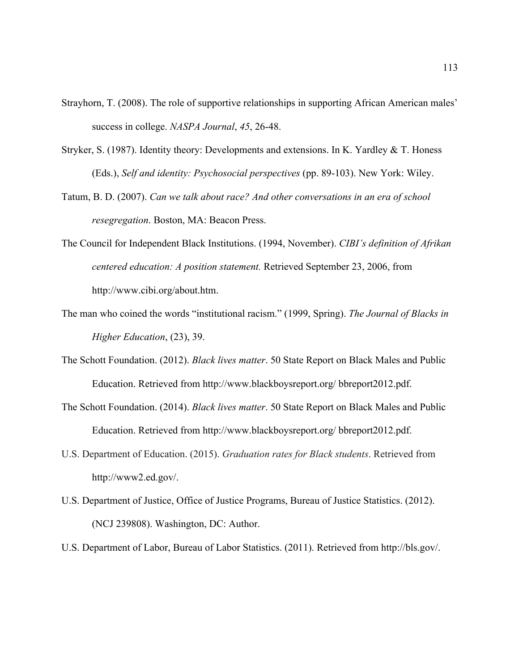- Strayhorn, T. (2008). The role of supportive relationships in supporting African American males' success in college. *NASPA Journal*, *45*, 26-48.
- Stryker, S. (1987). Identity theory: Developments and extensions. In K. Yardley & T. Honess (Eds.), *Self and identity: Psychosocial perspectives* (pp. 89-103). New York: Wiley.
- Tatum, B. D. (2007). *Can we talk about race? And other conversations in an era of school resegregation*. Boston, MA: Beacon Press.
- The Council for Independent Black Institutions. (1994, November). *CIBI's definition of Afrikan centered education: A position statement.* Retrieved September 23, 2006, from http://www.cibi.org/about.htm.
- The man who coined the words "institutional racism." (1999, Spring). *The Journal of Blacks in Higher Education*, (23), 39.
- The Schott Foundation. (2012). *Black lives matter*. 50 State Report on Black Males and Public Education. Retrieved from http://www.blackboysreport.org/ bbreport2012.pdf.
- The Schott Foundation. (2014). *Black lives matter*. 50 State Report on Black Males and Public Education. Retrieved from http://www.blackboysreport.org/ bbreport2012.pdf.
- U.S. Department of Education. (2015). *Graduation rates for Black students*. Retrieved from http://www2.ed.gov/.
- U.S. Department of Justice, Office of Justice Programs, Bureau of Justice Statistics. (2012). (NCJ 239808). Washington, DC: Author.
- U.S. Department of Labor, Bureau of Labor Statistics. (2011). Retrieved from http://bls.gov/.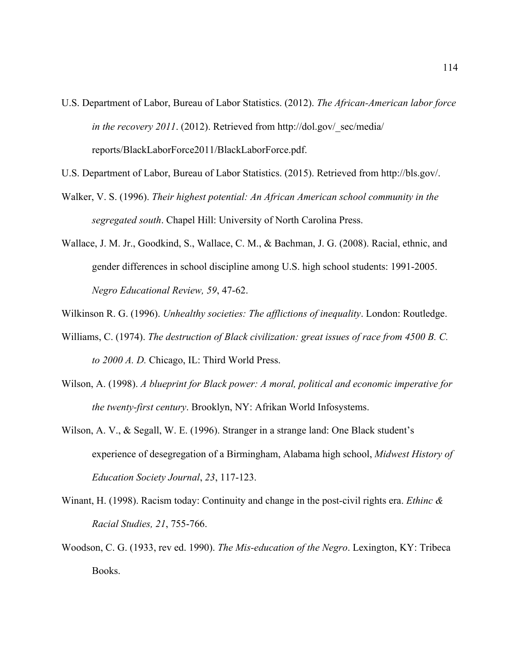- U.S. Department of Labor, Bureau of Labor Statistics. (2012). *The African-American labor force in the recovery 2011.* (2012). Retrieved from http://dol.gov/\_sec/media/ reports/BlackLaborForce2011/BlackLaborForce.pdf.
- U.S. Department of Labor, Bureau of Labor Statistics. (2015). Retrieved from http://bls.gov/.
- Walker, V. S. (1996). *Their highest potential: An African American school community in the segregated south*. Chapel Hill: University of North Carolina Press.
- Wallace, J. M. Jr., Goodkind, S., Wallace, C. M., & Bachman, J. G. (2008). Racial, ethnic, and gender differences in school discipline among U.S. high school students: 1991-2005. *Negro Educational Review, 59*, 47-62.
- Wilkinson R. G. (1996). *Unhealthy societies: The afflictions of inequality*. London: Routledge.
- Williams, C. (1974). *The destruction of Black civilization: great issues of race from 4500 B. C. to 2000 A. D.* Chicago, IL: Third World Press.
- Wilson, A. (1998). *A blueprint for Black power: A moral, political and economic imperative for the twenty-first century*. Brooklyn, NY: Afrikan World Infosystems.
- Wilson, A. V., & Segall, W. E. (1996). Stranger in a strange land: One Black student's experience of desegregation of a Birmingham, Alabama high school, *Midwest History of Education Society Journal*, *23*, 117-123.
- Winant, H. (1998). Racism today: Continuity and change in the post-civil rights era. *Ethinc & Racial Studies, 21*, 755-766.
- Woodson, C. G. (1933, rev ed. 1990). *The Mis-education of the Negro*. Lexington, KY: Tribeca Books.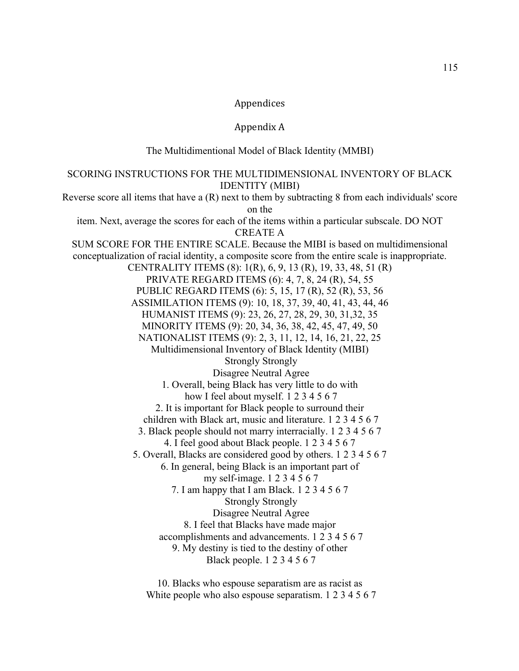#### Appendices

#### Appendix A

The Multidimentional Model of Black Identity (MMBI)

#### SCORING INSTRUCTIONS FOR THE MULTIDIMENSIONAL INVENTORY OF BLACK IDENTITY (MIBI) Reverse score all items that have a (R) next to them by subtracting 8 from each individuals' score on the item. Next, average the scores for each of the items within a particular subscale. DO NOT

CREATE A SUM SCORE FOR THE ENTIRE SCALE. Because the MIBI is based on multidimensional conceptualization of racial identity, a composite score from the entire scale is inappropriate. CENTRALITY ITEMS (8): 1(R), 6, 9, 13 (R), 19, 33, 48, 51 (R) PRIVATE REGARD ITEMS (6): 4, 7, 8, 24 (R), 54, 55 PUBLIC REGARD ITEMS (6): 5, 15, 17 (R), 52 (R), 53, 56 ASSIMILATION ITEMS (9): 10, 18, 37, 39, 40, 41, 43, 44, 46 HUMANIST ITEMS (9): 23, 26, 27, 28, 29, 30, 31,32, 35 MINORITY ITEMS (9): 20, 34, 36, 38, 42, 45, 47, 49, 50 NATIONALIST ITEMS (9): 2, 3, 11, 12, 14, 16, 21, 22, 25 Multidimensional Inventory of Black Identity (MIBI) Strongly Strongly Disagree Neutral Agree 1. Overall, being Black has very little to do with how I feel about myself. 1 2 3 4 5 6 7 2. It is important for Black people to surround their children with Black art, music and literature. 1 2 3 4 5 6 7 3. Black people should not marry interracially. 1 2 3 4 5 6 7 4. I feel good about Black people. 1 2 3 4 5 6 7 5. Overall, Blacks are considered good by others. 1 2 3 4 5 6 7 6. In general, being Black is an important part of my self-image. 1 2 3 4 5 6 7 7. I am happy that I am Black. 1 2 3 4 5 6 7 Strongly Strongly Disagree Neutral Agree 8. I feel that Blacks have made major accomplishments and advancements. 1 2 3 4 5 6 7 9. My destiny is tied to the destiny of other Black people. 1 2 3 4 5 6 7

> 10. Blacks who espouse separatism are as racist as White people who also espouse separatism. 1 2 3 4 5 6 7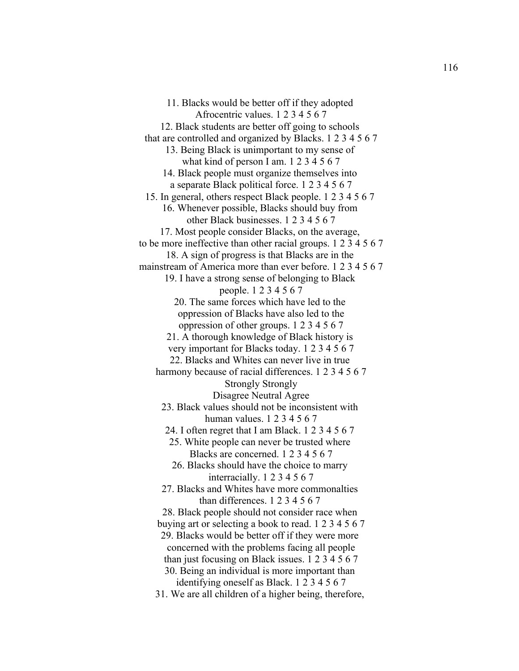11. Blacks would be better off if they adopted Afrocentric values. 1 2 3 4 5 6 7 12. Black students are better off going to schools that are controlled and organized by Blacks. 1 2 3 4 5 6 7 13. Being Black is unimportant to my sense of what kind of person I am. 1 2 3 4 5 6 7 14. Black people must organize themselves into a separate Black political force. 1 2 3 4 5 6 7 15. In general, others respect Black people. 1 2 3 4 5 6 7 16. Whenever possible, Blacks should buy from other Black businesses. 1 2 3 4 5 6 7 17. Most people consider Blacks, on the average, to be more ineffective than other racial groups. 1 2 3 4 5 6 7 18. A sign of progress is that Blacks are in the mainstream of America more than ever before. 1 2 3 4 5 6 7 19. I have a strong sense of belonging to Black people. 1 2 3 4 5 6 7 20. The same forces which have led to the oppression of Blacks have also led to the oppression of other groups. 1 2 3 4 5 6 7 21. A thorough knowledge of Black history is very important for Blacks today. 1 2 3 4 5 6 7 22. Blacks and Whites can never live in true harmony because of racial differences. 1 2 3 4 5 6 7 Strongly Strongly Disagree Neutral Agree 23. Black values should not be inconsistent with human values. 1 2 3 4 5 6 7 24. I often regret that I am Black. 1 2 3 4 5 6 7 25. White people can never be trusted where Blacks are concerned. 1 2 3 4 5 6 7 26. Blacks should have the choice to marry interracially. 1 2 3 4 5 6 7 27. Blacks and Whites have more commonalties than differences. 1 2 3 4 5 6 7 28. Black people should not consider race when buying art or selecting a book to read. 1 2 3 4 5 6 7 29. Blacks would be better off if they were more concerned with the problems facing all people than just focusing on Black issues. 1 2 3 4 5 6 7 30. Being an individual is more important than identifying oneself as Black. 1 2 3 4 5 6 7 31. We are all children of a higher being, therefore,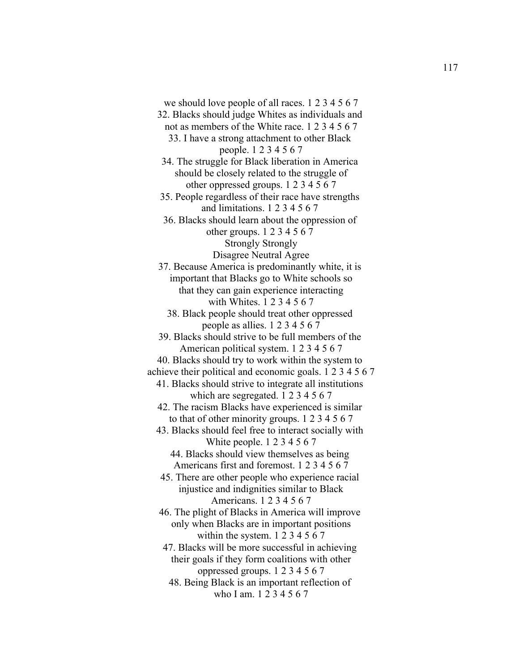we should love people of all races. 1 2 3 4 5 6 7 32. Blacks should judge Whites as individuals and not as members of the White race. 1 2 3 4 5 6 7 33. I have a strong attachment to other Black people. 1 2 3 4 5 6 7 34. The struggle for Black liberation in America should be closely related to the struggle of other oppressed groups. 1 2 3 4 5 6 7 35. People regardless of their race have strengths and limitations. 1 2 3 4 5 6 7 36. Blacks should learn about the oppression of other groups. 1 2 3 4 5 6 7 Strongly Strongly Disagree Neutral Agree 37. Because America is predominantly white, it is important that Blacks go to White schools so that they can gain experience interacting with Whites. 1 2 3 4 5 6 7 38. Black people should treat other oppressed people as allies. 1 2 3 4 5 6 7 39. Blacks should strive to be full members of the American political system. 1 2 3 4 5 6 7 40. Blacks should try to work within the system to achieve their political and economic goals. 1 2 3 4 5 6 7 41. Blacks should strive to integrate all institutions which are segregated. 1 2 3 4 5 6 7 42. The racism Blacks have experienced is similar to that of other minority groups. 1 2 3 4 5 6 7 43. Blacks should feel free to interact socially with White people. 1 2 3 4 5 6 7 44. Blacks should view themselves as being Americans first and foremost. 1 2 3 4 5 6 7 45. There are other people who experience racial injustice and indignities similar to Black Americans. 1 2 3 4 5 6 7 46. The plight of Blacks in America will improve only when Blacks are in important positions within the system. 1 2 3 4 5 6 7 47. Blacks will be more successful in achieving their goals if they form coalitions with other oppressed groups. 1 2 3 4 5 6 7 48. Being Black is an important reflection of who I am. 1 2 3 4 5 6 7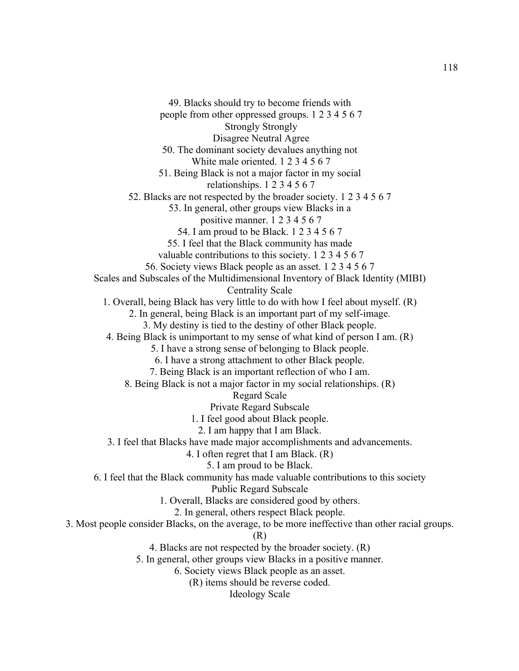49. Blacks should try to become friends with people from other oppressed groups. 1 2 3 4 5 6 7 Strongly Strongly Disagree Neutral Agree 50. The dominant society devalues anything not White male oriented. 1 2 3 4 5 6 7 51. Being Black is not a major factor in my social relationships. 1 2 3 4 5 6 7 52. Blacks are not respected by the broader society. 1 2 3 4 5 6 7 53. In general, other groups view Blacks in a positive manner. 1 2 3 4 5 6 7 54. I am proud to be Black. 1 2 3 4 5 6 7 55. I feel that the Black community has made valuable contributions to this society. 1 2 3 4 5 6 7 56. Society views Black people as an asset. 1 2 3 4 5 6 7 Scales and Subscales of the Multidimensional Inventory of Black Identity (MIBI) Centrality Scale 1. Overall, being Black has very little to do with how I feel about myself. (R) 2. In general, being Black is an important part of my self-image. 3. My destiny is tied to the destiny of other Black people. 4. Being Black is unimportant to my sense of what kind of person I am. (R) 5. I have a strong sense of belonging to Black people. 6. I have a strong attachment to other Black people. 7. Being Black is an important reflection of who I am. 8. Being Black is not a major factor in my social relationships. (R) Regard Scale Private Regard Subscale 1. I feel good about Black people. 2. I am happy that I am Black. 3. I feel that Blacks have made major accomplishments and advancements. 4. I often regret that I am Black. (R) 5. I am proud to be Black. 6. I feel that the Black community has made valuable contributions to this society Public Regard Subscale 1. Overall, Blacks are considered good by others. 2. In general, others respect Black people. 3. Most people consider Blacks, on the average, to be more ineffective than other racial groups. (R) 4. Blacks are not respected by the broader society. (R) 5. In general, other groups view Blacks in a positive manner. 6. Society views Black people as an asset. (R) items should be reverse coded. Ideology Scale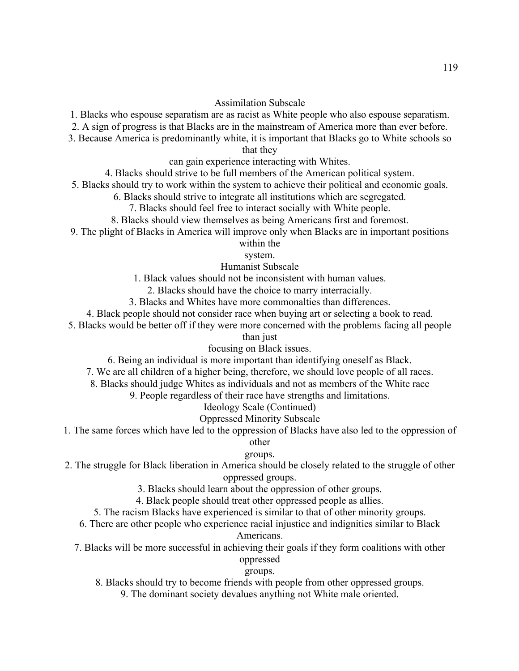- 1. Blacks who espouse separatism are as racist as White people who also espouse separatism.
- 2. A sign of progress is that Blacks are in the mainstream of America more than ever before.
- 3. Because America is predominantly white, it is important that Blacks go to White schools so

that they

can gain experience interacting with Whites.

- 4. Blacks should strive to be full members of the American political system.
- 5. Blacks should try to work within the system to achieve their political and economic goals.
	- 6. Blacks should strive to integrate all institutions which are segregated.
		- 7. Blacks should feel free to interact socially with White people.
	- 8. Blacks should view themselves as being Americans first and foremost.
- 9. The plight of Blacks in America will improve only when Blacks are in important positions

within the

system.

Humanist Subscale

- 1. Black values should not be inconsistent with human values.
	- 2. Blacks should have the choice to marry interracially.
- 3. Blacks and Whites have more commonalties than differences.
- 4. Black people should not consider race when buying art or selecting a book to read.
- 5. Blacks would be better off if they were more concerned with the problems facing all people

than just

#### focusing on Black issues.

- 6. Being an individual is more important than identifying oneself as Black.
- 7. We are all children of a higher being, therefore, we should love people of all races.
- 8. Blacks should judge Whites as individuals and not as members of the White race
	- 9. People regardless of their race have strengths and limitations.

#### Ideology Scale (Continued)

#### Oppressed Minority Subscale

1. The same forces which have led to the oppression of Blacks have also led to the oppression of

#### other

#### groups.

- 2. The struggle for Black liberation in America should be closely related to the struggle of other oppressed groups.
	- 3. Blacks should learn about the oppression of other groups.
	- 4. Black people should treat other oppressed people as allies.
	- 5. The racism Blacks have experienced is similar to that of other minority groups.
	- 6. There are other people who experience racial injustice and indignities similar to Black

#### Americans.

7. Blacks will be more successful in achieving their goals if they form coalitions with other oppressed

# groups.

- 8. Blacks should try to become friends with people from other oppressed groups.
	- 9. The dominant society devalues anything not White male oriented.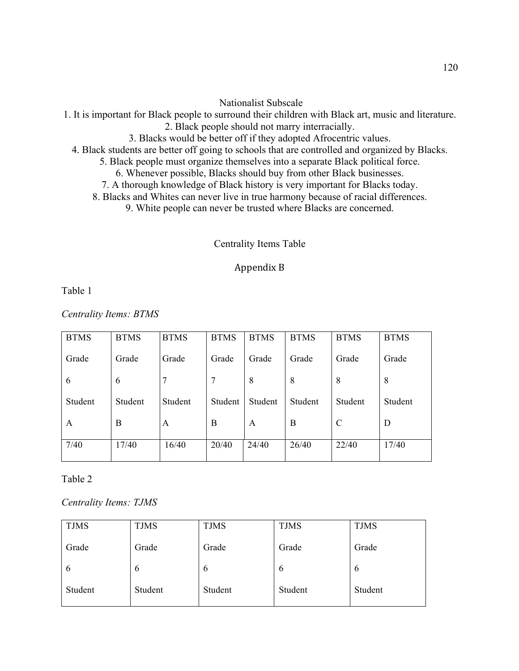#### Nationalist Subscale

- 1. It is important for Black people to surround their children with Black art, music and literature.
	- 2. Black people should not marry interracially.
	- 3. Blacks would be better off if they adopted Afrocentric values.
	- 4. Black students are better off going to schools that are controlled and organized by Blacks.
		- 5. Black people must organize themselves into a separate Black political force.
			- 6. Whenever possible, Blacks should buy from other Black businesses.
		- 7. A thorough knowledge of Black history is very important for Blacks today.
		- 8. Blacks and Whites can never live in true harmony because of racial differences.
			- 9. White people can never be trusted where Blacks are concerned.

#### Centrality Items Table

#### Appendix B

Table 1

*Centrality Items: BTMS*

| <b>BTMS</b> | <b>BTMS</b> | <b>BTMS</b> | <b>BTMS</b> | <b>BTMS</b> | <b>BTMS</b> | <b>BTMS</b>   | <b>BTMS</b> |
|-------------|-------------|-------------|-------------|-------------|-------------|---------------|-------------|
| Grade       | Grade       | Grade       | Grade       | Grade       | Grade       | Grade         | Grade       |
| 6           | 6           | 7           | 7           | 8           | 8           | 8             | 8           |
| Student     | Student     | Student     | Student     | Student     | Student     | Student       | Student     |
| A           | B           | A           | B           | A           | B           | $\mathcal{C}$ | D           |
| 7/40        | 17/40       | 16/40       | 20/40       | 24/40       | 26/40       | 22/40         | 17/40       |

Table 2

*Centrality Items: TJMS*

| <b>TJMS</b>   | <b>TJMS</b>   | <b>TJMS</b>   | <b>TJMS</b> | <b>TJMS</b> |
|---------------|---------------|---------------|-------------|-------------|
| Grade         | Grade         | Grade         | Grade       | Grade       |
| $\mathfrak b$ | $\mathfrak b$ | $\mathfrak b$ | $\mathbf b$ | 6           |
| Student       | Student       | Student       | Student     | Student     |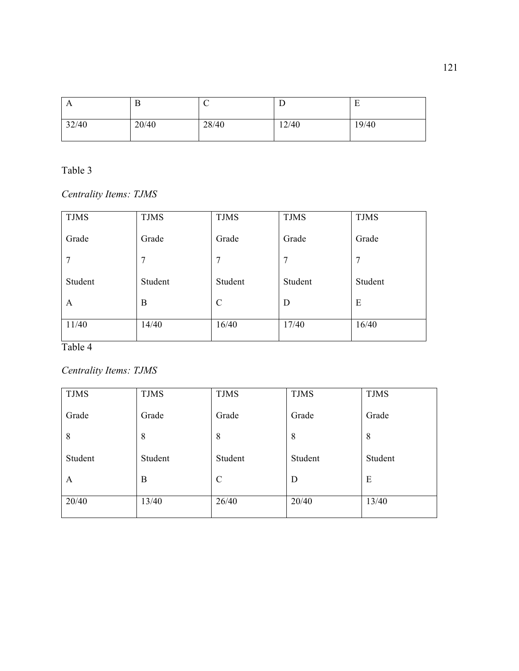| $\mathbf{A}$ | B     | ◡     | ⊥     | ┳<br>E |
|--------------|-------|-------|-------|--------|
| 32/40        | 20/40 | 28/40 | 12/40 | 19/40  |

*Centrality Items: TJMS*

| <b>TJMS</b> | <b>TJMS</b>    | <b>TJMS</b> | <b>TJMS</b> | <b>TJMS</b> |
|-------------|----------------|-------------|-------------|-------------|
| Grade       | Grade          | Grade       | Grade       | Grade       |
| 7           | $\overline{7}$ | 7           | 7           | 7           |
| Student     | Student        | Student     | Student     | Student     |
| A           | B              | C           | D           | E           |
| 11/40       | 14/40          | 16/40       | 17/40       | 16/40       |

Table 4

*Centrality Items: TJMS*

| <b>TJMS</b> | <b>TJMS</b> | <b>TJMS</b>   | <b>TJMS</b> | <b>TJMS</b> |
|-------------|-------------|---------------|-------------|-------------|
| Grade       | Grade       | Grade         | Grade       | Grade       |
| 8           | 8           | 8             | 8           | 8           |
| Student     | Student     | Student       | Student     | Student     |
| A           | B           | $\mathcal{C}$ | D           | E           |
| 20/40       | 13/40       | 26/40         | 20/40       | 13/40       |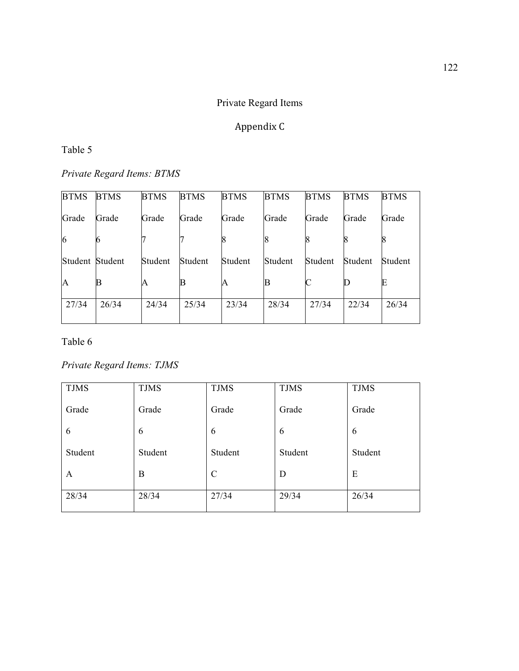# Private Regard Items

# Appendix C

#### Table 5

*Private Regard Items: BTMS* 

| <b>BTMS</b> | <b>BTMS</b> | <b>BTMS</b> | <b>BTMS</b> | <b>BTMS</b> | <b>BTMS</b> | <b>BTMS</b> | <b>BTMS</b> | <b>BTMS</b> |
|-------------|-------------|-------------|-------------|-------------|-------------|-------------|-------------|-------------|
| Grade       | Grade       | Grade       | Grade       | Grade       | Grade       | Grade       | Grade       | Grade       |
| 6           |             |             |             |             |             |             |             |             |
| Student     | Student     | Student     | Student     | Student     | Student     | Student     | Student     | Student     |
| A           |             | A           | B           | A           | B           | $\mathsf C$ |             |             |
| 27/34       | 26/34       | 24/34       | 25/34       | 23/34       | 28/34       | 27/34       | 22/34       | 26/34       |
|             |             |             |             |             |             |             |             |             |

Table 6

*Private Regard Items: TJMS*

| <b>TJMS</b> | <b>TJMS</b> | <b>TJMS</b>   | <b>TJMS</b> | <b>TJMS</b> |
|-------------|-------------|---------------|-------------|-------------|
| Grade       | Grade       | Grade         | Grade       | Grade       |
| 6           | 6           | 6             | 6           | 6           |
| Student     | Student     | Student       | Student     | Student     |
| A           | B           | $\mathcal{C}$ | D           | E           |
| 28/34       | 28/34       | 27/34         | 29/34       | 26/34       |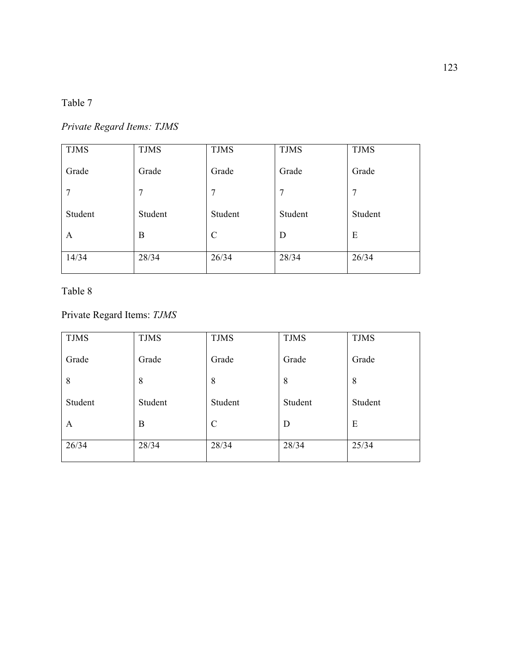# *Private Regard Items: TJMS*

| <b>TJMS</b> | <b>TJMS</b> | <b>TJMS</b> | <b>TJMS</b> | <b>TJMS</b> |
|-------------|-------------|-------------|-------------|-------------|
| Grade       | Grade       | Grade       | Grade       | Grade       |
| 7           | 7           | 7           | 7           | 7           |
| Student     | Student     | Student     | Student     | Student     |
| A           | B           | C           | D           | E           |
| 14/34       | 28/34       | 26/34       | 28/34       | 26/34       |

# Table 8

Private Regard Items: *TJMS*

| <b>TJMS</b> | <b>TJMS</b> | <b>TJMS</b> | <b>TJMS</b> | <b>TJMS</b> |
|-------------|-------------|-------------|-------------|-------------|
| Grade       | Grade       | Grade       | Grade       | Grade       |
| 8           | 8           | 8           | 8           | 8           |
| Student     | Student     | Student     | Student     | Student     |
| A           | B           | C           | D           | E           |
| 26/34       | 28/34       | 28/34       | 28/34       | 25/34       |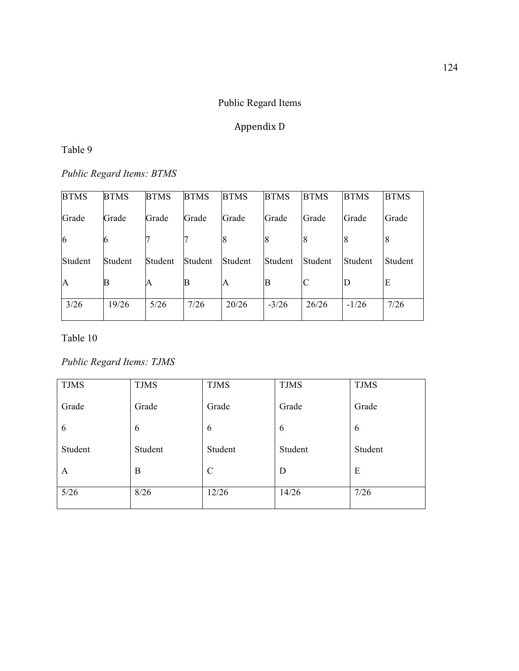# Public Regard Items

# Appendix D

#### Table 9

*Public Regard Items: BTMS*

| <b>BTMS</b>  | <b>BTMS</b> | <b>BTMS</b> | <b>BTMS</b> | <b>BTMS</b> | <b>BTMS</b> | <b>BTMS</b> | <b>BTMS</b> | <b>BTMS</b> |
|--------------|-------------|-------------|-------------|-------------|-------------|-------------|-------------|-------------|
| Grade        | Grade       | Grade       | Grade       | Grade       | Grade       | Grade       | Grade       | Grade       |
| 6            |             |             |             |             |             | 8           | 8           | 8           |
| Student      | Student     | Student     | Student     | Student     | Student     | Student     | Student     | Student     |
| $\mathbf{A}$ | B           | A           | В           | A           | В           | C           | $\mathbf D$ | E           |
| 3/26         | 19/26       | 5/26        | 7/26        | 20/26       | $-3/26$     | 26/26       | $-1/26$     | 7/26        |

Table 10

# *Public Regard Items: TJMS*

| <b>TJMS</b> | <b>TJMS</b> | <b>TJMS</b>   | <b>TJMS</b> | <b>TJMS</b> |
|-------------|-------------|---------------|-------------|-------------|
| Grade       | Grade       | Grade         | Grade       | Grade       |
| 6           | 6           | 6             | 6           | 6           |
| Student     | Student     | Student       | Student     | Student     |
| A           | B           | $\mathcal{C}$ | D           | E           |
| $5/26$      | 8/26        | 12/26         | 14/26       | 7/26        |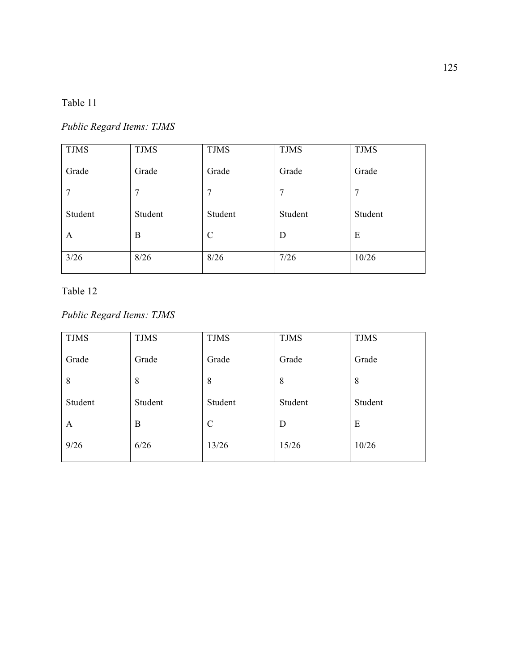*Public Regard Items: TJMS*

| <b>TJMS</b> | <b>TJMS</b> | <b>TJMS</b>   | <b>TJMS</b> | <b>TJMS</b>    |
|-------------|-------------|---------------|-------------|----------------|
| Grade       | Grade       | Grade         | Grade       | Grade          |
| 7           | 7           | 7             | 7           | $\overline{7}$ |
| Student     | Student     | Student       | Student     | Student        |
| A           | B           | $\mathcal{C}$ | D           | E              |
| 3/26        | 8/26        | 8/26          | 7/26        | 10/26          |

### Table 12

# *Public Regard Items: TJMS*

| <b>TJMS</b> | <b>TJMS</b> | <b>TJMS</b>   | <b>TJMS</b> | <b>TJMS</b> |
|-------------|-------------|---------------|-------------|-------------|
| Grade       | Grade       | Grade         | Grade       | Grade       |
| 8           | 8           | 8             | 8           | 8           |
| Student     | Student     | Student       | Student     | Student     |
| A           | B           | $\mathcal{C}$ | D           | E           |
| 9/26        | 6/26        | 13/26         | 15/26       | 10/26       |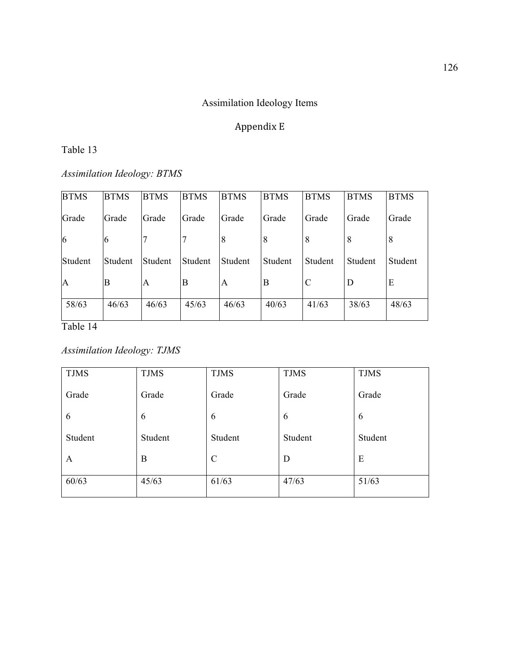# Assimilation Ideology Items

# Appendix E

#### Table 13

*Assimilation Ideology: BTMS*

| <b>BTMS</b> | <b>BTMS</b> |       | <b>BTMS</b>                     | <b>BTMS</b> | <b>BTMS</b>   | <b>BTMS</b> | <b>BTMS</b> |
|-------------|-------------|-------|---------------------------------|-------------|---------------|-------------|-------------|
| Grade       |             |       | Grade                           | Grade       | Grade         | Grade       | Grade       |
| h           |             |       | 8                               | 8           | 8             | 8           | 8           |
| Student     | Student     |       | Student                         | Student     | Student       | Student     | Student     |
| B           | A           | B     | A                               | B           | $\mathcal{C}$ | D           | E           |
| 46/63       | 46/63       | 45/63 | 46/63                           | 40/63       | 41/63         | 38/63       | 48/63       |
|             |             | Grade | <b>BTMS</b><br>Grade<br>Student |             |               |             |             |

Table 14

*Assimilation Ideology: TJMS*

| <b>TJMS</b> | <b>TJMS</b> | <b>TJMS</b>   | <b>TJMS</b> | <b>TJMS</b> |
|-------------|-------------|---------------|-------------|-------------|
| Grade       | Grade       | Grade         | Grade       | Grade       |
| 6           | 6           | 6             | 6           | 6           |
| Student     | Student     | Student       | Student     | Student     |
| A           | B           | $\mathcal{C}$ | D           | E           |
| 60/63       | 45/63       | 61/63         | 47/63       | 51/63       |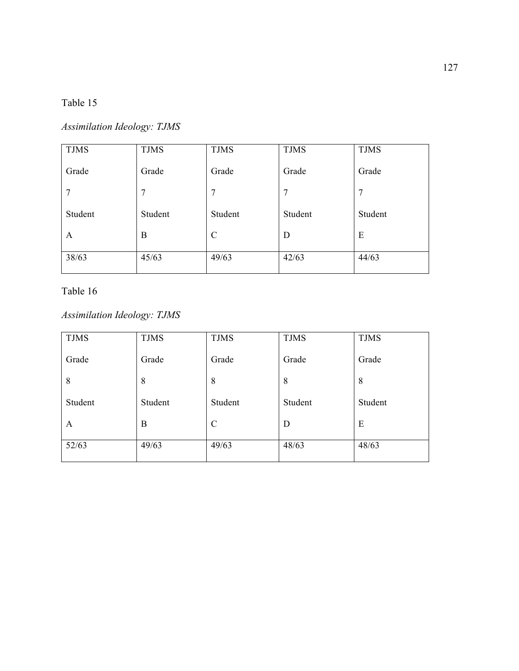# *Assimilation Ideology: TJMS*

| <b>TJMS</b> | <b>TJMS</b> | <b>TJMS</b>   | <b>TJMS</b> | <b>TJMS</b> |
|-------------|-------------|---------------|-------------|-------------|
| Grade       | Grade       | Grade         | Grade       | Grade       |
| 7           | 7           | 7             | 7           | 7           |
| Student     | Student     | Student       | Student     | Student     |
| A           | B           | $\mathcal{C}$ | D           | E           |
| 38/63       | 45/63       | 49/63         | 42/63       | 44/63       |

### Table 16

# *Assimilation Ideology: TJMS*

| <b>TJMS</b> | <b>TJMS</b> | <b>TJMS</b>   | <b>TJMS</b> | <b>TJMS</b> |
|-------------|-------------|---------------|-------------|-------------|
| Grade       | Grade       | Grade         | Grade       | Grade       |
| 8           | 8           | 8             | 8           | 8           |
| Student     | Student     | Student       | Student     | Student     |
| A           | B           | $\mathcal{C}$ | D           | E           |
| 52/63       | 49/63       | 49/63         | 48/63       | 48/63       |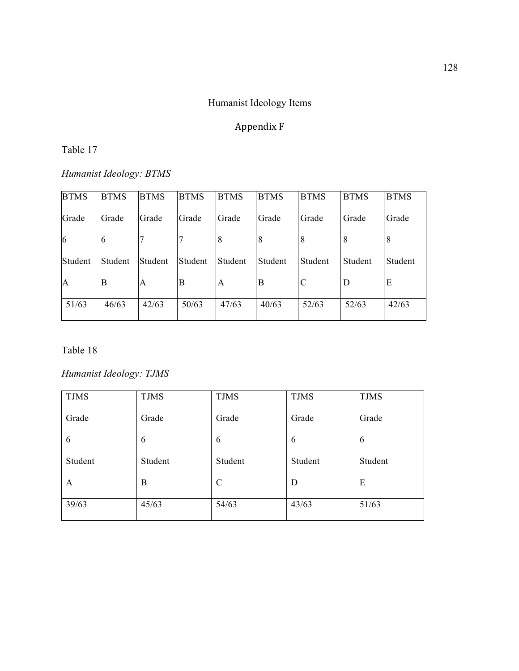### Humanist Ideology Items

# Appendix F

#### Table 17

*Humanist Ideology: BTMS*

| <b>BTMS</b> | <b>BTMS</b> | <b>BTMS</b> | <b>BTMS</b> | <b>BTMS</b> | <b>BTMS</b> | <b>BTMS</b> | <b>BTMS</b> | <b>BTMS</b> |
|-------------|-------------|-------------|-------------|-------------|-------------|-------------|-------------|-------------|
| Grade       | Grade       | Grade       | Grade       | Grade       | Grade       | Grade       | Grade       | Grade       |
| 6           | 6           | 7           | 7           | 8           | 8           | 8           | 8           | 8           |
| Student     | Student     | Student     | Student     | Student     | Student     | Student     | Student     | Student     |
| A           | B           | A           | B           | A           | B           | C           | D           | E           |
| 51/63       | 46/63       | 42/63       | 50/63       | 47/63       | 40/63       | 52/63       | 52/63       | 42/63       |

Table 18

### *Humanist Ideology: TJMS*

| <b>TJMS</b> | <b>TJMS</b> | <b>TJMS</b>   | <b>TJMS</b> | <b>TJMS</b> |
|-------------|-------------|---------------|-------------|-------------|
| Grade       | Grade       | Grade         | Grade       | Grade       |
| 6           | 6           | 6             | 6           | 6           |
| Student     | Student     | Student       | Student     | Student     |
| A           | B           | $\mathcal{C}$ | D           | E           |
| 39/63       | 45/63       | 54/63         | 43/63       | 51/63       |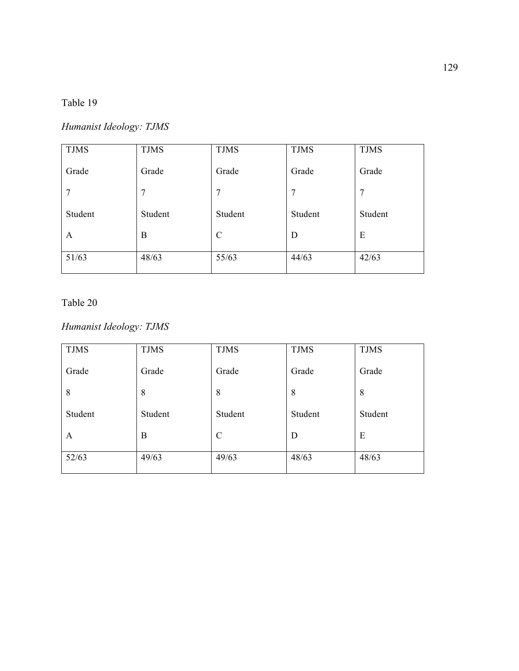# *Humanist Ideology: TJMS*

| <b>TJMS</b> | <b>TJMS</b> | <b>TJMS</b>   | <b>TJMS</b> | <b>TJMS</b> |
|-------------|-------------|---------------|-------------|-------------|
| Grade       | Grade       | Grade         | Grade       | Grade       |
| 7           | 7           | 7             | 7           | 7           |
| Student     | Student     | Student       | Student     | Student     |
| A           | B           | $\mathcal{C}$ | D           | E           |
| 51/63       | 48/63       | 55/63         | 44/63       | 42/63       |

# Table 20

### *Humanist Ideology: TJMS*

| <b>TJMS</b> | <b>TJMS</b> | <b>TJMS</b>   | <b>TJMS</b> | <b>TJMS</b> |
|-------------|-------------|---------------|-------------|-------------|
| Grade       | Grade       | Grade         | Grade       | Grade       |
| 8           | 8           | 8             | 8           | 8           |
| Student     | Student     | Student       | Student     | Student     |
| A           | B           | $\mathcal{C}$ | D           | E           |
| 52/63       | 49/63       | 49/63         | 48/63       | 48/63       |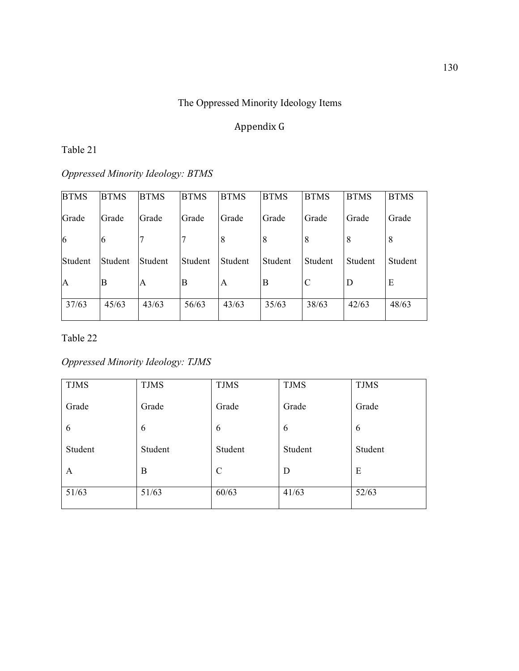# The Oppressed Minority Ideology Items

# Appendix G

### Table 21

# *Oppressed Minority Ideology: BTMS*

| <b>BTMS</b>    | <b>BTMS</b> | <b>BTMS</b> | <b>BTMS</b> | <b>BTMS</b> | <b>BTMS</b> | <b>BTMS</b> | <b>BTMS</b> | <b>BTMS</b> |
|----------------|-------------|-------------|-------------|-------------|-------------|-------------|-------------|-------------|
| Grade          | Grade       | Grade       | Grade       | Grade       | Grade       | Grade       | Grade       | Grade       |
| $\overline{6}$ | 6           |             |             | 8           | 8           | 8           | 8           | 8           |
| Student        | Student     | Student     | Student     | Student     | Student     | Student     | Student     | Student     |
| $\overline{A}$ | B           | A           | B           | A           | B           | C           | D           | E           |
| 37/63          | 45/63       | 43/63       | 56/63       | 43/63       | 35/63       | 38/63       | 42/63       | 48/63       |

#### Table 22

### *Oppressed Minority Ideology: TJMS*

| <b>TJMS</b> | <b>TJMS</b> | <b>TJMS</b>   | <b>TJMS</b> | <b>TJMS</b> |
|-------------|-------------|---------------|-------------|-------------|
| Grade       | Grade       | Grade         | Grade       | Grade       |
| 6           | 6           | 6             | 6           | 6           |
| Student     | Student     | Student       | Student     | Student     |
| A           | B           | $\mathcal{C}$ | D           | E           |
| 51/63       | 51/63       | 60/63         | 41/63       | 52/63       |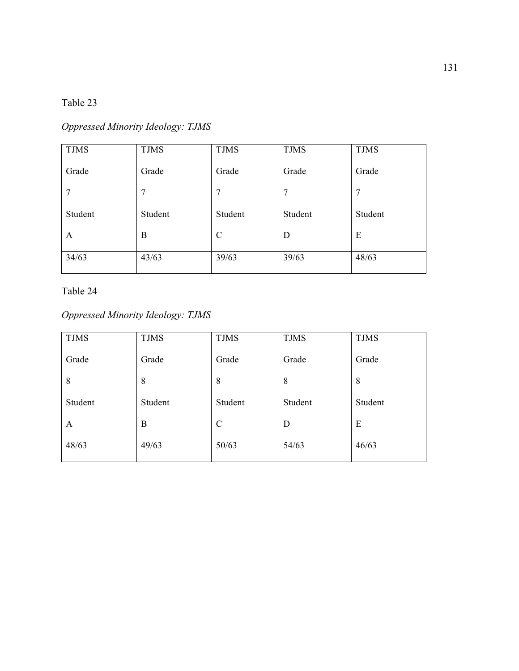# *Oppressed Minority Ideology: TJMS*

| <b>TJMS</b> | <b>TJMS</b> | <b>TJMS</b>   | <b>TJMS</b> | <b>TJMS</b> |
|-------------|-------------|---------------|-------------|-------------|
| Grade       | Grade       | Grade         | Grade       | Grade       |
| 7           | 7           | 7             | 7           | 7           |
| Student     | Student     | Student       | Student     | Student     |
| A           | B           | $\mathcal{C}$ | D           | E           |
| 34/63       | 43/63       | 39/63         | 39/63       | 48/63       |

Table 24

# *Oppressed Minority Ideology: TJMS*

| <b>TJMS</b> | <b>TJMS</b> | <b>TJMS</b>   | <b>TJMS</b> | <b>TJMS</b> |
|-------------|-------------|---------------|-------------|-------------|
| Grade       | Grade       | Grade         | Grade       | Grade       |
| 8           | 8           | 8             | 8           | 8           |
| Student     | Student     | Student       | Student     | Student     |
| A           | B           | $\mathcal{C}$ | D           | E           |
| 48/63       | 49/63       | 50/63         | 54/63       | 46/63       |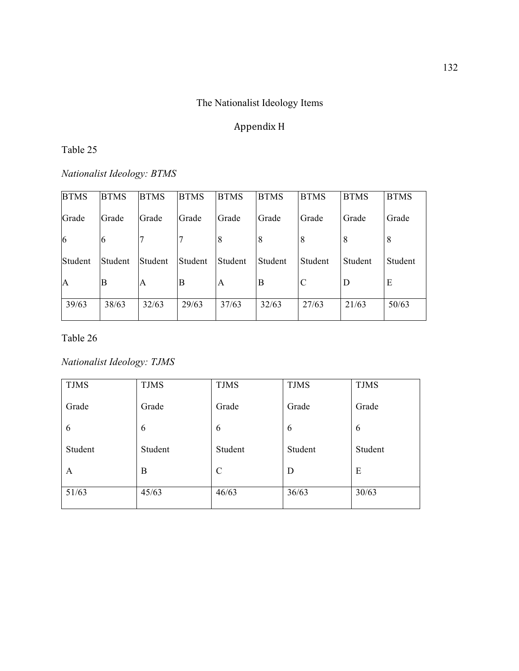# The Nationalist Ideology Items

# Appendix H

### Table 25

*Nationalist Ideology: BTMS*

| <b>BTMS</b> | <b>BTMS</b> | <b>BTMS</b> | <b>BTMS</b> | <b>BTMS</b> | <b>BTMS</b> | <b>BTMS</b> | <b>BTMS</b> | <b>BTMS</b> |
|-------------|-------------|-------------|-------------|-------------|-------------|-------------|-------------|-------------|
| Grade       | Grade       | Grade       | Grade       | Grade       | Grade       | Grade       | Grade       | Grade       |
| 6           | b           | 7           | 7           | 8           | 8           | 8           | 8           | 8           |
| Student     | Student     | Student     | Student     | Student     | Student     | Student     | Student     | Student     |
| A           | B           | A           | B           | A           | B           | C           | D           | E           |
| 39/63       | 38/63       | 32/63       | 29/63       | 37/63       | 32/63       | 27/63       | 21/63       | 50/63       |

Table 26

# *Nationalist Ideology: TJMS*

| <b>TJMS</b> | <b>TJMS</b> | <b>TJMS</b>   | <b>TJMS</b> | <b>TJMS</b> |
|-------------|-------------|---------------|-------------|-------------|
| Grade       | Grade       | Grade         | Grade       | Grade       |
| 6           | 6           | 6             | 6           | 6           |
| Student     | Student     | Student       | Student     | Student     |
| A           | B           | $\mathcal{C}$ | D           | E           |
| 51/63       | 45/63       | 46/63         | 36/63       | 30/63       |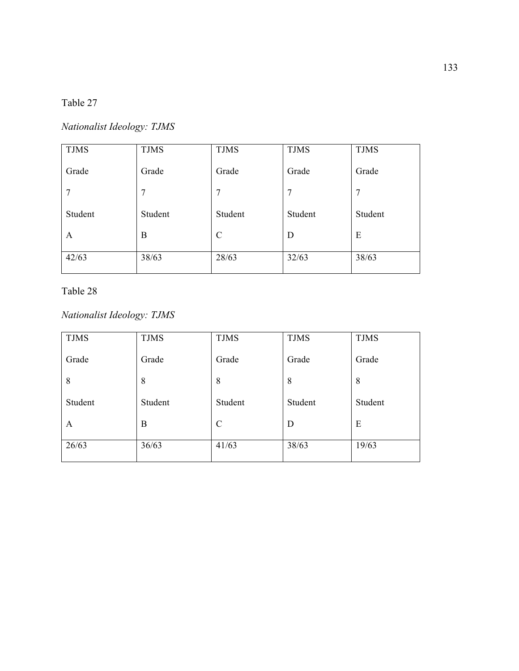### Table 27

## *Nationalist Ideology: TJMS*

| <b>TJMS</b> | <b>TJMS</b> | <b>TJMS</b> | <b>TJMS</b> | <b>TJMS</b> |
|-------------|-------------|-------------|-------------|-------------|
| Grade       | Grade       | Grade       | Grade       | Grade       |
| 7           | 7           | 7           | 7           | 7           |
| Student     | Student     | Student     | Student     | Student     |
| A           | B           | C           | D           | E           |
| 42/63       | 38/63       | 28/63       | 32/63       | 38/63       |

### Table 28

## *Nationalist Ideology: TJMS*

| <b>TJMS</b> | <b>TJMS</b> | <b>TJMS</b>   | <b>TJMS</b> | <b>TJMS</b> |
|-------------|-------------|---------------|-------------|-------------|
| Grade       | Grade       | Grade         | Grade       | Grade       |
| 8           | 8           | 8             | 8           | 8           |
| Student     | Student     | Student       | Student     | Student     |
| A           | B           | $\mathcal{C}$ | D           | E           |
| 26/63       | 36/63       | 41/63         | 38/63       | 19/63       |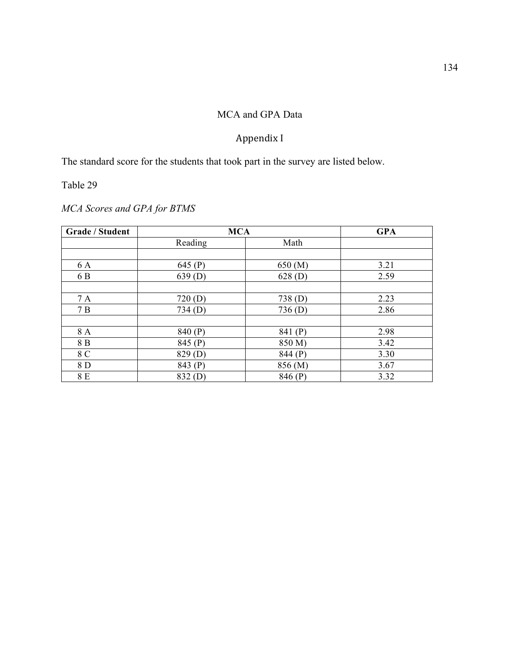### MCA and GPA Data

### Appendix I

The standard score for the students that took part in the survey are listed below.

## Table 29

## *MCA Scores and GPA for BTMS*

| Grade / Student | <b>MCA</b>         |         | <b>GPA</b> |
|-----------------|--------------------|---------|------------|
|                 | Reading            | Math    |            |
|                 |                    |         |            |
| 6 A             | 645 $(P)$          | 650 (M) | 3.21       |
| 6 B             | 639(D)             | 628(D)  | 2.59       |
|                 |                    |         |            |
| 7 A             | 720(D)             | 738(D)  | 2.23       |
| 7B              | 734(D)             | 736(D)  | 2.86       |
|                 |                    |         |            |
| 8 A             | 840 (P)            | 841 (P) | 2.98       |
| 8 B             | 845 (P)            | 850 M)  | 3.42       |
| 8 C             | 829 <sub>(D)</sub> | 844 (P) | 3.30       |
| 8 D             | 843 (P)            | 856 (M) | 3.67       |
| 8 E             | 832(D)             | 846 (P) | 3.32       |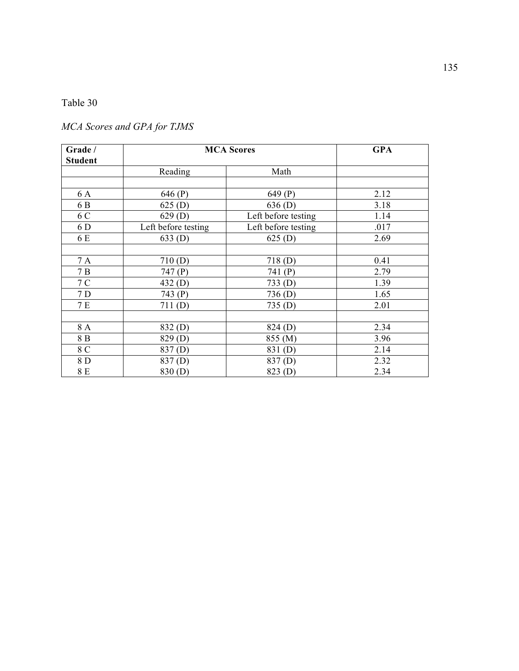### Table 30

## *MCA Scores and GPA for TJMS*

| Grade /<br><b>Student</b> | <b>MCA Scores</b>   |                     | <b>GPA</b> |
|---------------------------|---------------------|---------------------|------------|
|                           | Reading             | Math                |            |
|                           |                     |                     |            |
| 6 A                       | 646 (P)             | 649 (P)             | 2.12       |
| 6 B                       | 625(D)              | 636(D)              | 3.18       |
| 6 C                       | 629(D)              | Left before testing | 1.14       |
| 6 D                       | Left before testing | Left before testing | .017       |
| 6 E                       | 633(D)              | 625(D)              | 2.69       |
|                           |                     |                     |            |
| 7 A                       | 710(D)              | 718(D)              | 0.41       |
| 7B                        | 747 (P)             | 741 (P)             | 2.79       |
| 7 C                       | 432(D)              | 733(D)              | 1.39       |
| 7 D                       | 743 (P)             | 736 <sub>(D)</sub>  | 1.65       |
| 7 E                       | 711(D)              | 735(D)              | 2.01       |
|                           |                     |                     |            |
| 8 A                       | 832(D)              | 824 (D)             | 2.34       |
| 8 B                       | 829 <sub>(D)</sub>  | 855 (M)             | 3.96       |
| 8 C                       | 837 <sub>(D)</sub>  | 831(D)              | 2.14       |
| 8 D                       | 837(D)              | 837 <sub>(D)</sub>  | 2.32       |
| 8 E                       | 830 <sub>(D)</sub>  | 823 (D)             | 2.34       |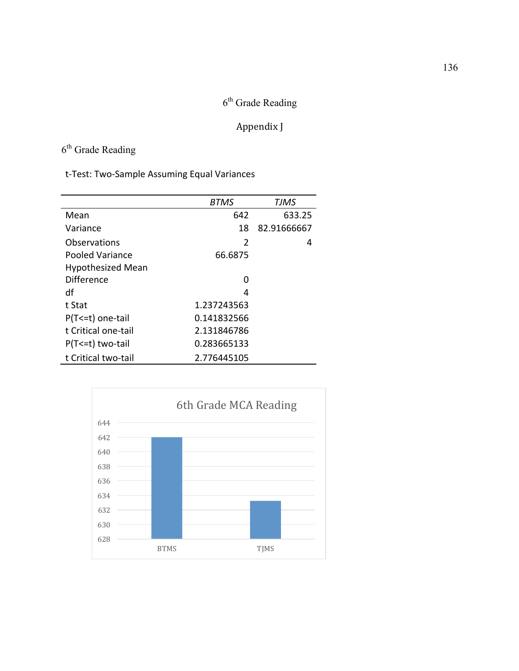# $6<sup>th</sup>$  Grade Reading

## Appendix J

# $6<sup>th</sup>$  Grade Reading

|                          | <b>BTMS</b>    | TJMS        |
|--------------------------|----------------|-------------|
| Mean                     | 642            | 633.25      |
| Variance                 | 18             | 82.91666667 |
| Observations             | $\overline{2}$ | 4           |
| Pooled Variance          | 66.6875        |             |
| <b>Hypothesized Mean</b> |                |             |
| Difference               | O              |             |
| df                       | 4              |             |
| t Stat                   | 1.237243563    |             |
| P(T <= t) one-tail       | 0.141832566    |             |
| t Critical one-tail      | 2.131846786    |             |
| $P(T \le t)$ two-tail    | 0.283665133    |             |
| t Critical two-tail      | 2.776445105    |             |

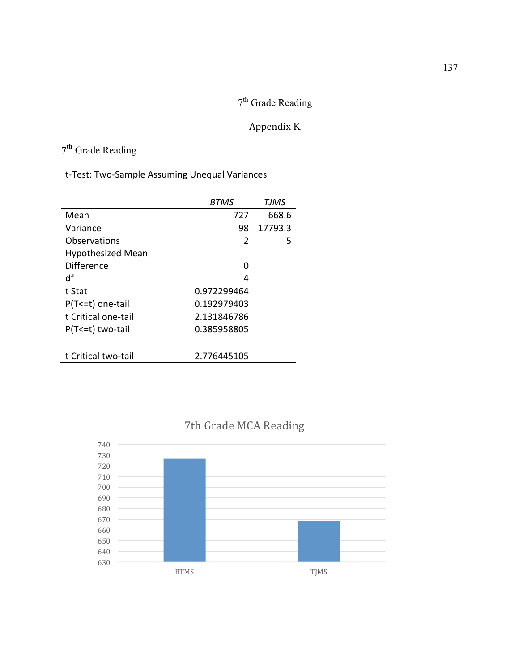# 7<sup>th</sup> Grade Reading

## Appendix K

# **7th** Grade Reading

|                          | BTMS        | <b>TJMS</b> |
|--------------------------|-------------|-------------|
| Mean                     | 727         | 668.6       |
| Variance                 | 98          | 17793.3     |
| Observations             | 2           | 5           |
| <b>Hypothesized Mean</b> |             |             |
| Difference               | O           |             |
| df                       | 4           |             |
| t Stat                   | 0.972299464 |             |
| P(T<=t) one-tail         | 0.192979403 |             |
| t Critical one-tail      | 2.131846786 |             |
| P(T<=t) two-tail         | 0.385958805 |             |
|                          |             |             |
| t Critical two-tail      | 2.776445105 |             |

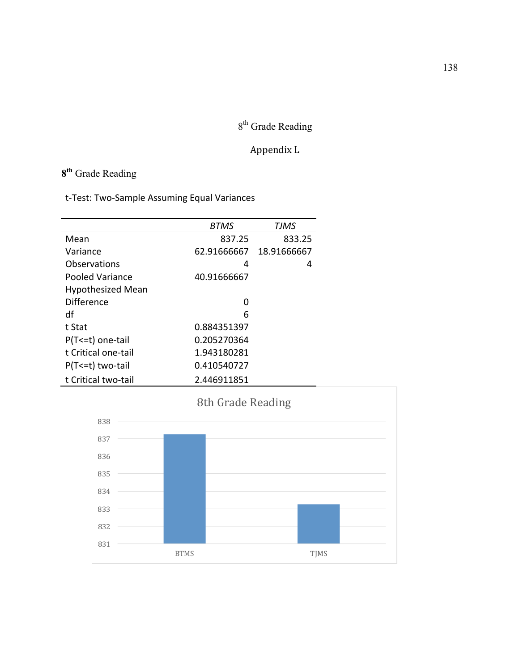# 8<sup>th</sup> Grade Reading

## Appendix L

# **8th** Grade Reading

|                          | <b>BTMS</b> | TJMS        |
|--------------------------|-------------|-------------|
| Mean                     | 837.25      | 833.25      |
| Variance                 | 62.91666667 | 18.91666667 |
| Observations             | 4           | 4           |
| Pooled Variance          | 40.91666667 |             |
| <b>Hypothesized Mean</b> |             |             |
| Difference               | O           |             |
| df                       | 6           |             |
| t Stat                   | 0.884351397 |             |
| P(T<=t) one-tail         | 0.205270364 |             |
| t Critical one-tail      | 1.943180281 |             |
| P(T<=t) two-tail         | 0.410540727 |             |
| t Critical two-tail      | 2.446911851 |             |

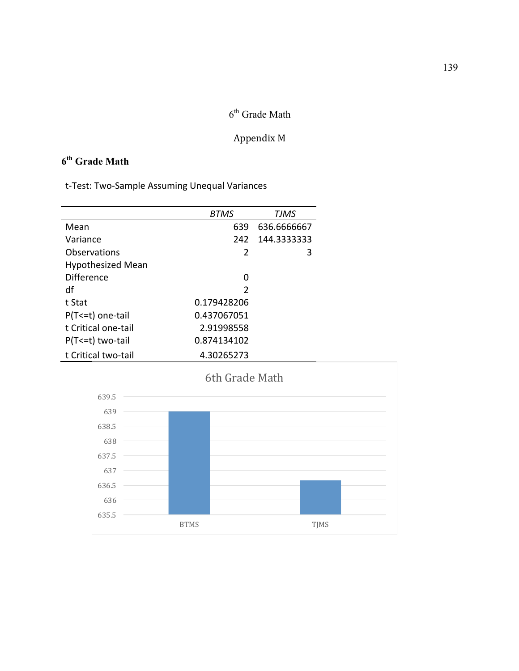# $6^{\rm th}$  Grade Math

### Appendix M

## **6th Grade Math**

|                          | <b>BTMS</b> | <b>TJMS</b> |
|--------------------------|-------------|-------------|
| Mean                     | 639         | 636.6666667 |
| Variance                 | 242         | 144.3333333 |
| Observations             | 2           | 3           |
| <b>Hypothesized Mean</b> |             |             |
| Difference               | O           |             |
| df                       | 2           |             |
| t Stat                   | 0.179428206 |             |
| P(T <= t) one-tail       | 0.437067051 |             |
| t Critical one-tail      | 2.91998558  |             |
| P(T <= t) two-tail       | 0.874134102 |             |
| t Critical two-tail      | 4.30265273  |             |

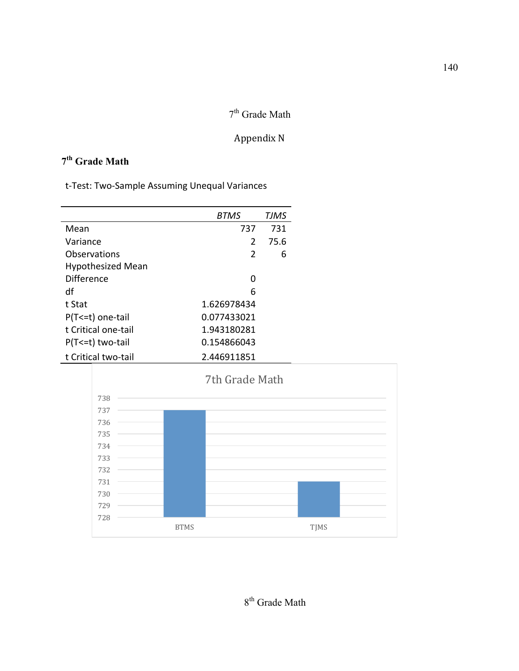## $7^{\rm th}$  Grade Math

### Appendix N

## **7th Grade Math**

|                          | BTMS        | TJMS |
|--------------------------|-------------|------|
| Mean                     | 737         | 731  |
| Variance                 | 2           | 75.6 |
| Observations             | 2           | 6    |
| <b>Hypothesized Mean</b> |             |      |
| Difference               | U           |      |
| df                       | 6           |      |
| t Stat                   | 1.626978434 |      |
| P(T <= t) one-tail       | 0.077433021 |      |
| t Critical one-tail      | 1.943180281 |      |
| P(T<=t) two-tail         | 0.154866043 |      |
| t Critical two-tail      | 2.446911851 |      |

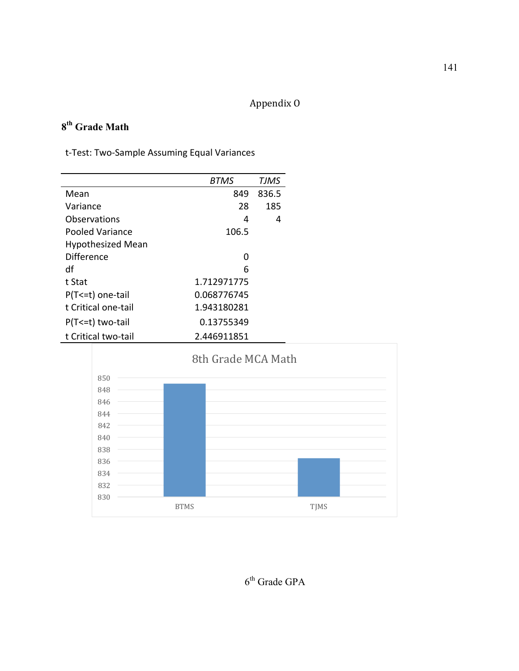## Appendix O

## **8th Grade Math**

|                          | <b>BTMS</b> | TJMS  |
|--------------------------|-------------|-------|
| Mean                     | 849         | 836.5 |
| Variance                 | 28          | 185   |
| Observations             | 4           | 4     |
| Pooled Variance          | 106.5       |       |
| <b>Hypothesized Mean</b> |             |       |
| Difference               | U           |       |
| df                       | 6           |       |
| t Stat                   | 1.712971775 |       |
| P(T <= t) one-tail       | 0.068776745 |       |
| t Critical one-tail      | 1.943180281 |       |
| P(T<=t) two-tail         | 0.13755349  |       |
| t Critical two-tail      | 2.446911851 |       |



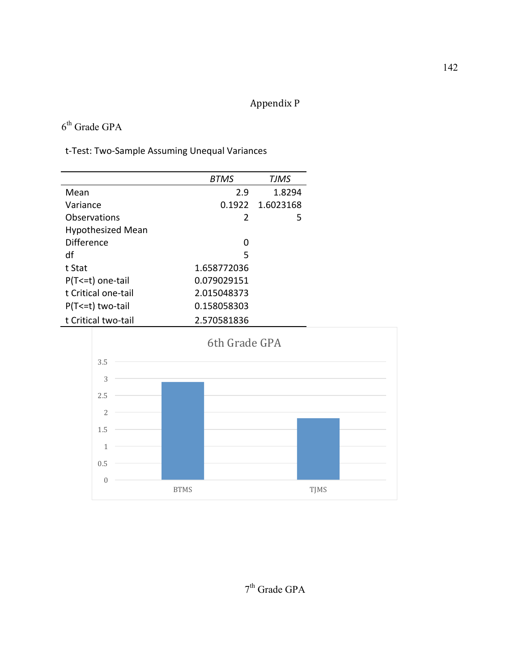## Appendix P

## $6<sup>th</sup>$  Grade GPA

t-Test: Two-Sample Assuming Unequal Variances

|                          | <b>BTMS</b> | TJMS      |
|--------------------------|-------------|-----------|
| Mean                     | 2.9         | 1.8294    |
| Variance                 | 0.1922      | 1.6023168 |
| Observations             | 2           | 5         |
| <b>Hypothesized Mean</b> |             |           |
| <b>Difference</b>        | U           |           |
| df                       | 5           |           |
| t Stat                   | 1.658772036 |           |
| P(T <= t) one-tail       | 0.079029151 |           |
| t Critical one-tail      | 2.015048373 |           |
| $P(T \le t)$ two-tail    | 0.158058303 |           |
| t Critical two-tail      | 2.570581836 |           |



 $7^{\text{th}}$  Grade GPA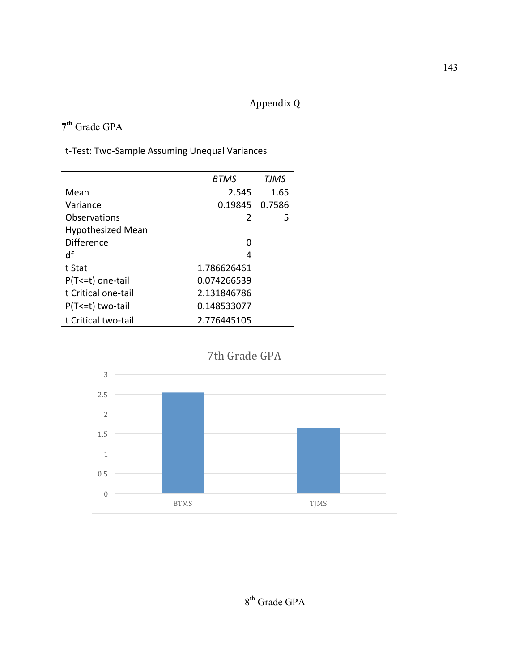## Appendix Q

### **7th** Grade GPA

|                          | <b>BTMS</b>   | <b>TJMS</b> |
|--------------------------|---------------|-------------|
| Mean                     | 2.545         | 1.65        |
| Variance                 | 0.19845       | 0.7586      |
| Observations             | $\mathcal{L}$ | 5           |
| <b>Hypothesized Mean</b> |               |             |
| <b>Difference</b>        | O             |             |
| df                       | 4             |             |
| t Stat                   | 1.786626461   |             |
| P(T <= t) one-tail       | 0.074266539   |             |
| t Critical one-tail      | 2.131846786   |             |
| $P(T \le t)$ two-tail    | 0.148533077   |             |
| t Critical two-tail      | 2.776445105   |             |